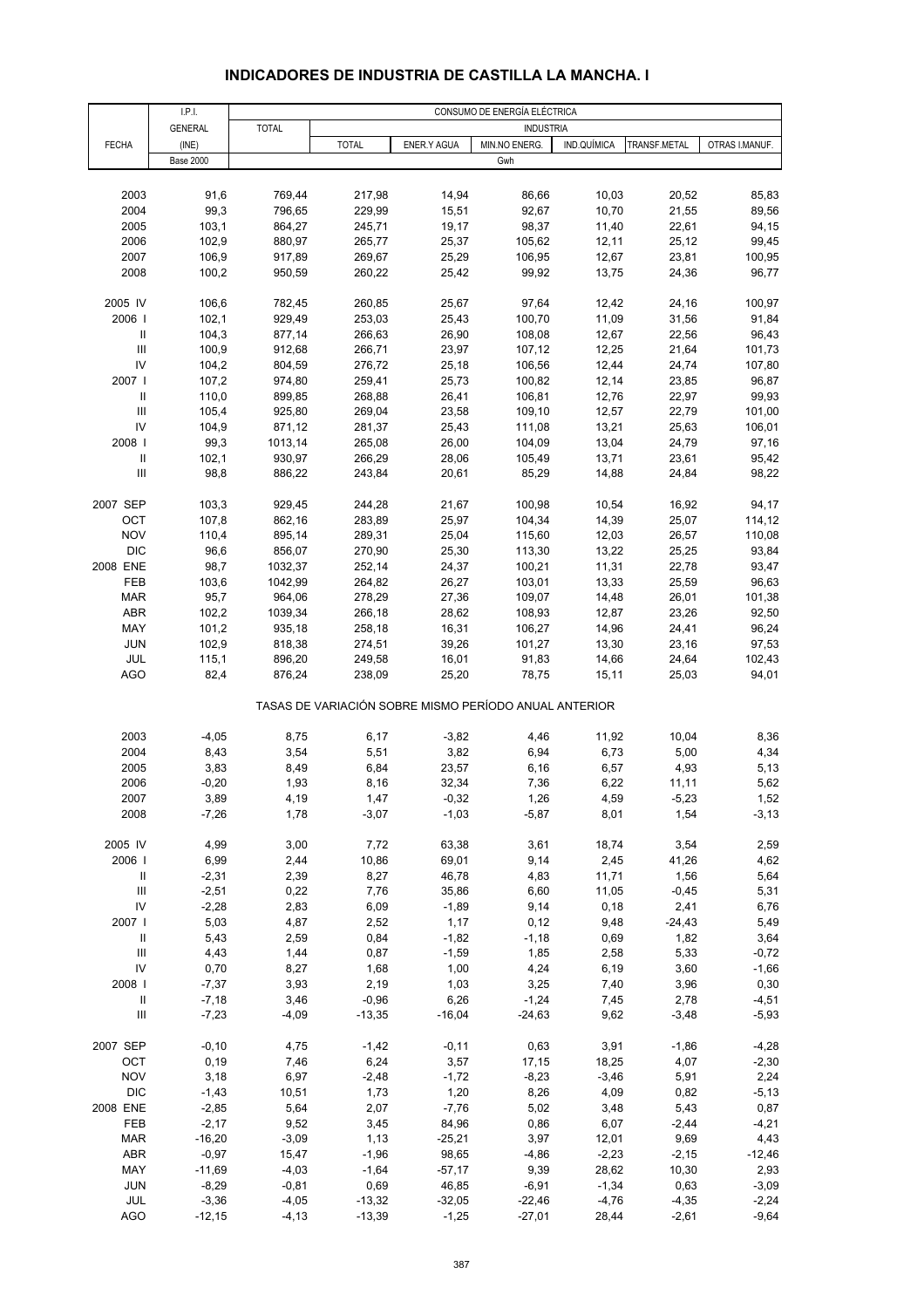# **INDICADORES DE INDUSTRIA DE CASTILLA LA MANCHA. I**

|                                                                  | I.P.I.              | CONSUMO DE ENERGÍA ELÉCTRICA |                  |                   |                                                       |                |                 |                  |  |
|------------------------------------------------------------------|---------------------|------------------------------|------------------|-------------------|-------------------------------------------------------|----------------|-----------------|------------------|--|
|                                                                  | <b>GENERAL</b>      | <b>TOTAL</b>                 |                  |                   | <b>INDUSTRIA</b>                                      |                |                 |                  |  |
| <b>FECHA</b>                                                     | (INE)               |                              | <b>TOTAL</b>     | ENER.Y AGUA       | MIN.NO ENERG.                                         | IND.QUÍMICA    | TRANSF.METAL    | OTRAS I.MANUF.   |  |
|                                                                  | <b>Base 2000</b>    |                              |                  |                   | Gwh                                                   |                |                 |                  |  |
|                                                                  |                     |                              |                  |                   |                                                       |                |                 |                  |  |
| 2003                                                             | 91,6                | 769,44                       | 217,98           | 14,94             | 86,66                                                 | 10,03          | 20,52           | 85,83            |  |
| 2004                                                             | 99,3                | 796,65                       | 229,99           | 15,51             | 92,67                                                 | 10,70          | 21,55           | 89,56            |  |
| 2005                                                             | 103,1               | 864,27                       | 245,71           | 19,17             | 98,37                                                 | 11,40          | 22,61           | 94,15            |  |
| 2006                                                             | 102,9               | 880,97                       | 265,77           | 25,37             | 105,62                                                | 12,11          | 25,12           | 99,45            |  |
| 2007                                                             | 106,9               | 917,89                       | 269,67           | 25,29             | 106,95                                                | 12,67          | 23,81           | 100,95           |  |
| 2008                                                             | 100,2               | 950,59                       | 260,22           | 25,42             | 99,92                                                 | 13,75          | 24,36           | 96,77            |  |
|                                                                  |                     |                              |                  |                   |                                                       |                |                 |                  |  |
| 2005 IV                                                          | 106,6               | 782,45                       | 260,85           | 25,67             | 97,64                                                 | 12,42          | 24,16           | 100,97           |  |
| 2006                                                             | 102,1               | 929,49                       | 253,03           | 25,43             | 100,70                                                | 11,09          | 31,56           | 91,84            |  |
| Ш                                                                | 104,3               | 877,14                       | 266,63           | 26,90             | 108,08                                                | 12,67          | 22,56           | 96,43            |  |
| $\ensuremath{\mathsf{III}}\xspace$                               | 100,9               | 912,68                       | 266,71           | 23,97             | 107,12                                                | 12,25          | 21,64           | 101,73           |  |
| IV                                                               | 104,2               | 804,59                       | 276,72           | 25,18             | 106,56                                                | 12,44          | 24,74           | 107,80           |  |
| 2007 l                                                           | 107,2               | 974,80                       | 259,41           | 25,73             | 100,82                                                | 12,14          | 23,85           | 96,87            |  |
| $\ensuremath{\mathsf{II}}$<br>$\ensuremath{\mathsf{III}}\xspace$ | 110,0<br>105,4      | 899,85                       | 268,88           | 26,41             | 106,81<br>109,10                                      | 12,76          | 22,97           | 99,93            |  |
| IV                                                               | 104,9               | 925,80<br>871,12             | 269,04<br>281,37 | 23,58<br>25,43    | 111,08                                                | 12,57<br>13,21 | 22,79<br>25,63  | 101,00<br>106,01 |  |
| 2008                                                             | 99,3                | 1013,14                      | 265,08           | 26,00             | 104,09                                                | 13,04          | 24,79           | 97,16            |  |
| $\ensuremath{\mathsf{II}}$                                       | 102,1               | 930,97                       | 266,29           | 28,06             | 105,49                                                | 13,71          | 23,61           | 95,42            |  |
| $\ensuremath{\mathsf{III}}\xspace$                               | 98,8                | 886,22                       | 243,84           | 20,61             | 85,29                                                 | 14,88          | 24,84           | 98,22            |  |
|                                                                  |                     |                              |                  |                   |                                                       |                |                 |                  |  |
| 2007 SEP                                                         | 103,3               | 929,45                       | 244,28           | 21,67             | 100,98                                                | 10,54          | 16,92           | 94,17            |  |
| ОСТ                                                              | 107,8               | 862,16                       | 283,89           | 25,97             | 104,34                                                | 14,39          | 25,07           | 114,12           |  |
| <b>NOV</b>                                                       | 110,4               | 895,14                       | 289,31           | 25,04             | 115,60                                                | 12,03          | 26,57           | 110,08           |  |
| <b>DIC</b>                                                       | 96,6                | 856,07                       | 270,90           | 25,30             | 113,30                                                | 13,22          | 25,25           | 93,84            |  |
| 2008 ENE                                                         | 98,7                | 1032,37                      | 252,14           | 24,37             | 100,21                                                | 11,31          | 22,78           | 93,47            |  |
| FEB                                                              | 103,6               | 1042,99                      | 264,82           | 26,27             | 103,01                                                | 13,33          | 25,59           | 96,63            |  |
| <b>MAR</b>                                                       | 95,7                | 964,06                       | 278,29           | 27,36             | 109,07                                                | 14,48          | 26,01           | 101,38           |  |
| <b>ABR</b>                                                       | 102,2               | 1039,34                      | 266,18           | 28,62             | 108,93                                                | 12,87          | 23,26           | 92,50            |  |
| MAY                                                              | 101,2               | 935,18                       | 258,18           | 16,31             | 106,27                                                | 14,96          | 24,41           | 96,24            |  |
| <b>JUN</b>                                                       | 102,9               | 818,38                       | 274,51           | 39,26             | 101,27                                                | 13,30          | 23,16           | 97,53            |  |
| JUL                                                              | 115,1               | 896,20                       | 249,58           | 16,01             | 91,83                                                 | 14,66          | 24,64           | 102,43           |  |
| AGO                                                              | 82,4                | 876,24                       | 238,09           | 25,20             | 78,75                                                 | 15,11          | 25,03           | 94,01            |  |
|                                                                  |                     |                              |                  |                   | TASAS DE VARIACIÓN SOBRE MISMO PERÍODO ANUAL ANTERIOR |                |                 |                  |  |
| 2003                                                             | $-4,05$             | 8,75                         | 6,17             | $-3,82$           | 4,46                                                  | 11,92          | 10,04           | 8,36             |  |
| 2004                                                             | 8,43                | 3,54                         | 5,51             | 3,82              | 6,94                                                  | 6,73           | 5,00            | 4,34             |  |
| 2005                                                             | 3,83                | 8,49                         | 6,84             | 23,57             | 6, 16                                                 | 6,57           | 4,93            | 5,13             |  |
| 2006                                                             | $-0,20$             | 1,93                         | 8,16             | 32,34             | 7,36                                                  | 6,22           | 11,11           | 5,62             |  |
| 2007                                                             | 3,89                | 4,19                         | 1,47             | $-0,32$           | 1,26                                                  | 4,59           | $-5,23$         | 1,52             |  |
| 2008                                                             | $-7,26$             | 1,78                         | $-3,07$          | $-1,03$           | $-5,87$                                               | 8,01           | 1,54            | $-3,13$          |  |
|                                                                  |                     |                              |                  |                   |                                                       |                |                 |                  |  |
| 2005 IV                                                          | 4,99                | 3,00                         | 7,72             | 63,38             | 3,61                                                  | 18,74          | 3,54            | 2,59             |  |
| 2006                                                             | 6,99                | 2,44                         | 10,86            | 69,01             | 9,14                                                  | 2,45           | 41,26           | 4,62             |  |
| $\sf II$                                                         | $-2,31$             | 2,39                         | 8,27             | 46,78             | 4,83                                                  | 11,71          | 1,56            | 5,64             |  |
| $\ensuremath{\mathsf{III}}\xspace$                               | $-2,51$             | 0,22                         | 7,76             | 35,86             | 6,60                                                  | 11,05          | $-0,45$         | 5,31             |  |
| IV                                                               | $-2,28$             | 2,83                         | 6,09             | $-1,89$           | 9,14                                                  | 0, 18          | 2,41            | 6,76             |  |
| 2007 l                                                           | 5,03                | 4,87                         | 2,52             | 1,17              | 0,12                                                  | 9,48           | $-24,43$        | 5,49             |  |
| $\sf II$                                                         | 5,43                | 2,59                         | 0,84             | $-1,82$           | $-1,18$                                               | 0,69           | 1,82            | 3,64             |  |
| $\ensuremath{\mathsf{III}}\xspace$                               | 4,43                | 1,44                         | 0,87             | $-1,59$           | 1,85                                                  | 2,58           | 5,33            | $-0,72$          |  |
| IV                                                               | 0,70                | 8,27                         | 1,68             | 1,00              | 4,24                                                  | 6,19           | 3,60            | $-1,66$          |  |
| 2008                                                             | $-7,37$             | 3,93                         | 2,19             | 1,03              | 3,25                                                  | 7,40           | 3,96            | 0,30             |  |
| $\ensuremath{\mathsf{II}}$<br>$\ensuremath{\mathsf{III}}\xspace$ | $-7,18$             | 3,46                         | $-0,96$          | 6,26<br>$-16,04$  | $-1,24$                                               | 7,45           | 2,78            | $-4,51$          |  |
|                                                                  | $-7,23$             | $-4,09$                      | $-13,35$         |                   | $-24,63$                                              | 9,62           | $-3,48$         | $-5,93$          |  |
| 2007 SEP                                                         | $-0, 10$            | 4,75                         | $-1,42$          | $-0,11$           | 0,63                                                  | 3,91           | $-1,86$         | $-4,28$          |  |
| OCT                                                              | 0, 19               | 7,46                         | 6,24             | 3,57              | 17,15                                                 | 18,25          | 4,07            | $-2,30$          |  |
| <b>NOV</b>                                                       | 3,18                | 6,97                         | $-2,48$          | $-1,72$           | $-8,23$                                               | $-3,46$        | 5,91            | 2,24             |  |
| <b>DIC</b>                                                       | $-1,43$             | 10,51                        | 1,73             | 1,20              | 8,26                                                  | 4,09           | 0,82            | $-5,13$          |  |
| 2008 ENE                                                         | $-2,85$             | 5,64                         | 2,07             | $-7,76$           | 5,02                                                  | 3,48           | 5,43            | 0,87             |  |
| FEB<br><b>MAR</b>                                                | $-2,17$<br>$-16,20$ | 9,52<br>$-3,09$              | 3,45<br>1,13     | 84,96<br>$-25,21$ | 0,86<br>3,97                                          | 6,07<br>12,01  | $-2,44$<br>9,69 | $-4,21$<br>4,43  |  |
| ABR                                                              | $-0,97$             | 15,47                        | $-1,96$          | 98,65             | $-4,86$                                               | $-2,23$        | $-2,15$         | $-12,46$         |  |
| MAY                                                              | $-11,69$            | $-4,03$                      | $-1,64$          | $-57,17$          | 9,39                                                  | 28,62          | 10,30           | 2,93             |  |
| JUN                                                              | $-8,29$             | $-0,81$                      | 0,69             | 46,85             | $-6,91$                                               | $-1,34$        | 0,63            | $-3,09$          |  |
| JUL                                                              | $-3,36$             | $-4,05$                      | $-13,32$         | $-32,05$          | $-22,46$                                              | $-4,76$        | $-4,35$         | $-2,24$          |  |
| <b>AGO</b>                                                       | $-12,15$            | $-4, 13$                     | $-13,39$         | $-1,25$           | $-27,01$                                              | 28,44          | $-2,61$         | $-9,64$          |  |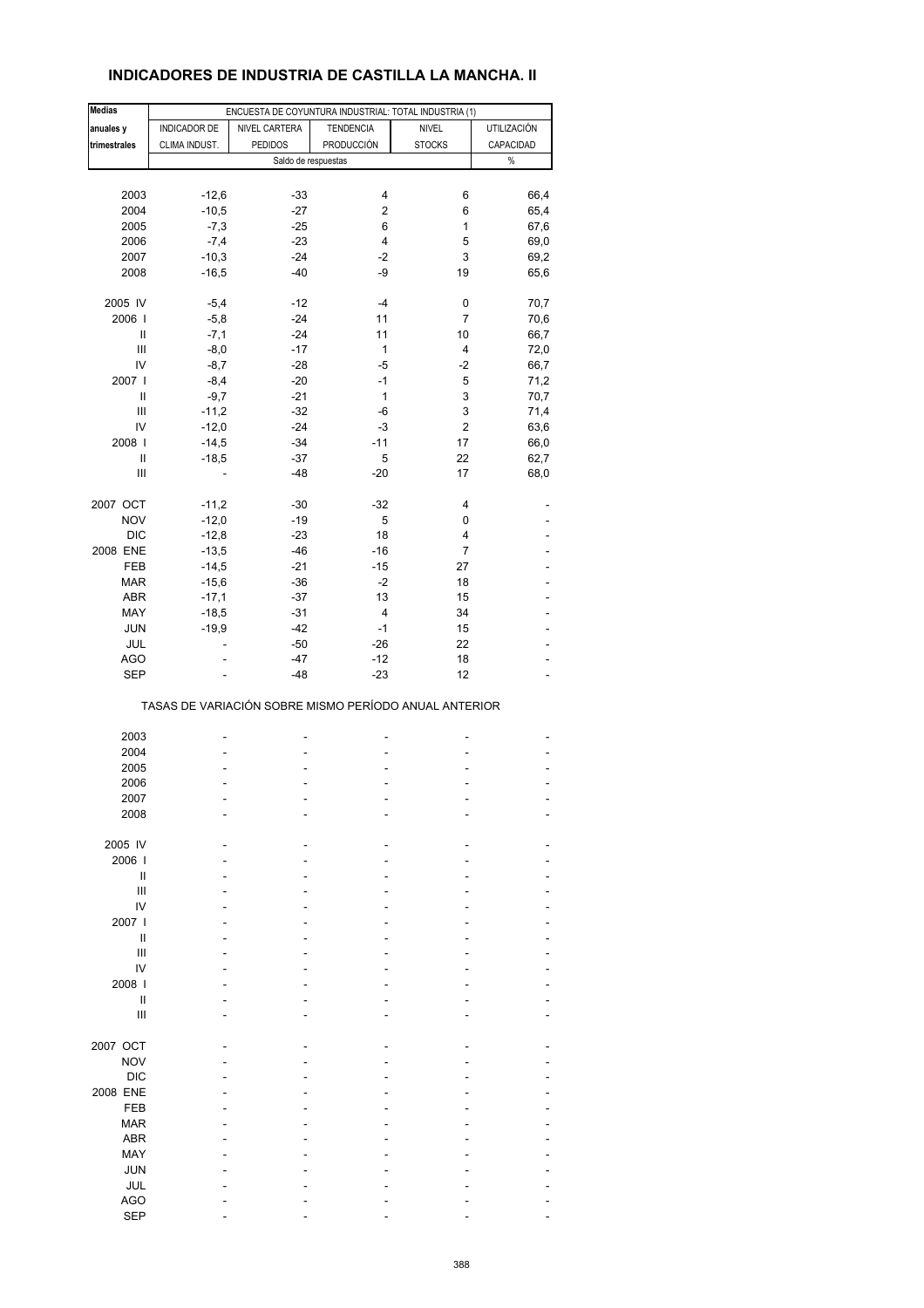# **INDICADORES DE INDUSTRIA DE CASTILLA LA MANCHA. II**

| <b>Medias</b>                      |               | ENCUESTA DE COYUNTURA INDUSTRIAL: TOTAL INDUSTRIA (1) |                   |                  |                |
|------------------------------------|---------------|-------------------------------------------------------|-------------------|------------------|----------------|
| anuales y                          | INDICADOR DE  | NIVEL CARTERA                                         | <b>TENDENCIA</b>  | <b>NIVEL</b>     | UTILIZACIÓN    |
| trimestrales                       | CLIMA INDUST. | <b>PEDIDOS</b>                                        | <b>PRODUCCIÓN</b> | <b>STOCKS</b>    | CAPACIDAD      |
|                                    |               | Saldo de respuestas                                   |                   |                  | $\%$           |
|                                    |               |                                                       |                   |                  |                |
| 2003                               | $-12,6$       | $-33$                                                 | 4                 | 6                | 66,4           |
| 2004                               | $-10,5$       | $-27$                                                 | 2                 | 6                | 65,4           |
| 2005                               | $-7,3$        | $-25$                                                 | 6                 | $\mathbf{1}$     | 67,6           |
| 2006                               | $-7,4$        | $-23$                                                 | $\overline{4}$    | 5                | 69,0           |
| 2007                               | $-10,3$       | $-24$                                                 | $-2$              | 3                |                |
|                                    |               |                                                       |                   |                  | 69,2           |
| 2008                               | $-16,5$       | $-40$                                                 | -9                | 19               | 65,6           |
| 2005 IV                            | $-5,4$        | $-12$                                                 | -4                | 0                | 70,7           |
| 2006                               | $-5,8$        | $-24$                                                 | 11                | 7                | 70,6           |
| Ш                                  | $-7,1$        | $-24$                                                 | 11                | 10               | 66,7           |
|                                    |               | $-17$                                                 | $\mathbf{1}$      | 4                |                |
| Ш                                  | $-8,0$        |                                                       |                   |                  | 72,0           |
| IV                                 | $-8,7$        | $-28$                                                 | -5                | $-2$             | 66,7           |
| 2007                               | $-8,4$        | $-20$                                                 | $-1$              | $\mathbf 5$      | 71,2           |
| $\mathbf{II}$                      | $-9,7$        | $-21$                                                 | $\mathbf{1}$      | 3                | 70,7           |
| Ш                                  | $-11,2$       | $-32$                                                 | -6                | 3                | 71,4           |
| IV                                 | $-12,0$       | $-24$                                                 | -3                | $\boldsymbol{2}$ | 63,6           |
| 2008                               | $-14,5$       | $-34$                                                 | $-11$             | 17               | 66,0           |
| Ш                                  | $-18,5$       | $-37$                                                 | 5                 | 22               | 62,7           |
| $\ensuremath{\mathsf{III}}\xspace$ |               | $-48$                                                 | $-20$             | 17               | 68,0           |
|                                    |               |                                                       |                   |                  |                |
| 2007 OCT                           | $-11,2$       | $-30$                                                 | $-32$             | 4                |                |
| <b>NOV</b>                         | $-12,0$       | $-19$                                                 | 5                 | 0                |                |
| <b>DIC</b>                         | $-12,8$       | $-23$                                                 | 18                | 4                |                |
| 2008 ENE                           | $-13,5$       | $-46$                                                 | $-16$             | 7                |                |
| FEB                                | $-14,5$       | $-21$                                                 | $-15$             | 27               |                |
| <b>MAR</b>                         | $-15,6$       | $-36$                                                 | -2                | 18               |                |
| <b>ABR</b>                         | $-17,1$       | $-37$                                                 | 13                | 15               |                |
| MAY                                | $-18,5$       | $-31$                                                 | 4                 | 34               |                |
|                                    | $-19,9$       | $-42$                                                 | $-1$              |                  |                |
| JUN                                |               |                                                       |                   | 15               |                |
| JUL                                |               | $-50$                                                 | $-26$             | 22               |                |
| AGO                                |               | $-47$                                                 | $-12$             | 18               |                |
| <b>SEP</b>                         |               | $-48$                                                 | $-23$             | 12               |                |
|                                    |               | TASAS DE VARIACIÓN SOBRE MISMO PERÍODO ANUAL ANTERIOR |                   |                  |                |
|                                    |               |                                                       |                   |                  |                |
| 2003                               |               |                                                       | Ĭ.                |                  |                |
| 2004                               |               |                                                       |                   |                  |                |
| 2005                               |               |                                                       | ä,                |                  | $\overline{a}$ |
| 2006                               |               |                                                       | L,                |                  |                |
| 2007                               |               |                                                       |                   |                  |                |
| 2008                               |               |                                                       |                   |                  |                |
|                                    |               |                                                       |                   |                  |                |
| 2005 IV                            |               |                                                       |                   |                  |                |
| 2006                               |               |                                                       |                   |                  |                |
| Ш                                  |               |                                                       |                   |                  |                |
| Ш                                  |               |                                                       |                   |                  |                |
| IV                                 |               |                                                       |                   |                  |                |
| 2007 l                             |               |                                                       |                   |                  |                |
| Ш                                  |               |                                                       |                   |                  |                |
| Ш                                  |               |                                                       |                   |                  |                |
| IV                                 |               |                                                       |                   |                  |                |
| 2008                               |               |                                                       |                   |                  |                |
| Ш                                  |               |                                                       |                   |                  |                |
| $\mathbf{III}$                     |               |                                                       |                   |                  |                |
|                                    |               |                                                       |                   |                  |                |
| 2007 OCT                           |               |                                                       |                   |                  |                |
| <b>NOV</b>                         |               |                                                       |                   |                  |                |
| <b>DIC</b>                         |               |                                                       |                   |                  |                |
|                                    |               |                                                       |                   |                  |                |
| 2008 ENE                           |               |                                                       |                   |                  |                |
| <b>FEB</b>                         |               |                                                       |                   |                  |                |
| <b>MAR</b>                         |               |                                                       |                   |                  |                |
| <b>ABR</b>                         |               |                                                       |                   |                  |                |
| MAY                                |               |                                                       |                   |                  |                |
| <b>JUN</b>                         |               |                                                       |                   |                  |                |
| JUL                                |               |                                                       |                   |                  |                |
| AGO                                |               |                                                       |                   |                  |                |
| <b>SEP</b>                         |               |                                                       |                   |                  |                |
|                                    |               |                                                       |                   |                  |                |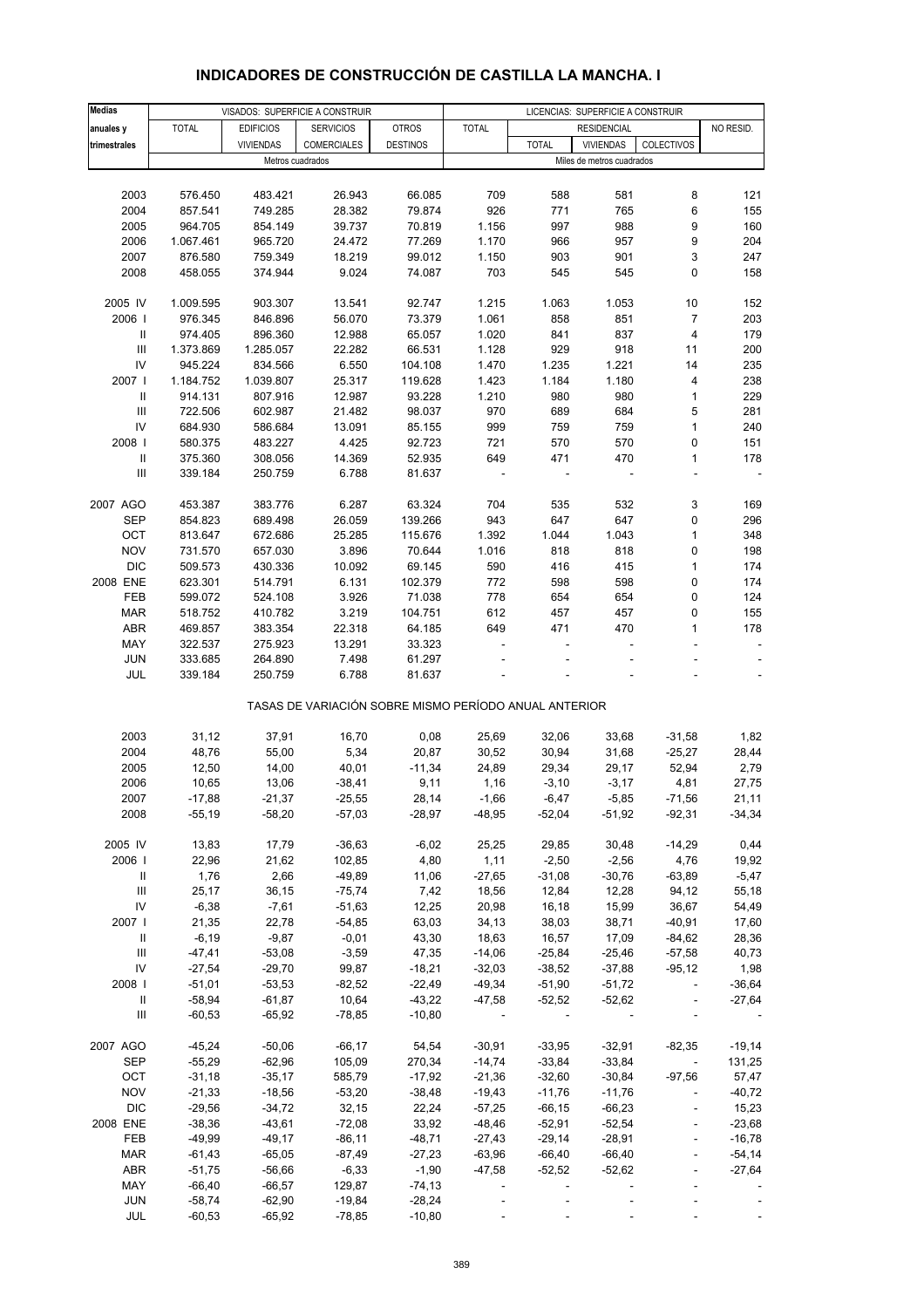# **INDICADORES DE CONSTRUCCIÓN DE CASTILLA LA MANCHA. I**

| <b>Medias</b>                      | VISADOS: SUPERFICIE A CONSTRUIR |                  |                                                       |                 | LICENCIAS: SUPERFICIE A CONSTRUIR |                |                           |                             |                          |
|------------------------------------|---------------------------------|------------------|-------------------------------------------------------|-----------------|-----------------------------------|----------------|---------------------------|-----------------------------|--------------------------|
| anuales y                          | <b>TOTAL</b>                    | <b>EDIFICIOS</b> | <b>SERVICIOS</b>                                      | <b>OTROS</b>    | <b>TOTAL</b>                      |                | <b>RESIDENCIAL</b>        |                             | NO RESID.                |
| trimestrales                       |                                 | <b>VIVIENDAS</b> | <b>COMERCIALES</b>                                    | <b>DESTINOS</b> |                                   | <b>TOTAL</b>   | <b>VIVIENDAS</b>          | COLECTIVOS                  |                          |
|                                    |                                 | Metros cuadrados |                                                       |                 |                                   |                | Miles de metros cuadrados |                             |                          |
|                                    |                                 |                  |                                                       |                 |                                   |                |                           |                             |                          |
| 2003                               | 576.450                         | 483.421          | 26.943                                                | 66.085          | 709                               | 588            | 581                       | 8                           | 121                      |
| 2004                               | 857.541                         | 749.285          | 28.382                                                | 79.874          | 926                               | 771            | 765                       | 6                           | 155                      |
| 2005                               | 964.705                         | 854.149          | 39.737                                                | 70.819          | 1.156                             | 997            | 988                       | 9                           | 160                      |
| 2006                               | 1.067.461                       | 965.720          | 24.472                                                | 77.269          | 1.170                             | 966            | 957                       | 9                           | 204                      |
| 2007                               | 876.580                         | 759.349          | 18.219                                                | 99.012          | 1.150                             | 903            | 901                       | 3                           | 247                      |
| 2008                               | 458.055                         | 374.944          | 9.024                                                 | 74.087          | 703                               | 545            | 545                       | $\mathbf 0$                 | 158                      |
|                                    |                                 |                  |                                                       |                 |                                   |                |                           |                             |                          |
| 2005 IV                            | 1.009.595                       | 903.307          | 13.541                                                | 92.747          | 1.215                             | 1.063          | 1.053                     | 10                          | 152                      |
| 2006                               | 976.345                         | 846.896          | 56.070                                                | 73.379          | 1.061                             | 858            | 851                       | $\overline{7}$              | 203                      |
| Ш                                  | 974.405                         | 896.360          | 12.988                                                | 65.057          | 1.020                             | 841            | 837                       | $\overline{4}$              | 179                      |
| Ш                                  | 1.373.869                       | 1.285.057        | 22.282                                                | 66.531          | 1.128                             | 929            | 918                       | 11                          | 200                      |
| IV                                 | 945.224                         | 834.566          | 6.550                                                 | 104.108         | 1.470                             | 1.235          | 1.221                     | 14                          | 235                      |
| 2007 l                             | 1.184.752                       | 1.039.807        | 25.317                                                | 119.628         | 1.423                             | 1.184          | 1.180                     | $\overline{\mathbf{4}}$     | 238                      |
| Ш                                  | 914.131                         | 807.916          | 12.987                                                | 93.228          | 1.210                             | 980            | 980                       | $\mathbf 1$                 | 229                      |
| Ш                                  | 722.506                         | 602.987          | 21.482                                                | 98.037          | 970                               | 689            | 684                       | 5                           | 281                      |
| IV                                 | 684.930                         | 586.684          | 13.091                                                | 85.155          | 999                               | 759            | 759                       | $\mathbf{1}$                | 240                      |
| 2008                               | 580.375                         | 483.227          | 4.425                                                 | 92.723          | 721                               | 570            | 570                       | 0                           | 151                      |
| Ш                                  | 375.360                         | 308.056          | 14.369                                                | 52.935          | 649                               | 471            | 470                       | $\mathbf{1}$                | 178                      |
| $\ensuremath{\mathsf{III}}\xspace$ | 339.184                         | 250.759          | 6.788                                                 | 81.637          |                                   |                |                           | ÷,                          |                          |
|                                    |                                 |                  |                                                       |                 |                                   |                |                           |                             |                          |
| 2007 AGO                           | 453.387                         | 383.776          | 6.287                                                 | 63.324          | 704                               | 535            | 532                       | 3                           | 169                      |
| <b>SEP</b>                         | 854.823                         | 689.498          | 26.059                                                | 139.266         | 943                               | 647            | 647                       | 0                           | 296                      |
| OCT                                | 813.647                         | 672.686          | 25.285                                                | 115.676         | 1.392                             | 1.044          | 1.043                     | $\mathbf{1}$                | 348                      |
| <b>NOV</b>                         | 731.570                         | 657.030          | 3.896                                                 | 70.644          | 1.016                             | 818            | 818                       | 0                           | 198                      |
| <b>DIC</b>                         | 509.573                         | 430.336          | 10.092                                                | 69.145          | 590                               | 416            | 415                       | $\mathbf{1}$                | 174                      |
| 2008 ENE                           | 623.301                         | 514.791          | 6.131                                                 | 102.379         | 772                               | 598            | 598                       | 0                           | 174                      |
| FEB                                | 599.072                         | 524.108          | 3.926                                                 | 71.038          | 778                               | 654            | 654                       | 0                           | 124                      |
|                                    |                                 |                  |                                                       |                 |                                   |                |                           |                             |                          |
| <b>MAR</b>                         | 518.752                         | 410.782          | 3.219                                                 | 104.751         | 612                               | 457            | 457                       | 0                           | 155                      |
| <b>ABR</b>                         | 469.857                         | 383.354          | 22.318                                                | 64.185          | 649                               | 471            | 470                       | $\mathbf{1}$                | 178                      |
| MAY                                | 322.537                         | 275.923          | 13.291                                                | 33.323          |                                   |                |                           |                             |                          |
| <b>JUN</b>                         | 333.685                         | 264.890          | 7.498                                                 | 61.297          |                                   |                |                           |                             |                          |
| JUL                                | 339.184                         | 250.759          | 6.788                                                 | 81.637          |                                   |                |                           |                             | $\overline{\phantom{a}}$ |
|                                    |                                 |                  | TASAS DE VARIACIÓN SOBRE MISMO PERÍODO ANUAL ANTERIOR |                 |                                   |                |                           |                             |                          |
| 2003                               | 31,12                           |                  | 16,70                                                 |                 |                                   |                |                           |                             |                          |
| 2004                               | 48,76                           | 37,91<br>55,00   | 5,34                                                  | 0,08<br>20,87   | 25,69<br>30,52                    | 32,06<br>30,94 | 33,68<br>31,68            | $-31,58$<br>$-25,27$        | 1,82<br>28,44            |
|                                    |                                 |                  |                                                       |                 |                                   |                |                           |                             |                          |
| 2005                               | 12,50                           | 14,00            | 40,01                                                 | $-11,34$        | 24,89                             | 29,34          | 29,17                     | 52,94                       | 2,79                     |
| 2006                               | 10,65                           | 13,06            | $-38,41$                                              | 9,11            | 1,16                              | $-3,10$        | $-3,17$                   | 4,81                        | 27,75                    |
| 2007                               | $-17,88$                        | $-21,37$         | $-25,55$                                              | 28,14           | $-1,66$                           | -6,47          | $-5,85$                   | $-71,56$                    | 21,11                    |
| 2008                               | $-55,19$                        | $-58,20$         | $-57,03$                                              | -28,97          | -48,95                            | $-52,04$       | $-51,92$                  | -92,31                      | $-34,34$                 |
| 2005 IV                            | 13,83                           | 17,79            | $-36,63$                                              | $-6,02$         | 25,25                             | 29,85          | 30,48                     | $-14,29$                    | 0,44                     |
| 2006                               |                                 | 21,62            | 102,85                                                | 4,80            |                                   |                |                           |                             |                          |
|                                    | 22,96                           |                  |                                                       |                 | 1,11                              | $-2,50$        | $-2,56$                   | 4,76                        | 19,92                    |
| Ш                                  | 1,76                            | 2,66             | $-49,89$                                              | 11,06           | $-27,65$                          | $-31,08$       | $-30,76$                  | $-63,89$                    | $-5,47$                  |
| Ш                                  | 25,17                           | 36,15            | $-75,74$                                              | 7,42            | 18,56                             | 12,84          | 12,28                     | 94,12                       | 55,18                    |
| IV                                 | $-6,38$                         | $-7,61$          | $-51,63$                                              | 12,25           | 20,98                             | 16,18          | 15,99                     | 36,67                       | 54,49                    |
| 2007 l                             | 21,35                           | 22,78            | $-54,85$                                              | 63,03           | 34,13                             | 38,03          | 38,71                     | $-40,91$                    | 17,60                    |
| Ш                                  | $-6,19$                         | $-9,87$          | $-0,01$                                               | 43,30           | 18,63                             | 16,57          | 17,09                     | $-84,62$                    | 28,36                    |
| $\ensuremath{\mathsf{III}}\xspace$ | $-47,41$                        | $-53,08$         | $-3,59$                                               | 47,35           | $-14,06$                          | $-25,84$       | $-25,46$                  | $-57,58$                    | 40,73                    |
| IV                                 | $-27,54$                        | $-29,70$         | 99,87                                                 | $-18,21$        | $-32,03$                          | $-38,52$       | $-37,88$                  | $-95, 12$                   | 1,98                     |
| 2008                               | $-51,01$                        | $-53,53$         | $-82,52$                                              | $-22,49$        | $-49,34$                          | $-51,90$       | $-51,72$                  | $\mathcal{L}_{\mathcal{A}}$ | $-36,64$                 |
| $\, \parallel$                     | $-58,94$                        | $-61,87$         | 10,64                                                 | $-43,22$        | $-47,58$                          | $-52,52$       | $-52,62$                  | $\overline{\phantom{a}}$    | $-27,64$                 |
| Ш                                  | $-60,53$                        | $-65,92$         | $-78,85$                                              | $-10,80$        |                                   |                |                           |                             |                          |
| 2007 AGO                           | $-45,24$                        | $-50,06$         | $-66,17$                                              | 54,54           | $-30,91$                          | $-33,95$       | $-32,91$                  | $-82,35$                    | $-19,14$                 |
| SEP                                | $-55,29$                        | $-62,96$         | 105,09                                                | 270,34          | $-14,74$                          | $-33,84$       | $-33,84$                  | $\overline{\phantom{a}}$    | 131,25                   |
| OCT                                | $-31,18$                        | $-35,17$         | 585,79                                                | $-17,92$        | $-21,36$                          | $-32,60$       | $-30,84$                  | $-97,56$                    | 57,47                    |
| <b>NOV</b>                         | $-21,33$                        | $-18,56$         | $-53,20$                                              | $-38,48$        | $-19,43$                          | $-11,76$       | $-11,76$                  | $\blacksquare$              | $-40,72$                 |
|                                    |                                 |                  |                                                       |                 |                                   |                |                           |                             |                          |
| <b>DIC</b>                         | $-29,56$                        | $-34,72$         | 32,15                                                 | 22,24           | $-57,25$                          | $-66, 15$      | $-66,23$                  | $\overline{\phantom{a}}$    | 15,23                    |
| 2008 ENE                           | $-38,36$                        | $-43,61$         | $-72,08$                                              | 33,92           | $-48,46$                          | $-52,91$       | $-52,54$                  | $\overline{\phantom{a}}$    | $-23,68$                 |
| FEB                                | $-49,99$                        | $-49,17$         | $-86,11$                                              | $-48,71$        | $-27,43$                          | $-29,14$       | $-28,91$                  | $\Box$                      | $-16,78$                 |
| <b>MAR</b>                         | $-61,43$                        | $-65,05$         | $-87,49$                                              | $-27,23$        | $-63,96$                          | $-66,40$       | $-66,40$                  | ÷,                          | $-54,14$                 |
| ABR                                | $-51,75$                        | $-56,66$         | $-6,33$                                               | $-1,90$         | $-47,58$                          | $-52,52$       | $-52,62$                  | $\overline{\phantom{a}}$    | $-27,64$                 |
| MAY                                | $-66,40$                        | $-66,57$         | 129,87                                                | $-74, 13$       |                                   |                |                           |                             |                          |
| <b>JUN</b>                         | $-58,74$                        | $-62,90$         | $-19,84$                                              | $-28,24$        |                                   |                |                           |                             |                          |
| <b>JUL</b>                         | $-60,53$                        | $-65,92$         | $-78,85$                                              | $-10,80$        |                                   |                |                           |                             |                          |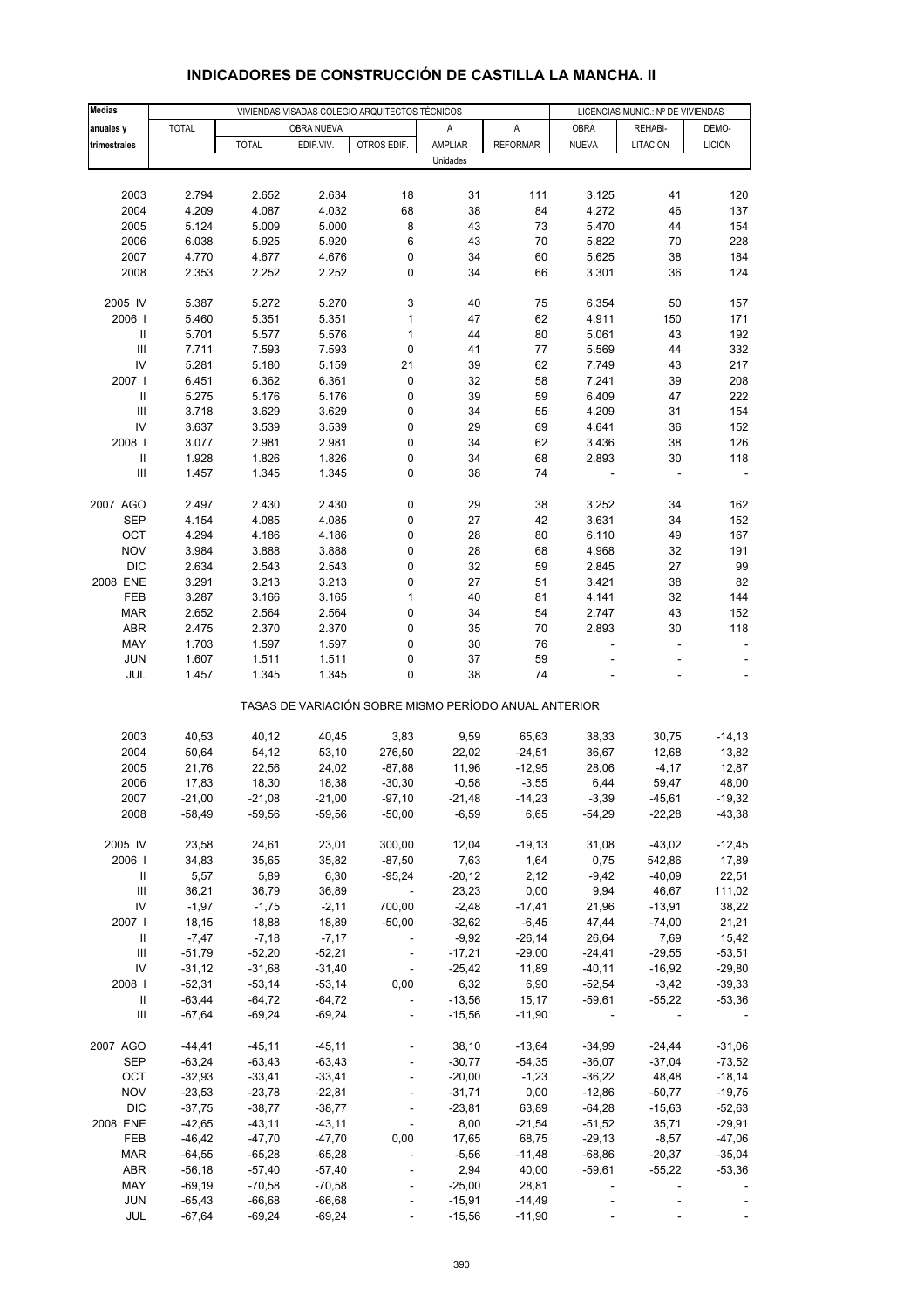| <b>Medias</b>                      |                      |                      | VIVIENDAS VISADAS COLEGIO ARQUITECTOS TÉCNICOS |                                                       | LICENCIAS MUNIC.: Nº DE VIVIENDAS |                     |                |                  |                          |
|------------------------------------|----------------------|----------------------|------------------------------------------------|-------------------------------------------------------|-----------------------------------|---------------------|----------------|------------------|--------------------------|
| anuales y                          | <b>TOTAL</b>         |                      | OBRA NUEVA                                     |                                                       | Α                                 | A                   | <b>OBRA</b>    | REHABI-          | DEMO-                    |
| trimestrales                       |                      | <b>TOTAL</b>         | EDIF.VIV.                                      | OTROS EDIF.                                           | AMPLIAR                           | <b>REFORMAR</b>     | <b>NUEVA</b>   | LITACIÓN         | <b>LICIÓN</b>            |
|                                    |                      |                      |                                                |                                                       | Unidades                          |                     |                |                  |                          |
|                                    |                      |                      |                                                |                                                       |                                   |                     |                |                  |                          |
| 2003                               | 2.794                | 2.652                | 2.634                                          | 18                                                    | 31                                | 111                 | 3.125          | 41               | 120                      |
| 2004                               | 4.209                | 4.087                | 4.032                                          | 68                                                    | 38                                | 84                  | 4.272          | 46               | 137                      |
| 2005                               | 5.124                | 5.009                | 5.000                                          | 8                                                     | 43                                | 73                  | 5.470          | 44               | 154                      |
| 2006                               | 6.038                | 5.925                | 5.920                                          | 6                                                     | 43                                | 70                  | 5.822          | 70               | 228                      |
| 2007                               | 4.770                | 4.677                | 4.676                                          | 0                                                     | 34                                | 60                  | 5.625          | 38               | 184                      |
| 2008                               | 2.353                | 2.252                | 2.252                                          | 0                                                     | 34                                | 66                  | 3.301          | 36               | 124                      |
| 2005 IV                            |                      |                      | 5.270                                          |                                                       |                                   |                     |                |                  |                          |
| 2006                               | 5.387<br>5.460       | 5.272<br>5.351       | 5.351                                          | 3<br>$\mathbf{1}$                                     | 40<br>47                          | 75<br>62            | 6.354<br>4.911 | 50<br>150        | 157<br>171               |
| $\ensuremath{\mathsf{II}}$         | 5.701                | 5.577                | 5.576                                          | 1                                                     | 44                                | 80                  | 5.061          | 43               | 192                      |
| $\ensuremath{\mathsf{III}}\xspace$ | 7.711                | 7.593                | 7.593                                          | 0                                                     | 41                                | 77                  | 5.569          | 44               | 332                      |
| IV                                 | 5.281                | 5.180                | 5.159                                          | 21                                                    | 39                                | 62                  | 7.749          | 43               | 217                      |
| 2007 l                             | 6.451                | 6.362                | 6.361                                          | 0                                                     | 32                                | 58                  | 7.241          | 39               | 208                      |
| $\ensuremath{\mathsf{II}}$         | 5.275                | 5.176                | 5.176                                          | 0                                                     | 39                                | 59                  | 6.409          | 47               | 222                      |
| $\ensuremath{\mathsf{III}}\xspace$ | 3.718                | 3.629                | 3.629                                          | 0                                                     | 34                                | 55                  | 4.209          | 31               | 154                      |
| IV                                 | 3.637                | 3.539                | 3.539                                          | 0                                                     | 29                                | 69                  | 4.641          | 36               | 152                      |
| 2008                               | 3.077                | 2.981                | 2.981                                          | 0                                                     | 34                                | 62                  | 3.436          | 38               | 126                      |
| $\sf II$                           | 1.928                | 1.826                | 1.826                                          | 0                                                     | 34                                | 68                  | 2.893          | 30               | 118                      |
| $\ensuremath{\mathsf{III}}\xspace$ | 1.457                | 1.345                | 1.345                                          | 0                                                     | 38                                | 74                  |                |                  |                          |
|                                    |                      |                      |                                                |                                                       |                                   |                     |                |                  |                          |
| 2007 AGO                           | 2.497                | 2.430                | 2.430                                          | 0                                                     | 29                                | 38                  | 3.252          | 34               | 162                      |
| <b>SEP</b>                         | 4.154                | 4.085                | 4.085                                          | 0                                                     | 27                                | 42                  | 3.631          | 34               | 152                      |
| OCT<br><b>NOV</b>                  | 4.294<br>3.984       | 4.186<br>3.888       | 4.186<br>3.888                                 | 0<br>0                                                | 28<br>28                          | 80<br>68            | 6.110<br>4.968 | 49<br>32         | 167<br>191               |
| <b>DIC</b>                         | 2.634                | 2.543                | 2.543                                          | 0                                                     | 32                                | 59                  | 2.845          | 27               | 99                       |
| 2008 ENE                           | 3.291                | 3.213                | 3.213                                          | 0                                                     | 27                                | 51                  | 3.421          | 38               | 82                       |
| FEB                                | 3.287                | 3.166                | 3.165                                          | 1                                                     | 40                                | 81                  | 4.141          | 32               | 144                      |
| <b>MAR</b>                         | 2.652                | 2.564                | 2.564                                          | 0                                                     | 34                                | 54                  | 2.747          | 43               | 152                      |
| <b>ABR</b>                         | 2.475                | 2.370                | 2.370                                          | 0                                                     | 35                                | 70                  | 2.893          | 30               | 118                      |
| MAY                                | 1.703                | 1.597                | 1.597                                          | 0                                                     | 30                                | 76                  | L,             | ÷                | $\overline{\phantom{a}}$ |
| <b>JUN</b>                         | 1.607                | 1.511                | 1.511                                          | 0                                                     | 37                                | 59                  |                |                  |                          |
| JUL                                | 1.457                | 1.345                | 1.345                                          | 0                                                     | 38                                | 74                  |                |                  |                          |
|                                    |                      |                      |                                                | TASAS DE VARIACIÓN SOBRE MISMO PERÍODO ANUAL ANTERIOR |                                   |                     |                |                  |                          |
| 2003                               | 40,53                | 40,12                | 40,45                                          | 3,83                                                  | 9,59                              | 65,63               | 38,33          | 30,75            | $-14, 13$                |
| 2004                               | 50,64                | 54,12                | 53,10                                          | 276,50                                                | 22,02                             | $-24,51$            | 36,67          | 12,68            | 13,82                    |
| 2005                               | 21,76                | 22,56                | 24,02                                          | $-87,88$                                              | 11,96                             | $-12,95$            | 28,06          | $-4,17$          | 12,87                    |
| 2006                               | 17,83                | 18,30                | 18,38                                          | $-30,30$                                              | $-0,58$                           | $-3,55$             | 6,44           | 59,47            | 48,00                    |
| 2007                               | $-21,00$             | -21,08               | $-21,00$                                       | -97,10                                                | -21,48                            | -14,23              | $-3,39$        | -45,61           | -19,32                   |
| 2008                               | $-58,49$             | $-59,56$             | $-59,56$                                       | $-50,00$                                              | $-6,59$                           | 6,65                | $-54,29$       | $-22,28$         | $-43,38$                 |
|                                    |                      |                      |                                                |                                                       |                                   |                     |                |                  |                          |
| 2005 IV                            | 23,58                | 24,61                | 23,01                                          | 300,00                                                | 12,04                             | $-19,13$            | 31,08          | $-43,02$         | $-12,45$                 |
| 2006                               | 34,83                | 35,65                | 35,82                                          | $-87,50$                                              | 7,63                              | 1,64                | 0,75           | 542,86           | 17,89                    |
| Ш                                  | 5,57                 | 5,89                 | 6,30                                           | $-95,24$                                              | $-20,12$                          | 2,12                | $-9,42$        | $-40,09$         | 22,51                    |
| $\ensuremath{\mathsf{III}}\xspace$ | 36,21                | 36,79                | 36,89                                          | $\overline{\phantom{a}}$                              | 23,23                             | 0,00                | 9,94           | 46,67            | 111,02                   |
| IV<br>2007 l                       | $-1,97$              | $-1,75$              | $-2,11$                                        | 700,00                                                | $-2,48$                           | $-17,41$            | 21,96          | $-13,91$         | 38,22                    |
| Ш                                  | 18,15<br>$-7,47$     | 18,88<br>$-7,18$     | 18,89<br>$-7,17$                               | $-50,00$<br>$\blacksquare$                            | $-32,62$<br>$-9,92$               | $-6,45$<br>$-26,14$ | 47,44<br>26,64 | $-74,00$<br>7,69 | 21,21<br>15,42           |
| $\ensuremath{\mathsf{III}}\xspace$ | $-51,79$             | $-52,20$             | $-52,21$                                       |                                                       | $-17,21$                          | $-29,00$            | $-24,41$       | $-29,55$         | $-53,51$                 |
| IV                                 | $-31,12$             | $-31,68$             | $-31,40$                                       | $\blacksquare$                                        | $-25,42$                          | 11,89               | $-40,11$       | $-16,92$         | $-29,80$                 |
| 2008                               | $-52,31$             | $-53,14$             | $-53,14$                                       | 0,00                                                  | 6,32                              | 6,90                | $-52,54$       | $-3,42$          | $-39,33$                 |
| Ш                                  | $-63,44$             | $-64,72$             | $-64,72$                                       | $\blacksquare$                                        | $-13,56$                          | 15,17               | $-59,61$       | $-55,22$         | $-53,36$                 |
| Ш                                  | $-67,64$             | $-69,24$             | $-69,24$                                       | $\Box$                                                | $-15,56$                          | $-11,90$            |                |                  |                          |
|                                    |                      |                      |                                                |                                                       |                                   |                     |                |                  |                          |
| 2007 AGO                           | $-44, 41$            | $-45,11$             | $-45,11$                                       |                                                       | 38,10                             | $-13,64$            | $-34,99$       | $-24,44$         | $-31,06$                 |
| SEP                                | $-63,24$             | $-63,43$             | $-63,43$                                       | ÷,                                                    | $-30,77$                          | $-54,35$            | $-36,07$       | $-37,04$         | $-73,52$                 |
| OCT                                | $-32,93$             | $-33,41$             | $-33,41$                                       |                                                       | $-20,00$                          | $-1,23$             | $-36,22$       | 48,48            | $-18,14$                 |
| <b>NOV</b>                         | $-23,53$             | $-23,78$             | $-22,81$                                       | $\overline{\phantom{a}}$                              | $-31,71$                          | 0,00                | $-12,86$       | $-50,77$         | $-19,75$                 |
| <b>DIC</b>                         | $-37,75$             | $-38,77$             | $-38,77$                                       | $\blacksquare$                                        | $-23,81$                          | 63,89               | $-64,28$       | $-15,63$         | $-52,63$                 |
| 2008 ENE                           | $-42,65$             | $-43,11$             | $-43,11$                                       | $\blacksquare$                                        | 8,00                              | $-21,54$            | $-51,52$       | 35,71            | $-29,91$                 |
| FEB                                | $-46,42$             | $-47,70$             | $-47,70$                                       | 0,00                                                  | 17,65                             | 68,75               | $-29,13$       | $-8,57$          | $-47,06$                 |
| <b>MAR</b>                         | $-64,55$             | $-65,28$             | $-65,28$                                       | $\overline{\phantom{a}}$                              | $-5,56$                           | $-11,48$            | $-68,86$       | $-20,37$         | $-35,04$                 |
| ABR<br>MAY                         | $-56,18$<br>$-69,19$ | $-57,40$<br>$-70,58$ | $-57,40$<br>$-70,58$                           | ÷,<br>$\blacksquare$                                  | 2,94<br>$-25,00$                  | 40,00<br>28,81      | $-59,61$<br>÷, | $-55,22$         | $-53,36$                 |
| <b>JUN</b>                         | $-65,43$             | $-66,68$             | $-66,68$                                       | $\blacksquare$                                        | $-15,91$                          | $-14,49$            |                |                  |                          |
| JUL                                | $-67,64$             | $-69,24$             | $-69,24$                                       |                                                       | $-15,56$                          | $-11,90$            |                |                  |                          |
|                                    |                      |                      |                                                |                                                       |                                   |                     |                |                  |                          |

## **INDICADORES DE CONSTRUCCIÓN DE CASTILLA LA MANCHA. II**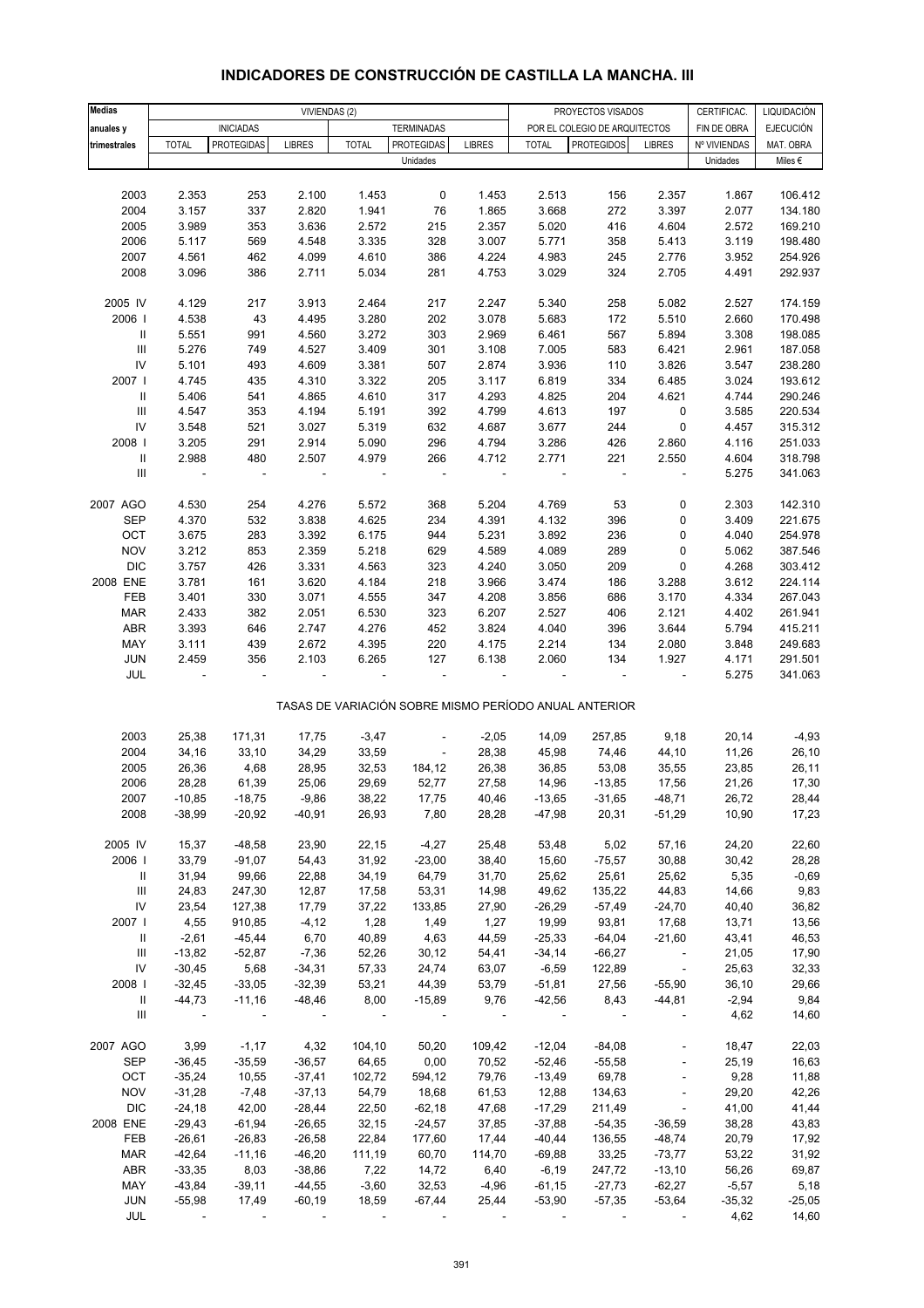| <b>Medias</b>                      |              |                          | VIVIENDAS (2)  |              |                          |                |                          | PROYECTOS VISADOS                                     |                          | CERTIFICAC.  | LIQUIDACIÓN      |
|------------------------------------|--------------|--------------------------|----------------|--------------|--------------------------|----------------|--------------------------|-------------------------------------------------------|--------------------------|--------------|------------------|
| anuales y                          |              | <b>INICIADAS</b>         |                |              | <b>TERMINADAS</b>        |                |                          | POR EL COLEGIO DE ARQUITECTOS                         |                          | FIN DE OBRA  | <b>EJECUCIÓN</b> |
| trimestrales                       | <b>TOTAL</b> | <b>PROTEGIDAS</b>        | <b>LIBRES</b>  | <b>TOTAL</b> | <b>PROTEGIDAS</b>        | <b>LIBRES</b>  | <b>TOTAL</b>             | <b>PROTEGIDOS</b>                                     | <b>LIBRES</b>            | Nº VIVIENDAS | MAT. OBRA        |
|                                    |              |                          |                |              | Unidades                 |                |                          |                                                       |                          | Unidades     | Miles $\epsilon$ |
|                                    |              |                          |                |              |                          |                |                          |                                                       |                          |              |                  |
| 2003                               | 2.353        | 253                      | 2.100          | 1.453        | 0                        | 1.453          | 2.513                    | 156                                                   | 2.357                    | 1.867        | 106.412          |
| 2004                               | 3.157        | 337                      | 2.820          | 1.941        | 76                       | 1.865          | 3.668                    | 272                                                   | 3.397                    | 2.077        | 134.180          |
| 2005                               | 3.989        | 353                      | 3.636          | 2.572        | 215                      | 2.357          | 5.020                    | 416                                                   | 4.604                    | 2.572        | 169.210          |
| 2006                               | 5.117        | 569                      | 4.548          | 3.335        | 328                      | 3.007          | 5.771                    | 358                                                   | 5.413                    | 3.119        | 198.480          |
| 2007                               | 4.561        | 462                      | 4.099          | 4.610        | 386                      | 4.224          | 4.983                    | 245                                                   | 2.776                    | 3.952        | 254.926          |
| 2008                               | 3.096        | 386                      | 2.711          | 5.034        | 281                      | 4.753          | 3.029                    | 324                                                   | 2.705                    | 4.491        | 292.937          |
|                                    |              |                          |                |              |                          |                |                          |                                                       |                          |              |                  |
| 2005 IV                            | 4.129        | 217                      | 3.913          | 2.464        | 217                      | 2.247          | 5.340                    | 258                                                   | 5.082                    | 2.527        | 174.159          |
| 2006                               | 4.538        | 43                       | 4.495          | 3.280        | 202                      | 3.078          | 5.683                    | 172                                                   | 5.510                    | 2.660        | 170.498          |
| $\, \parallel$                     | 5.551        | 991                      | 4.560          | 3.272        | 303                      | 2.969          | 6.461                    | 567                                                   | 5.894                    | 3.308        | 198.085          |
| $\ensuremath{\mathsf{III}}\xspace$ | 5.276        | 749                      | 4.527          | 3.409        | 301                      | 3.108          | 7.005                    | 583                                                   | 6.421                    | 2.961        | 187.058          |
| ${\sf IV}$                         | 5.101        | 493                      | 4.609          | 3.381        | 507                      | 2.874          | 3.936                    | 110                                                   | 3.826                    | 3.547        | 238.280          |
| 2007                               | 4.745        | 435                      | 4.310          | 3.322        | 205                      | 3.117          | 6.819                    | 334                                                   | 6.485                    | 3.024        | 193.612          |
| $\, \parallel$                     | 5.406        | 541                      | 4.865          | 4.610        | 317                      | 4.293          | 4.825                    | 204                                                   | 4.621                    | 4.744        | 290.246          |
| $\ensuremath{\mathsf{III}}\xspace$ | 4.547        | 353                      | 4.194          | 5.191        | 392                      | 4.799          | 4.613                    | 197                                                   | 0                        | 3.585        | 220.534          |
| ${\sf IV}$                         | 3.548        | 521                      | 3.027          | 5.319        | 632                      | 4.687          | 3.677                    | 244                                                   | $\pmb{0}$                | 4.457        | 315.312          |
| 2008                               | 3.205        | 291                      | 2.914          | 5.090        | 296                      | 4.794          | 3.286                    | 426                                                   | 2.860                    | 4.116        | 251.033          |
| $\, \parallel$                     | 2.988        | 480                      | 2.507          | 4.979        | 266                      | 4.712          | 2.771                    | 221                                                   | 2.550                    | 4.604        | 318.798          |
| Ш                                  | ÷            | $\overline{\phantom{a}}$ | $\blacksquare$ |              | $\overline{\phantom{m}}$ | $\blacksquare$ | $\overline{\phantom{a}}$ | $\overline{\phantom{a}}$                              | $\overline{\phantom{a}}$ | 5.275        | 341.063          |
|                                    |              |                          |                |              |                          |                |                          |                                                       |                          |              |                  |
| 2007 AGO                           | 4.530        | 254                      | 4.276          | 5.572        | 368                      | 5.204          | 4.769                    | 53                                                    | 0                        | 2.303        | 142.310          |
| <b>SEP</b>                         | 4.370        | 532                      | 3.838          | 4.625        | 234                      | 4.391          | 4.132                    | 396                                                   | 0                        | 3.409        | 221.675          |
| OCT                                | 3.675        | 283                      | 3.392          | 6.175        | 944                      | 5.231          | 3.892                    | 236                                                   | 0                        | 4.040        | 254.978          |
| <b>NOV</b>                         | 3.212        | 853                      | 2.359          | 5.218        | 629                      | 4.589          | 4.089                    | 289                                                   | 0                        | 5.062        | 387.546          |
| <b>DIC</b>                         | 3.757        | 426                      | 3.331          | 4.563        | 323                      | 4.240          | 3.050                    | 209                                                   | 0                        | 4.268        | 303.412          |
| 2008 ENE                           | 3.781        | 161                      | 3.620          | 4.184        | 218                      | 3.966          | 3.474                    | 186                                                   | 3.288                    | 3.612        | 224.114          |
| FEB                                | 3.401        | 330                      | 3.071          | 4.555        | 347                      | 4.208          | 3.856                    | 686                                                   | 3.170                    | 4.334        | 267.043          |
| <b>MAR</b>                         | 2.433        | 382                      | 2.051          | 6.530        | 323                      | 6.207          | 2.527                    | 406                                                   | 2.121                    | 4.402        | 261.941          |
| ABR                                | 3.393        | 646                      | 2.747          | 4.276        | 452                      | 3.824          | 4.040                    | 396                                                   | 3.644                    | 5.794        | 415.211          |
| MAY                                | 3.111        | 439                      | 2.672          | 4.395        | 220                      | 4.175          | 2.214                    | 134                                                   | 2.080                    | 3.848        | 249.683          |
| JUN                                | 2.459        | 356                      | 2.103          | 6.265        | 127                      | 6.138          | 2.060                    | 134                                                   | 1.927                    | 4.171        | 291.501          |
| JUL                                |              |                          |                |              |                          |                |                          |                                                       |                          | 5.275        | 341.063          |
|                                    |              |                          |                |              |                          |                |                          |                                                       |                          |              |                  |
|                                    |              |                          |                |              |                          |                |                          | TASAS DE VARIACIÓN SOBRE MISMO PERÍODO ANUAL ANTERIOR |                          |              |                  |
|                                    |              |                          |                |              |                          |                |                          |                                                       |                          |              |                  |
| 2003                               | 25,38        | 171,31                   | 17,75          | $-3,47$      |                          | $-2,05$        | 14,09                    | 257,85                                                | 9,18                     | 20,14        | $-4,93$          |
| 2004                               | 34,16        | 33,10                    | 34,29          | 33,59        | $\frac{1}{2}$            | 28,38          | 45,98                    | 74,46                                                 | 44,10                    | 11,26        | 26,10            |
| 2005                               | 26,36        | 4,68                     | 28,95          | 32,53        | 184,12                   | 26,38          | 36,85                    | 53,08                                                 | 35,55                    | 23,85        | 26,11            |
| 2006                               | 28,28        | 61,39                    | 25,06          | 29,69        | 52,77                    | 27,58          | 14,96                    | $-13,85$                                              | 17,56                    | 21,26        | 17,30            |
| 2007                               | $-10,85$     | $-18,75$                 | $-9,86$        | 38,22        | 17,75                    | 40,46          | $-13,65$                 | $-31,65$                                              | $-48,71$                 | 26,72        | 28,44            |
| 2008                               | $-38,99$     | $-20,92$                 | $-40,91$       | 26,93        | 7,80                     | 28,28          | $-47,98$                 | 20,31                                                 | $-51,29$                 | 10,90        | 17,23            |
|                                    |              |                          |                |              |                          |                |                          |                                                       |                          |              |                  |
| 2005 IV                            | 15,37        | $-48,58$                 | 23,90          | 22,15        | $-4,27$                  | 25,48          | 53,48                    | 5,02                                                  | 57,16                    | 24,20        | 22,60            |
| 2006                               | 33,79        | $-91,07$                 | 54,43          | 31,92        | $-23,00$                 | 38,40          | 15,60                    | $-75,57$                                              | 30,88                    | 30,42        | 28,28            |
| Ш                                  | 31,94        | 99,66                    | 22,88          | 34,19        | 64,79                    | 31,70          | 25,62                    | 25,61                                                 | 25,62                    | 5,35         | $-0,69$          |
| Ш                                  | 24,83        | 247,30                   | 12,87          | 17,58        | 53,31                    | 14,98          | 49,62                    | 135,22                                                | 44,83                    | 14,66        | 9,83             |
| ${\sf IV}$                         | 23,54        | 127,38                   | 17,79          | 37,22        | 133,85                   | 27,90          | $-26,29$                 | $-57,49$                                              | $-24,70$                 | 40,40        | 36,82            |
| 2007                               | 4,55         | 910,85                   | $-4, 12$       | 1,28         | 1,49                     | 1,27           | 19,99                    | 93,81                                                 | 17,68                    | 13,71        | 13,56            |
| Ш                                  | $-2,61$      | $-45,44$                 | 6,70           | 40,89        | 4,63                     | 44,59          | $-25,33$                 | $-64,04$                                              | $-21,60$                 | 43,41        | 46,53            |
| Ш                                  | $-13,82$     | $-52,87$                 | $-7,36$        | 52,26        | 30, 12                   | 54,41          | $-34,14$                 | $-66,27$                                              | $\overline{\phantom{a}}$ | 21,05        | 17,90            |
| ${\sf IV}$                         | $-30,45$     | 5,68                     | $-34,31$       | 57,33        | 24,74                    | 63,07          | $-6,59$                  | 122,89                                                | $\sim$                   | 25,63        | 32,33            |
| 2008                               | $-32,45$     | $-33,05$                 | $-32,39$       | 53,21        | 44,39                    | 53,79          | $-51,81$                 | 27,56                                                 | $-55,90$                 | 36, 10       | 29,66            |
| Ш                                  | $-44,73$     | $-11,16$                 | $-48,46$       | 8,00         | $-15,89$                 | 9,76           | $-42,56$                 | 8,43                                                  | $-44,81$                 | $-2,94$      | 9,84             |
| $\mathop{\mathrm{III}}\nolimits$   |              |                          |                |              |                          |                |                          |                                                       | $\overline{\phantom{a}}$ | 4,62         | 14,60            |
|                                    |              |                          |                |              |                          |                |                          |                                                       |                          |              |                  |
| 2007 AGO                           | 3,99         | $-1,17$                  | 4,32           | 104,10       | 50,20                    | 109,42         | $-12,04$                 | $-84,08$                                              |                          | 18,47        | 22,03            |
| <b>SEP</b>                         | $-36,45$     | $-35,59$                 | $-36,57$       | 64,65        | 0,00                     | 70,52          | $-52,46$                 | $-55,58$                                              | $\omega$                 | 25,19        | 16,63            |
| OCT                                | $-35,24$     | 10,55                    | $-37,41$       | 102,72       | 594,12                   | 79,76          | $-13,49$                 | 69,78                                                 | $\overline{\phantom{a}}$ | 9,28         | 11,88            |
| <b>NOV</b>                         | $-31,28$     | $-7,48$                  | $-37,13$       | 54,79        | 18,68                    | 61,53          | 12,88                    | 134,63                                                | $\overline{\phantom{a}}$ | 29,20        | 42,26            |
| <b>DIC</b>                         | $-24,18$     | 42,00                    | $-28,44$       | 22,50        | $-62,18$                 | 47,68          | $-17,29$                 | 211,49                                                | $\overline{\phantom{a}}$ | 41,00        | 41,44            |
| 2008 ENE                           | $-29,43$     | $-61,94$                 | $-26,65$       | 32,15        | $-24,57$                 | 37,85          | $-37,88$                 | $-54,35$                                              | $-36,59$                 | 38,28        | 43,83            |
| FEB                                | $-26,61$     | $-26,83$                 | $-26,58$       | 22,84        | 177,60                   | 17,44          | $-40,44$                 | 136,55                                                | $-48,74$                 | 20,79        | 17,92            |
| <b>MAR</b>                         | $-42,64$     | $-11,16$                 | $-46,20$       | 111,19       | 60,70                    | 114,70         | $-69,88$                 | 33,25                                                 | $-73,77$                 | 53,22        | 31,92            |
| ABR                                | $-33,35$     | 8,03                     | $-38,86$       | 7,22         | 14,72                    | 6,40           | $-6,19$                  | 247,72                                                | $-13,10$                 | 56,26        | 69,87            |
| MAY                                | $-43,84$     | $-39,11$                 | $-44,55$       | $-3,60$      | 32,53                    | $-4,96$        | $-61,15$                 | $-27,73$                                              | $-62,27$                 | $-5,57$      | 5,18             |
| JUN                                | $-55,98$     | 17,49                    | $-60,19$       | 18,59        | $-67,44$                 | 25,44          | $-53,90$                 | $-57,35$                                              | $-53,64$                 | $-35,32$     | $-25,05$         |
| JUL                                |              |                          |                |              |                          |                |                          |                                                       |                          | 4,62         | 14,60            |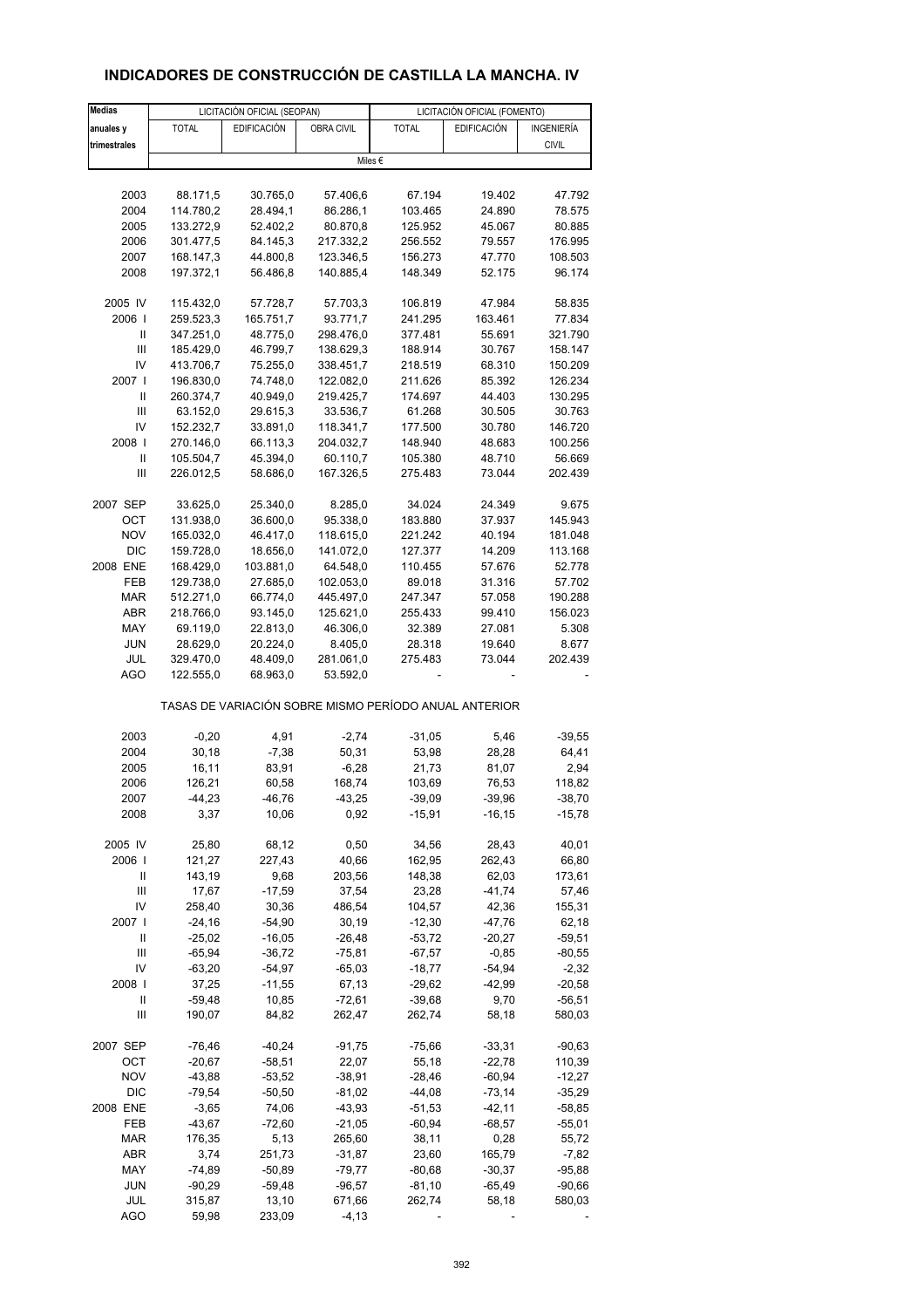# **INDICADORES DE CONSTRUCCIÓN DE CASTILLA LA MANCHA. IV**

| <b>Medias</b>              |              | LICITACIÓN OFICIAL (SEOPAN) |            | LICITACIÓN OFICIAL (FOMENTO) |                                                       |                    |
|----------------------------|--------------|-----------------------------|------------|------------------------------|-------------------------------------------------------|--------------------|
| anuales y                  | <b>TOTAL</b> | <b>EDIFICACIÓN</b>          | OBRA CIVIL | <b>TOTAL</b>                 | <b>EDIFICACIÓN</b>                                    | INGENIERÍA         |
| trimestrales               |              |                             |            |                              |                                                       | <b>CIVIL</b>       |
|                            |              |                             |            | Miles €                      |                                                       |                    |
|                            |              |                             |            |                              |                                                       |                    |
| 2003                       | 88.171,5     | 30.765,0                    | 57.406,6   | 67.194                       | 19.402                                                | 47.792             |
| 2004                       | 114.780,2    | 28.494,1                    | 86.286,1   | 103.465                      | 24.890                                                | 78.575             |
| 2005                       | 133.272,9    | 52.402,2                    | 80.870,8   | 125.952                      | 45.067                                                | 80.885             |
| 2006                       | 301.477,5    | 84.145,3                    | 217.332,2  | 256.552                      | 79.557                                                | 176.995            |
| 2007                       | 168.147,3    | 44.800,8                    | 123.346,5  | 156.273                      | 47.770                                                | 108.503            |
|                            |              |                             |            |                              |                                                       |                    |
| 2008                       | 197.372,1    | 56.486,8                    | 140.885,4  | 148.349                      | 52.175                                                | 96.174             |
| 2005 IV                    | 115.432,0    | 57.728,7                    | 57.703,3   | 106.819                      | 47.984                                                | 58.835             |
| 2006                       | 259.523,3    | 165.751,7                   | 93.771,7   | 241.295                      | 163.461                                               | 77.834             |
| Ш                          | 347.251,0    | 48.775,0                    | 298.476,0  | 377.481                      | 55.691                                                | 321.790            |
| Ш                          | 185.429,0    | 46.799,7                    | 138.629,3  | 188.914                      | 30.767                                                | 158.147            |
| IV                         | 413.706,7    | 75.255,0                    | 338.451,7  | 218.519                      | 68.310                                                | 150.209            |
| 2007                       | 196.830,0    | 74.748,0                    | 122.082,0  | 211.626                      | 85.392                                                | 126.234            |
| Ш                          |              |                             |            |                              |                                                       |                    |
|                            | 260.374,7    | 40.949,0                    | 219.425,7  | 174.697                      | 44.403                                                | 130.295            |
| Ш                          | 63.152,0     | 29.615,3                    | 33.536,7   | 61.268                       | 30.505                                                | 30.763             |
| IV                         | 152.232,7    | 33.891,0                    | 118.341,7  | 177.500                      | 30.780                                                | 146.720            |
| 2008                       | 270.146,0    | 66.113,3                    | 204.032,7  | 148.940                      | 48.683                                                | 100.256            |
| $\ensuremath{\mathsf{II}}$ | 105.504,7    | 45.394,0                    | 60.110,7   | 105.380                      | 48.710                                                | 56.669             |
| Ш                          | 226.012,5    | 58.686,0                    | 167.326,5  | 275.483                      | 73.044                                                | 202.439            |
| 2007 SEP                   | 33.625,0     | 25.340,0                    | 8.285,0    | 34.024                       | 24.349                                                | 9.675              |
| ОСТ                        | 131.938,0    | 36.600,0                    | 95.338,0   | 183.880                      | 37.937                                                | 145.943            |
|                            |              |                             |            |                              |                                                       |                    |
| <b>NOV</b>                 | 165.032,0    | 46.417,0                    | 118.615,0  | 221.242                      | 40.194                                                | 181.048            |
| <b>DIC</b>                 | 159.728,0    | 18.656,0                    | 141.072,0  | 127.377                      | 14.209                                                | 113.168            |
| 2008 ENE                   | 168.429,0    | 103.881,0                   | 64.548,0   | 110.455                      | 57.676                                                | 52.778             |
| FEB                        | 129.738,0    | 27.685,0                    | 102.053,0  | 89.018                       | 31.316                                                | 57.702             |
| <b>MAR</b>                 | 512.271,0    | 66.774,0                    | 445.497,0  | 247.347                      | 57.058                                                | 190.288            |
| ABR                        | 218.766,0    | 93.145,0                    | 125.621,0  | 255.433                      | 99.410                                                | 156.023            |
| MAY                        | 69.119,0     | 22.813,0                    | 46.306,0   | 32.389                       | 27.081                                                | 5.308              |
| <b>JUN</b>                 | 28.629,0     | 20.224,0                    | 8.405,0    | 28.318                       | 19.640                                                | 8.677              |
| JUL                        | 329.470,0    | 48.409,0                    | 281.061,0  | 275.483                      | 73.044                                                | 202.439            |
| <b>AGO</b>                 | 122.555,0    | 68.963,0                    | 53.592,0   |                              |                                                       |                    |
|                            |              |                             |            |                              | TASAS DE VARIACIÓN SOBRE MISMO PERÍODO ANUAL ANTERIOR |                    |
| 2003                       | $-0,20$      | 4,91                        | $-2,74$    | $-31,05$                     | 5,46                                                  | $-39,55$           |
| 2004                       | 30,18        | $-7,38$                     | 50,31      | 53,98                        | 28,28                                                 | 64,41              |
| 2005                       | 16,11        | 83,91                       | $-6,28$    | 21,73                        | 81,07                                                 | 2,94               |
| 2006                       | 126,21       | 60,58                       | 168,74     | 103,69                       | 76,53                                                 |                    |
|                            | $-44,23$     | $-46,76$                    | $-43,25$   |                              |                                                       | 118,82<br>$-38,70$ |
| 2007<br>2008               | 3,37         | 10,06                       | 0,92       | $-39,09$<br>$-15,91$         | $-39,96$<br>$-16, 15$                                 | $-15,78$           |
|                            |              |                             |            |                              |                                                       |                    |
| 2005 IV                    | 25,80        | 68,12                       | 0,50       | 34,56                        | 28,43                                                 | 40,01              |
| 2006                       | 121,27       | 227,43                      | 40,66      | 162,95                       | 262,43                                                | 66,80              |
| Ш                          | 143,19       | 9,68                        | 203,56     | 148,38                       | 62,03                                                 | 173,61             |
| Ш                          | 17,67        | $-17,59$                    | 37,54      | 23,28                        | $-41,74$                                              | 57,46              |
| IV                         | 258,40       | 30,36                       | 486,54     | 104,57                       | 42,36                                                 | 155,31             |
| 2007 l                     | $-24,16$     | $-54,90$                    | 30,19      | $-12,30$                     | -47,76                                                | 62,18              |
| Ш                          | $-25,02$     | $-16,05$                    | $-26,48$   | $-53,72$                     | $-20,27$                                              | $-59,51$           |
| Ш                          | $-65,94$     | $-36,72$                    | $-75,81$   | $-67,57$                     | $-0,85$                                               | $-80,55$           |
| IV                         | $-63,20$     | $-54,97$                    | $-65,03$   | $-18,77$                     | $-54,94$                                              | $-2,32$            |
| 2008                       | 37,25        | $-11,55$                    | 67,13      | $-29,62$                     | $-42,99$                                              | $-20,58$           |
| Ш                          | $-59,48$     | 10,85                       | $-72,61$   | $-39,68$                     | 9,70                                                  | $-56,51$           |
| Ш                          | 190,07       | 84,82                       | 262,47     | 262,74                       | 58,18                                                 | 580,03             |
|                            |              |                             |            |                              |                                                       |                    |
| 2007 SEP                   | $-76,46$     | $-40,24$                    | $-91,75$   | $-75,66$                     | $-33,31$                                              | $-90,63$           |
| OCT                        | $-20,67$     | $-58,51$                    | 22,07      | 55,18                        | $-22,78$                                              | 110,39             |
| <b>NOV</b>                 | $-43,88$     | $-53,52$                    | $-38,91$   | $-28,46$                     | $-60,94$                                              | $-12,27$           |
| <b>DIC</b>                 | $-79,54$     | $-50,50$                    | $-81,02$   | $-44,08$                     | $-73,14$                                              | $-35,29$           |
| 2008 ENE                   | $-3,65$      | 74,06                       | -43,93     | $-51,53$                     | $-42,11$                                              | $-58,85$           |
| FEB                        | $-43,67$     | $-72,60$                    | $-21,05$   | $-60,94$                     | $-68,57$                                              | $-55,01$           |
| MAR                        | 176,35       | 5,13                        | 265,60     | 38,11                        | 0,28                                                  | 55,72              |
| ABR                        | 3,74         | 251,73                      | $-31,87$   | 23,60                        | 165,79                                                | $-7,82$            |
| MAY                        | $-74,89$     | $-50,89$                    | $-79,77$   | $-80,68$                     | $-30,37$                                              | $-95,88$           |
| <b>JUN</b>                 | $-90,29$     | $-59,48$                    | $-96,57$   | $-81,10$                     | $-65,49$                                              | $-90,66$           |
| JUL                        | 315,87       | 13,10                       | 671,66     | 262,74                       | 58,18                                                 | 580,03             |
| AGO                        | 59,98        | 233,09                      | $-4, 13$   |                              |                                                       |                    |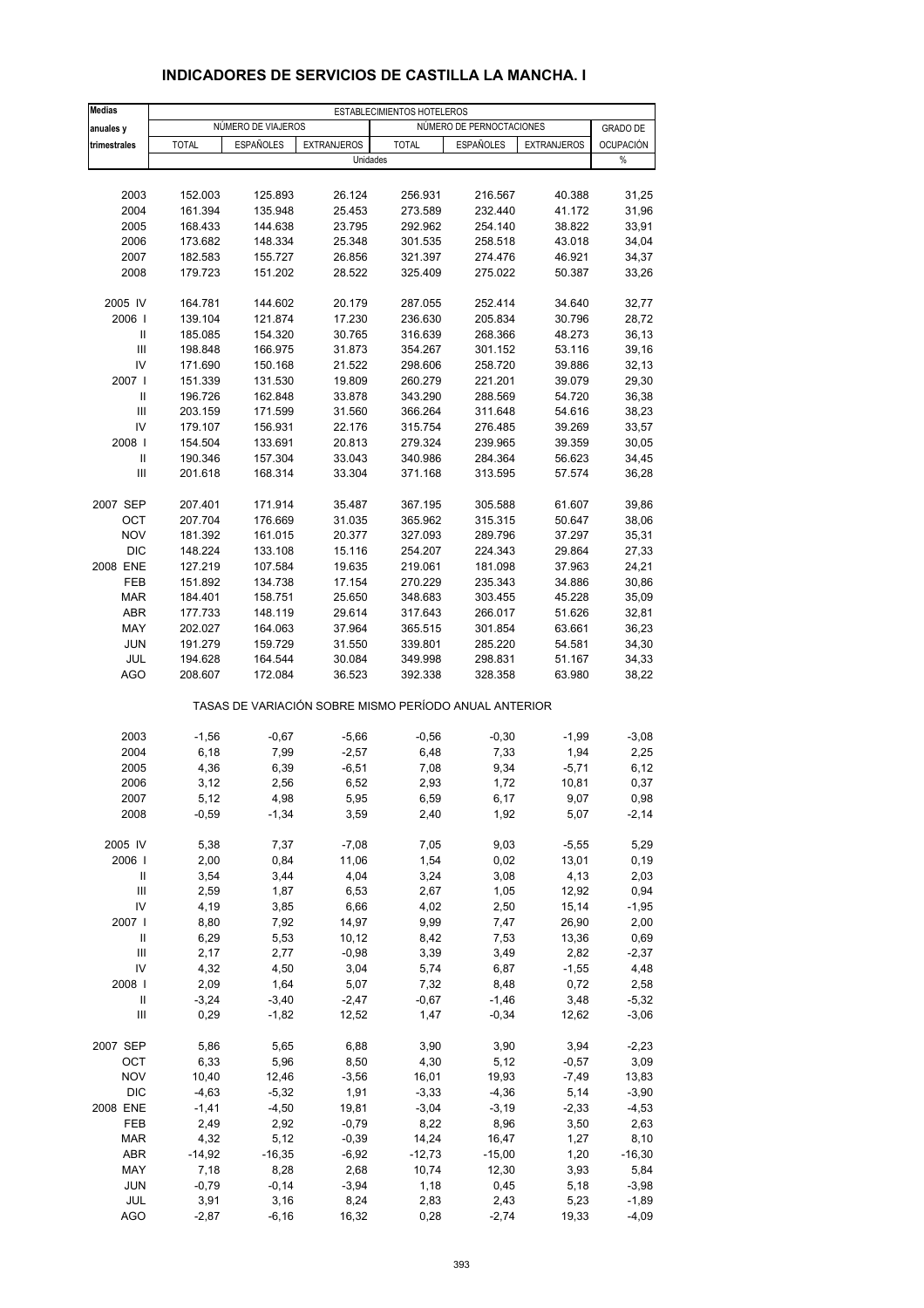| <b>Medias</b>                            | ESTABLECIMIENTOS HOTELEROS |                    |                                                       |                    |                          |                    |                  |  |
|------------------------------------------|----------------------------|--------------------|-------------------------------------------------------|--------------------|--------------------------|--------------------|------------------|--|
| anuales y                                |                            | NÚMERO DE VIAJEROS |                                                       |                    | NÚMERO DE PERNOCTACIONES |                    | <b>GRADO DE</b>  |  |
| trimestrales                             | <b>TOTAL</b>               | <b>ESPAÑOLES</b>   | <b>EXTRANJEROS</b>                                    | <b>TOTAL</b>       | <b>ESPAÑOLES</b>         | <b>EXTRANJEROS</b> | <b>OCUPACIÓN</b> |  |
|                                          |                            |                    | Unidades                                              |                    |                          |                    | %                |  |
|                                          |                            |                    |                                                       |                    |                          |                    |                  |  |
| 2003                                     | 152.003                    | 125.893            | 26.124                                                | 256.931            | 216.567                  | 40.388             | 31,25            |  |
| 2004                                     | 161.394                    | 135.948            | 25.453                                                | 273.589            | 232.440                  | 41.172             | 31,96            |  |
| 2005                                     | 168.433                    | 144.638            | 23.795                                                | 292.962            | 254.140                  | 38.822             | 33,91            |  |
| 2006<br>2007                             | 173.682<br>182.583         | 148.334<br>155.727 | 25.348<br>26.856                                      | 301.535<br>321.397 | 258.518<br>274.476       | 43.018<br>46.921   | 34,04<br>34,37   |  |
| 2008                                     | 179.723                    | 151.202            | 28.522                                                | 325.409            | 275.022                  | 50.387             | 33,26            |  |
|                                          |                            |                    |                                                       |                    |                          |                    |                  |  |
| 2005 IV                                  | 164.781                    | 144.602            | 20.179                                                | 287.055            | 252.414                  | 34.640             | 32,77            |  |
| 2006                                     | 139.104                    | 121.874            | 17.230                                                | 236.630            | 205.834                  | 30.796             | 28,72            |  |
| Ш                                        | 185.085                    | 154.320            | 30.765                                                | 316.639            | 268.366                  | 48.273             | 36,13            |  |
| $\ensuremath{\mathsf{III}}\xspace$<br>IV | 198.848                    | 166.975            | 31.873                                                | 354.267            | 301.152                  | 53.116             | 39,16<br>32,13   |  |
| 2007 l                                   | 171.690<br>151.339         | 150.168<br>131.530 | 21.522<br>19.809                                      | 298.606<br>260.279 | 258.720<br>221.201       | 39.886<br>39.079   | 29,30            |  |
| Ш                                        | 196.726                    | 162.848            | 33.878                                                | 343.290            | 288.569                  | 54.720             | 36,38            |  |
| Ш                                        | 203.159                    | 171.599            | 31.560                                                | 366.264            | 311.648                  | 54.616             | 38,23            |  |
| IV                                       | 179.107                    | 156.931            | 22.176                                                | 315.754            | 276.485                  | 39.269             | 33,57            |  |
| 2008                                     | 154.504                    | 133.691            | 20.813                                                | 279.324            | 239.965                  | 39.359             | 30,05            |  |
| $\mathbf{I}$                             | 190.346                    | 157.304            | 33.043                                                | 340.986            | 284.364                  | 56.623             | 34,45            |  |
| Ш                                        | 201.618                    | 168.314            | 33.304                                                | 371.168            | 313.595                  | 57.574             | 36,28            |  |
| 2007 SEP                                 | 207.401                    | 171.914            | 35.487                                                | 367.195            | 305.588                  | 61.607             | 39,86            |  |
| OCT                                      | 207.704                    | 176.669            | 31.035                                                | 365.962            | 315.315                  | 50.647             | 38,06            |  |
| <b>NOV</b>                               | 181.392                    | 161.015            | 20.377                                                | 327.093            | 289.796                  | 37.297             | 35,31            |  |
| <b>DIC</b>                               | 148.224                    | 133.108            | 15.116                                                | 254.207            | 224.343                  | 29.864             | 27,33            |  |
| 2008 ENE                                 | 127.219                    | 107.584            | 19.635                                                | 219.061            | 181.098                  | 37.963             | 24,21            |  |
| FEB                                      | 151.892                    | 134.738            | 17.154                                                | 270.229            | 235.343                  | 34.886             | 30,86            |  |
| <b>MAR</b>                               | 184.401                    | 158.751            | 25.650                                                | 348.683            | 303.455                  | 45.228             | 35,09            |  |
| <b>ABR</b>                               | 177.733                    | 148.119            | 29.614                                                | 317.643            | 266.017                  | 51.626             | 32,81            |  |
| MAY                                      | 202.027                    | 164.063            | 37.964                                                | 365.515            | 301.854                  | 63.661             | 36,23            |  |
| <b>JUN</b>                               | 191.279                    | 159.729            | 31.550                                                | 339.801            | 285.220                  | 54.581             | 34,30            |  |
| JUL                                      | 194.628                    | 164.544            | 30.084                                                | 349.998            | 298.831                  | 51.167             | 34,33            |  |
| <b>AGO</b>                               | 208.607                    | 172.084            | 36.523                                                | 392.338            | 328.358                  | 63.980             | 38,22            |  |
|                                          |                            |                    | TASAS DE VARIACIÓN SOBRE MISMO PERÍODO ANUAL ANTERIOR |                    |                          |                    |                  |  |
| 2003                                     | $-1,56$                    | $-0,67$            | $-5,66$                                               | $-0,56$            | $-0,30$                  | $-1,99$            | $-3,08$          |  |
| 2004                                     | 6, 18                      | 7,99               | $-2,57$                                               | 6,48               | 7,33                     | 1,94               | 2,25             |  |
| 2005                                     | 4,36                       | 6,39               | $-6,51$                                               | 7,08               | 9,34                     | $-5,71$            | 6,12             |  |
| 2006                                     | 3,12                       | 2,56               | 6,52                                                  | 2,93               | 1,72                     | 10,81              | 0,37             |  |
| 2007                                     | 5,12                       | 4,98               | 5,95                                                  | 6,59               | 6,17                     | 9,07               | 0,98             |  |
| 2008                                     | $-0,59$                    | $-1,34$            | 3,59                                                  | 2,40               | 1,92                     | 5,07               | $-2,14$          |  |
| 2005 IV                                  | 5,38                       | 7,37               | $-7,08$                                               | 7,05               | 9,03                     | $-5,55$            | 5,29             |  |
| 2006                                     | 2,00                       | 0,84               | 11,06                                                 | 1,54               | 0,02                     | 13,01              | 0, 19            |  |
| Ш                                        | 3,54                       | 3,44               | 4,04                                                  | 3,24               | 3,08                     | 4,13               | 2,03             |  |
| Ш                                        | 2,59                       | 1,87               | 6,53                                                  | 2,67               | 1,05                     | 12,92              | 0,94             |  |
| IV                                       | 4,19                       | 3,85               | 6,66                                                  | 4,02               | 2,50                     | 15,14              | $-1,95$          |  |
| 2007                                     | 8,80                       | 7,92               | 14,97                                                 | 9,99               | 7,47                     | 26,90              | 2,00             |  |
| Ш<br>Ш                                   | 6,29<br>2,17               | 5,53<br>2,77       | 10,12<br>$-0,98$                                      | 8,42<br>3,39       | 7,53<br>3,49             | 13,36<br>2,82      | 0,69<br>$-2,37$  |  |
| IV                                       | 4,32                       | 4,50               | 3,04                                                  | 5,74               | 6,87                     | $-1,55$            | 4,48             |  |
| 2008                                     | 2,09                       | 1,64               | 5,07                                                  | 7,32               | 8,48                     | 0,72               | 2,58             |  |
| Ш                                        | $-3,24$                    | $-3,40$            | $-2,47$                                               | $-0,67$            | $-1,46$                  | 3,48               | $-5,32$          |  |
| $\ensuremath{\mathsf{III}}\xspace$       | 0,29                       | $-1,82$            | 12,52                                                 | 1,47               | $-0,34$                  | 12,62              | $-3,06$          |  |
| 2007 SEP                                 | 5,86                       | 5,65               | 6,88                                                  | 3,90               | 3,90                     | 3,94               | $-2,23$          |  |
| OCT                                      | 6,33                       | 5,96               | 8,50                                                  | 4,30               | 5,12                     | $-0,57$            | 3,09             |  |
| <b>NOV</b>                               | 10,40                      | 12,46              | $-3,56$                                               | 16,01              | 19,93                    | $-7,49$            | 13,83            |  |
| <b>DIC</b>                               | $-4,63$                    | $-5,32$            | 1,91                                                  | $-3,33$            | $-4,36$                  | 5,14               | $-3,90$          |  |
| 2008 ENE                                 | $-1,41$                    | $-4,50$            | 19,81                                                 | $-3,04$            | $-3,19$                  | $-2,33$            | $-4,53$          |  |
| FEB                                      | 2,49                       | 2,92               | $-0,79$                                               | 8,22               | 8,96                     | 3,50               | 2,63             |  |
| <b>MAR</b>                               | 4,32                       | 5,12               | $-0,39$                                               | 14,24              | 16,47                    | 1,27               | 8,10             |  |
| ABR                                      | $-14,92$                   | $-16,35$           | $-6,92$                                               | $-12,73$           | $-15,00$                 | 1,20               | $-16,30$         |  |
| MAY                                      | 7,18                       | 8,28               | 2,68                                                  | 10,74              | 12,30                    | 3,93               | 5,84             |  |
| JUN                                      | $-0,79$                    | $-0,14$            | $-3,94$                                               | 1,18               | 0,45                     | 5,18               | $-3,98$          |  |
| JUL                                      | 3,91                       | 3,16               | 8,24                                                  | 2,83               | 2,43                     | 5,23               | $-1,89$          |  |
| <b>AGO</b>                               | $-2,87$                    | $-6,16$            | 16,32                                                 | 0,28               | $-2,74$                  | 19,33              | $-4,09$          |  |

#### **INDICADORES DE SERVICIOS DE CASTILLA LA MANCHA. I**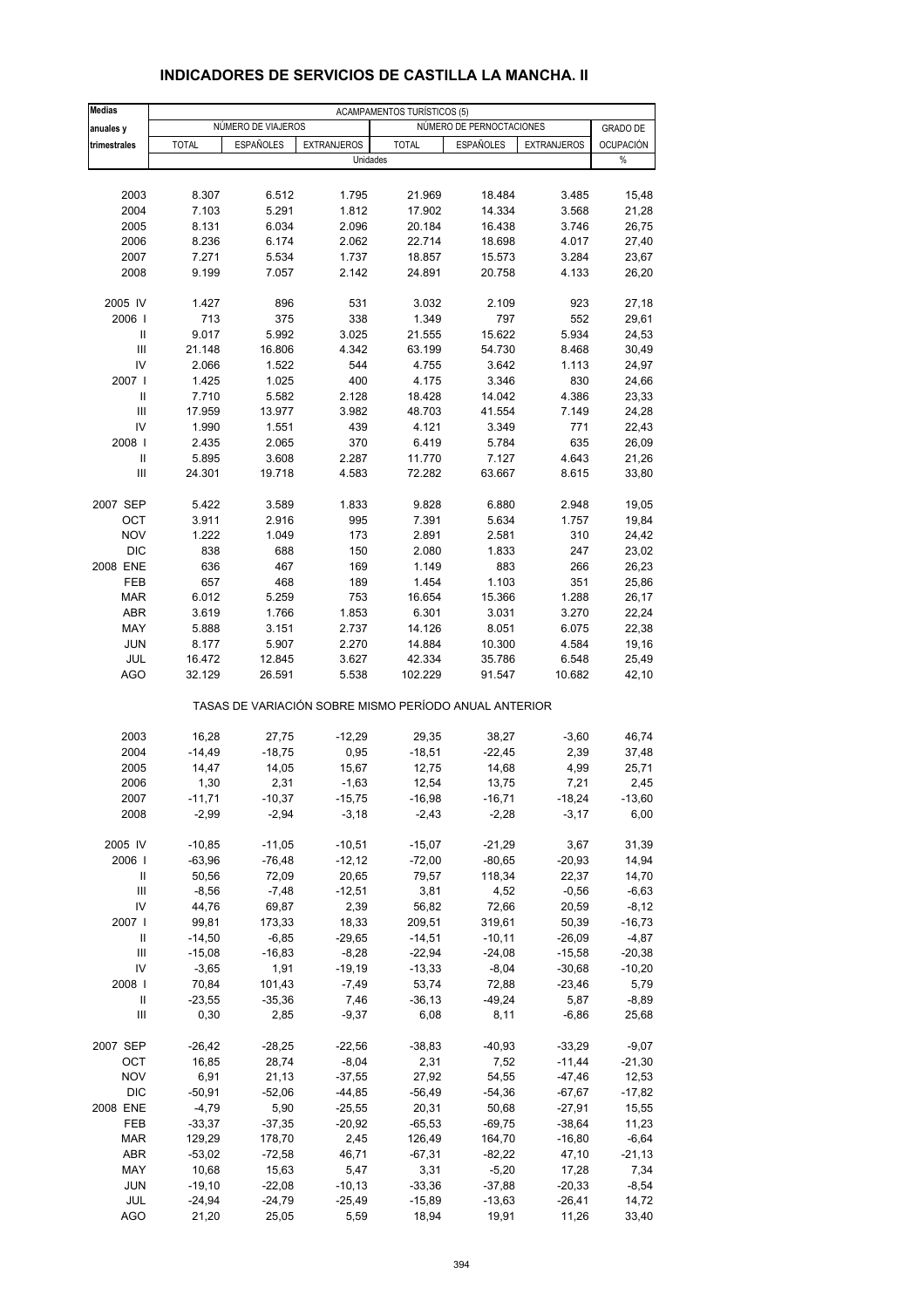| <b>Medias</b>                      | <b>ACAMPAMENTOS TURÍSTICOS (5)</b> |                    |                    |                                                       |                          |                      |                  |
|------------------------------------|------------------------------------|--------------------|--------------------|-------------------------------------------------------|--------------------------|----------------------|------------------|
| anuales y                          |                                    | NÚMERO DE VIAJEROS |                    |                                                       | NÚMERO DE PERNOCTACIONES |                      | <b>GRADO DE</b>  |
| trimestrales                       | <b>TOTAL</b>                       | <b>ESPAÑOLES</b>   | <b>EXTRANJEROS</b> | <b>TOTAL</b>                                          | ESPAÑOLES                | <b>EXTRANJEROS</b>   | OCUPACIÓN        |
|                                    |                                    |                    |                    | Unidades                                              |                          |                      | $\%$             |
|                                    |                                    |                    |                    |                                                       |                          |                      |                  |
| 2003                               | 8.307                              | 6.512              | 1.795              | 21.969                                                | 18.484                   | 3.485                | 15,48            |
| 2004                               | 7.103                              | 5.291              | 1.812              | 17.902                                                | 14.334                   | 3.568                | 21,28            |
| 2005                               | 8.131                              | 6.034              | 2.096              | 20.184                                                | 16.438                   | 3.746                | 26,75            |
| 2006                               | 8.236                              | 6.174              | 2.062              | 22.714                                                | 18.698                   | 4.017                | 27,40            |
| 2007                               | 7.271<br>9.199                     | 5.534              | 1.737              | 18.857<br>24.891                                      | 15.573                   | 3.284                | 23,67            |
| 2008                               |                                    | 7.057              | 2.142              |                                                       | 20.758                   | 4.133                | 26,20            |
| 2005 IV                            | 1.427                              | 896                | 531                | 3.032                                                 | 2.109                    | 923                  | 27,18            |
| 2006                               | 713                                | 375                | 338                | 1.349                                                 | 797                      | 552                  | 29,61            |
| Ш                                  | 9.017                              | 5.992              | 3.025              | 21.555                                                | 15.622                   | 5.934                | 24,53            |
| Ш                                  | 21.148                             | 16.806             | 4.342              | 63.199                                                | 54.730                   | 8.468                | 30,49            |
| IV                                 | 2.066                              | 1.522              | 544                | 4.755                                                 | 3.642                    | 1.113                | 24,97            |
| 2007 l                             | 1.425                              | 1.025              | 400                | 4.175                                                 | 3.346                    | 830                  | 24,66            |
| Ш                                  | 7.710                              | 5.582              | 2.128              | 18.428                                                | 14.042                   | 4.386                | 23,33            |
| Ш                                  | 17.959                             | 13.977             | 3.982              | 48.703                                                | 41.554                   | 7.149                | 24,28            |
| IV                                 | 1.990                              | 1.551              | 439                | 4.121                                                 | 3.349                    | 771                  | 22,43            |
| 2008                               | 2.435                              | 2.065              | 370                | 6.419                                                 | 5.784                    | 635                  | 26,09            |
| Ш                                  | 5.895                              | 3.608              | 2.287              | 11.770                                                | 7.127                    | 4.643                | 21,26            |
| $\mathbf{III}$                     | 24.301                             | 19.718             | 4.583              | 72.282                                                | 63.667                   | 8.615                | 33,80            |
| 2007 SEP                           | 5.422                              | 3.589              | 1.833              | 9.828                                                 | 6.880                    | 2.948                | 19,05            |
| OCT                                | 3.911                              | 2.916              | 995                | 7.391                                                 | 5.634                    | 1.757                | 19,84            |
| <b>NOV</b>                         | 1.222                              | 1.049              | 173                | 2.891                                                 | 2.581                    | 310                  | 24,42            |
| <b>DIC</b>                         | 838                                | 688                | 150                | 2.080                                                 | 1.833                    | 247                  | 23,02            |
| 2008 ENE                           | 636                                | 467                | 169                | 1.149                                                 | 883                      | 266                  | 26,23            |
| FEB                                | 657                                | 468                | 189                | 1.454                                                 | 1.103                    | 351                  | 25,86            |
| <b>MAR</b>                         | 6.012                              | 5.259              | 753                | 16.654                                                | 15.366                   | 1.288                | 26,17            |
| ABR                                | 3.619                              | 1.766              | 1.853              | 6.301                                                 | 3.031                    | 3.270                | 22,24            |
| MAY                                | 5.888                              | 3.151              | 2.737              | 14.126                                                | 8.051                    | 6.075                | 22,38            |
| <b>JUN</b>                         | 8.177                              | 5.907              | 2.270              | 14.884                                                | 10.300                   | 4.584                | 19,16            |
| JUL                                | 16.472                             | 12.845             | 3.627              | 42.334                                                | 35.786                   | 6.548                | 25,49            |
| <b>AGO</b>                         | 32.129                             | 26.591             | 5.538              | 102.229                                               | 91.547                   | 10.682               | 42,10            |
|                                    |                                    |                    |                    | TASAS DE VARIACIÓN SOBRE MISMO PERÍODO ANUAL ANTERIOR |                          |                      |                  |
| 2003                               | 16,28                              | 27,75              | $-12,29$           | 29,35                                                 | 38,27                    | $-3,60$              | 46,74            |
| 2004                               | $-14,49$                           | $-18,75$           | 0,95               | $-18,51$                                              | $-22,45$                 | 2,39                 | 37,48            |
| 2005                               | 14,47                              | 14,05              | 15,67              | 12,75                                                 | 14,68                    | 4,99                 | 25,71            |
| 2006                               | 1,30                               | 2,31               | $-1,63$            | 12,54                                                 | 13,75                    | 7,21                 | 2,45             |
| 2007                               | $-11,71$                           | $-10,37$           | $-15,75$           | $-16,98$                                              | $-16,71$                 | $-18,24$             | $-13,60$         |
| 2008                               | $-2,99$                            | $-2,94$            | $-3,18$            | $-2,43$                                               | $-2,28$                  | $-3,17$              | 6,00             |
|                                    |                                    |                    |                    |                                                       |                          |                      |                  |
| 2005 IV                            | $-10,85$                           | $-11,05$           | $-10,51$           | $-15,07$                                              | $-21,29$                 | 3,67                 | 31,39            |
| 2006                               | $-63,96$                           | $-76,48$           | $-12,12$           | $-72,00$                                              | $-80,65$                 | $-20,93$             | 14,94            |
| Ш<br>Ш                             | 50,56<br>$-8,56$                   | 72,09<br>$-7,48$   | 20,65<br>$-12,51$  | 79,57<br>3,81                                         | 118,34<br>4,52           | 22,37<br>$-0,56$     | 14,70<br>$-6,63$ |
| IV                                 | 44,76                              | 69,87              | 2,39               | 56,82                                                 | 72,66                    | 20,59                | $-8,12$          |
| 2007                               | 99,81                              | 173,33             | 18,33              | 209,51                                                | 319,61                   | 50,39                | $-16,73$         |
| Ш                                  | $-14,50$                           | $-6,85$            | $-29,65$           | $-14,51$                                              | $-10,11$                 | $-26,09$             | $-4,87$          |
| $\ensuremath{\mathsf{III}}\xspace$ | $-15,08$                           | $-16,83$           | $-8,28$            | $-22,94$                                              | $-24,08$                 | $-15,58$             | $-20,38$         |
| IV                                 | $-3,65$                            | 1,91               | $-19,19$           | $-13,33$                                              | $-8,04$                  | $-30,68$             | $-10,20$         |
| 2008                               | 70,84                              | 101,43             | $-7,49$            | 53,74                                                 | 72,88                    | $-23,46$             | 5,79             |
| Ш                                  | $-23,55$                           | $-35,36$           | 7,46               | $-36, 13$                                             | $-49,24$                 | 5,87                 | $-8,89$          |
| Ш                                  | 0,30                               | 2,85               | $-9,37$            | 6,08                                                  | 8,11                     | $-6,86$              | 25,68            |
|                                    |                                    |                    |                    |                                                       |                          |                      |                  |
| 2007 SEP                           | -26,42                             | $-28,25$           | $-22,56$           | $-38,83$                                              | $-40,93$                 | $-33,29$             | $-9,07$          |
| OCT                                | 16,85                              | 28,74              | $-8,04$            | 2,31                                                  | 7,52                     | $-11,44$             | $-21,30$         |
| <b>NOV</b>                         | 6,91                               | 21,13              | $-37,55$           | 27,92                                                 | 54,55                    | $-47,46$             | 12,53            |
| <b>DIC</b>                         | $-50,91$                           | $-52,06$           | $-44,85$           | $-56,49$                                              | $-54,36$                 | $-67,67$             | $-17,82$         |
| 2008 ENE                           | $-4,79$                            | 5,90               | $-25,55$           | 20,31                                                 | 50,68                    | $-27,91$             | 15,55            |
| FEB<br><b>MAR</b>                  | $-33,37$<br>129,29                 | $-37,35$<br>178,70 | $-20,92$<br>2,45   | $-65,53$<br>126,49                                    | $-69,75$<br>164,70       | $-38,64$<br>$-16,80$ | 11,23<br>$-6,64$ |
| ABR                                | $-53,02$                           | $-72,58$           | 46,71              | $-67,31$                                              | $-82,22$                 | 47,10                | $-21,13$         |
| MAY                                | 10,68                              | 15,63              | 5,47               | 3,31                                                  | $-5,20$                  | 17,28                | 7,34             |
| JUN                                | $-19,10$                           | $-22,08$           | $-10,13$           | $-33,36$                                              | $-37,88$                 | $-20,33$             | $-8,54$          |
| JUL                                | $-24,94$                           | $-24,79$           | $-25,49$           | $-15,89$                                              | $-13,63$                 | $-26,41$             | 14,72            |
| <b>AGO</b>                         | 21,20                              | 25,05              | 5,59               | 18,94                                                 | 19,91                    | 11,26                | 33,40            |

## **INDICADORES DE SERVICIOS DE CASTILLA LA MANCHA. II**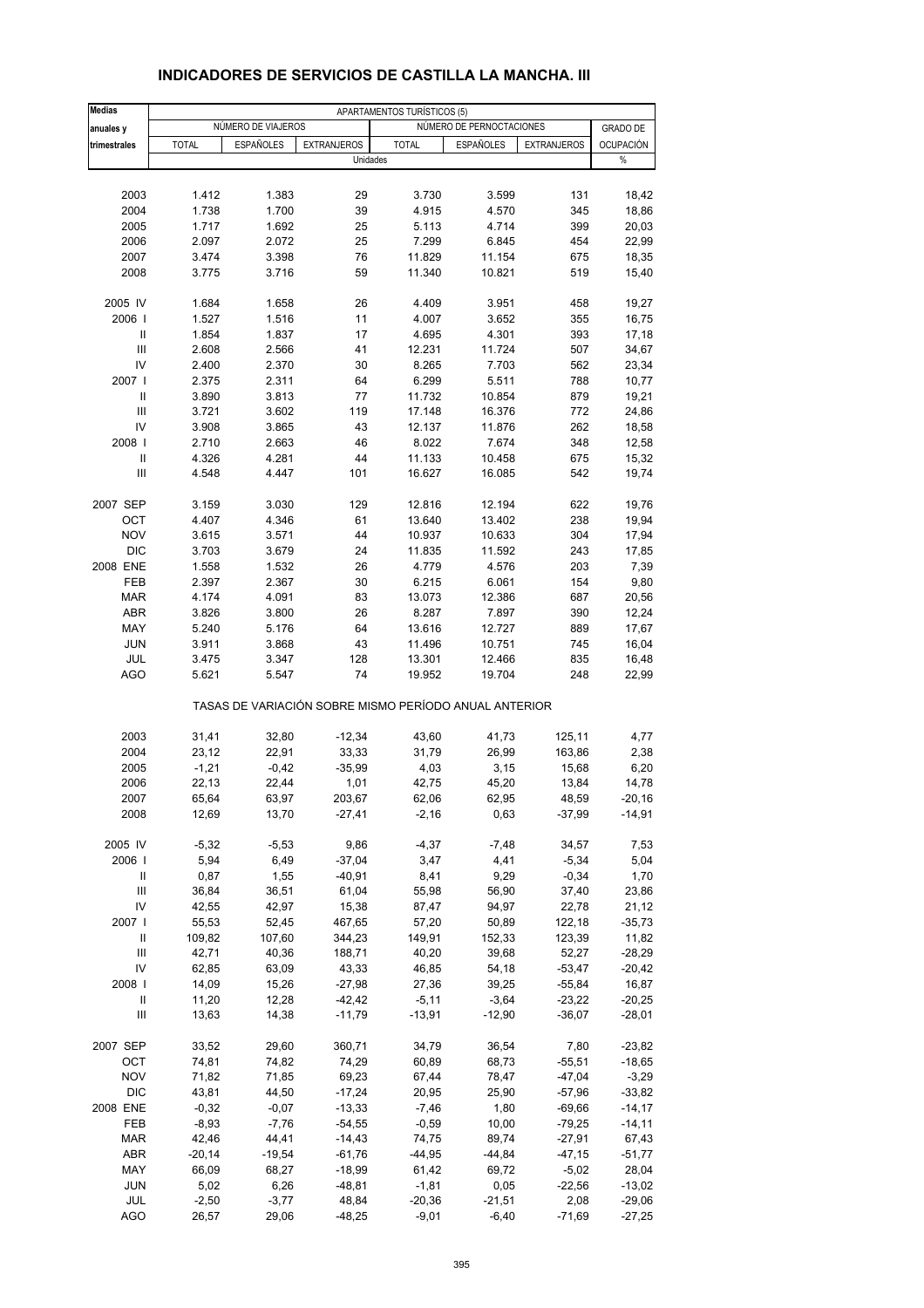| <b>Medias</b>          | APARTAMENTOS TURÍSTICOS (5) |                    |                      |                   |                                                       |                     |                   |  |
|------------------------|-----------------------------|--------------------|----------------------|-------------------|-------------------------------------------------------|---------------------|-------------------|--|
| anuales y              |                             | NÚMERO DE VIAJEROS |                      |                   | NÚMERO DE PERNOCTACIONES                              |                     | <b>GRADO DE</b>   |  |
| trimestrales           | <b>TOTAL</b>                | ESPAÑOLES          | <b>EXTRANJEROS</b>   | <b>TOTAL</b>      | <b>ESPAÑOLES</b>                                      | <b>EXTRANJEROS</b>  | <b>OCUPACIÓN</b>  |  |
|                        |                             |                    | Unidades             |                   |                                                       |                     | $\%$              |  |
|                        |                             |                    |                      |                   |                                                       |                     |                   |  |
| 2003                   | 1.412                       | 1.383              | 29                   | 3.730             | 3.599                                                 | 131                 | 18,42             |  |
| 2004                   | 1.738                       | 1.700              | 39                   | 4.915             | 4.570                                                 | 345                 | 18,86             |  |
| 2005                   | 1.717                       | 1.692              | 25                   | 5.113             | 4.714                                                 | 399                 | 20,03             |  |
| 2006                   | 2.097                       | 2.072              | 25                   | 7.299             | 6.845                                                 | 454                 | 22,99             |  |
| 2007                   | 3.474                       | 3.398              | 76                   | 11.829            | 11.154                                                | 675                 | 18,35             |  |
| 2008                   | 3.775                       | 3.716              | 59                   | 11.340            | 10.821                                                | 519                 | 15,40             |  |
| 2005 IV                | 1.684                       | 1.658              | 26                   | 4.409             | 3.951                                                 | 458                 | 19,27             |  |
| 2006                   | 1.527                       | 1.516              | 11                   | 4.007             | 3.652                                                 | 355                 | 16,75             |  |
| Ш                      | 1.854                       | 1.837              | 17                   | 4.695             | 4.301                                                 | 393                 | 17,18             |  |
| Ш                      | 2.608                       | 2.566              | 41                   | 12.231            | 11.724                                                | 507                 | 34,67             |  |
| IV                     | 2.400                       | 2.370              | 30                   | 8.265             | 7.703                                                 | 562                 | 23,34             |  |
| 2007 l                 | 2.375                       | 2.311              | 64                   | 6.299             | 5.511                                                 | 788                 | 10,77             |  |
| Ш                      | 3.890                       | 3.813              | 77                   | 11.732            | 10.854                                                | 879                 | 19,21             |  |
| Ш                      | 3.721                       | 3.602              | 119                  | 17.148            | 16.376                                                | 772                 | 24,86             |  |
| IV                     | 3.908                       | 3.865              | 43                   | 12.137            | 11.876                                                | 262                 | 18,58             |  |
| 2008  <br>$\mathbf{I}$ | 2.710<br>4.326              | 2.663<br>4.281     | 46<br>44             | 8.022<br>11.133   | 7.674<br>10.458                                       | 348<br>675          | 12,58<br>15,32    |  |
| Ш                      | 4.548                       | 4.447              | 101                  | 16.627            | 16.085                                                | 542                 | 19,74             |  |
|                        |                             |                    |                      |                   |                                                       |                     |                   |  |
| 2007 SEP               | 3.159                       | 3.030              | 129                  | 12.816            | 12.194                                                | 622                 | 19,76             |  |
| OCT                    | 4.407                       | 4.346              | 61                   | 13.640            | 13.402                                                | 238                 | 19,94             |  |
| <b>NOV</b>             | 3.615                       | 3.571              | 44                   | 10.937            | 10.633                                                | 304                 | 17,94             |  |
| <b>DIC</b>             | 3.703                       | 3.679              | 24                   | 11.835            | 11.592                                                | 243                 | 17,85             |  |
| 2008 ENE               | 1.558                       | 1.532              | 26                   | 4.779             | 4.576                                                 | 203                 | 7,39              |  |
| FEB                    | 2.397                       | 2.367              | 30                   | 6.215             | 6.061                                                 | 154                 | 9,80              |  |
| <b>MAR</b>             | 4.174                       | 4.091              | 83                   | 13.073            | 12.386                                                | 687                 | 20,56             |  |
| <b>ABR</b>             | 3.826                       | 3.800              | 26                   | 8.287             | 7.897                                                 | 390                 | 12,24             |  |
| MAY<br><b>JUN</b>      | 5.240<br>3.911              | 5.176<br>3.868     | 64<br>43             | 13.616<br>11.496  | 12.727<br>10.751                                      | 889<br>745          | 17,67<br>16,04    |  |
| JUL                    | 3.475                       | 3.347              | 128                  | 13.301            | 12.466                                                | 835                 | 16,48             |  |
| <b>AGO</b>             | 5.621                       | 5.547              | 74                   | 19.952            | 19.704                                                | 248                 | 22,99             |  |
|                        |                             |                    |                      |                   | TASAS DE VARIACIÓN SOBRE MISMO PERÍODO ANUAL ANTERIOR |                     |                   |  |
|                        |                             |                    |                      |                   |                                                       |                     |                   |  |
| 2003                   | 31,41                       | 32,80              | $-12,34$             | 43,60             | 41,73                                                 | 125,11              | 4,77              |  |
| 2004                   | 23,12                       | 22,91              | 33,33                | 31,79             | 26,99                                                 | 163,86              | 2,38              |  |
| 2005                   | $-1,21$                     | $-0,42$            | $-35,99$             | 4,03              | 3,15                                                  | 15,68               | 6,20              |  |
| 2006<br>2007           | 22,13<br>65,64              | 22,44<br>63,97     | 1,01<br>203,67       | 42,75<br>62,06    | 45,20<br>62,95                                        | 13,84<br>48,59      | 14,78<br>$-20,16$ |  |
| 2008                   | 12,69                       | 13,70              | $-27,41$             | $-2,16$           | 0,63                                                  | $-37,99$            | $-14,91$          |  |
|                        |                             |                    |                      |                   |                                                       |                     |                   |  |
| 2005 IV                | $-5,32$                     | $-5,53$            | 9,86                 | $-4,37$           | $-7,48$                                               | 34,57               | 7,53              |  |
| 2006                   | 5,94                        | 6,49               | $-37,04$             | 3,47              | 4,41                                                  | $-5,34$             | 5,04              |  |
| Ш                      | 0,87                        | 1,55               | $-40,91$             | 8,41              | 9,29                                                  | $-0,34$             | 1,70              |  |
| $\mathsf{III}$<br>IV   | 36,84                       | 36,51              | 61,04                | 55,98             | 56,90                                                 | 37,40               | 23,86             |  |
| 2007                   | 42,55<br>55,53              | 42,97<br>52,45     | 15,38<br>467,65      | 87,47<br>57,20    | 94,97                                                 | 22,78<br>122,18     | 21,12<br>$-35,73$ |  |
| Ш                      | 109,82                      | 107,60             | 344,23               | 149,91            | 50,89<br>152,33                                       | 123,39              | 11,82             |  |
| Ш                      | 42,71                       | 40,36              | 188,71               | 40,20             | 39,68                                                 | 52,27               | $-28,29$          |  |
| IV                     | 62,85                       | 63,09              | 43,33                | 46,85             | 54,18                                                 | $-53,47$            | $-20,42$          |  |
| 2008                   | 14,09                       | 15,26              | $-27,98$             | 27,36             | 39,25                                                 | $-55,84$            | 16,87             |  |
| Ш                      | 11,20                       | 12,28              | $-42,42$             | $-5,11$           | $-3,64$                                               | $-23,22$            | -20,25            |  |
| $\mathsf{III}$         | 13,63                       | 14,38              | $-11,79$             | $-13,91$          | $-12,90$                                              | $-36,07$            | -28,01            |  |
| 2007 SEP               | 33,52                       | 29,60              | 360,71               | 34,79             | 36,54                                                 | 7,80                | $-23,82$          |  |
| OCT                    | 74,81                       | 74,82              | 74,29                | 60,89             | 68,73                                                 | $-55,51$            | $-18,65$          |  |
| <b>NOV</b>             | 71,82                       | 71,85              | 69,23                | 67,44             | 78,47                                                 | $-47,04$            | $-3,29$           |  |
| <b>DIC</b>             | 43,81                       | 44,50              | $-17,24$             | 20,95             | 25,90                                                 | $-57,96$            | $-33,82$          |  |
| 2008 ENE               | $-0,32$                     | $-0,07$            | $-13,33$             | $-7,46$           | 1,80                                                  | $-69,66$            | $-14, 17$         |  |
| FEB                    | $-8,93$                     | $-7,76$            | $-54,55$             | $-0,59$           | 10,00                                                 | $-79,25$            | -14,11            |  |
| <b>MAR</b>             | 42,46                       | 44,41              | $-14,43$             | 74,75             | 89,74                                                 | $-27,91$            | 67,43             |  |
| ABR<br>MAY             | $-20,14$<br>66,09           | $-19,54$<br>68,27  | $-61,76$<br>$-18,99$ | $-44,95$<br>61,42 | $-44,84$<br>69,72                                     | $-47,15$<br>$-5,02$ | $-51,77$<br>28,04 |  |
| <b>JUN</b>             | 5,02                        | 6,26               | -48,81               | $-1,81$           | 0,05                                                  | $-22,56$            | -13,02            |  |
| JUL                    | $-2,50$                     | $-3,77$            | 48,84                | $-20,36$          | $-21,51$                                              | 2,08                | $-29,06$          |  |
| <b>AGO</b>             | 26,57                       | 29,06              | $-48,25$             | $-9,01$           | $-6,40$                                               | $-71,69$            | $-27,25$          |  |

#### **INDICADORES DE SERVICIOS DE CASTILLA LA MANCHA. III**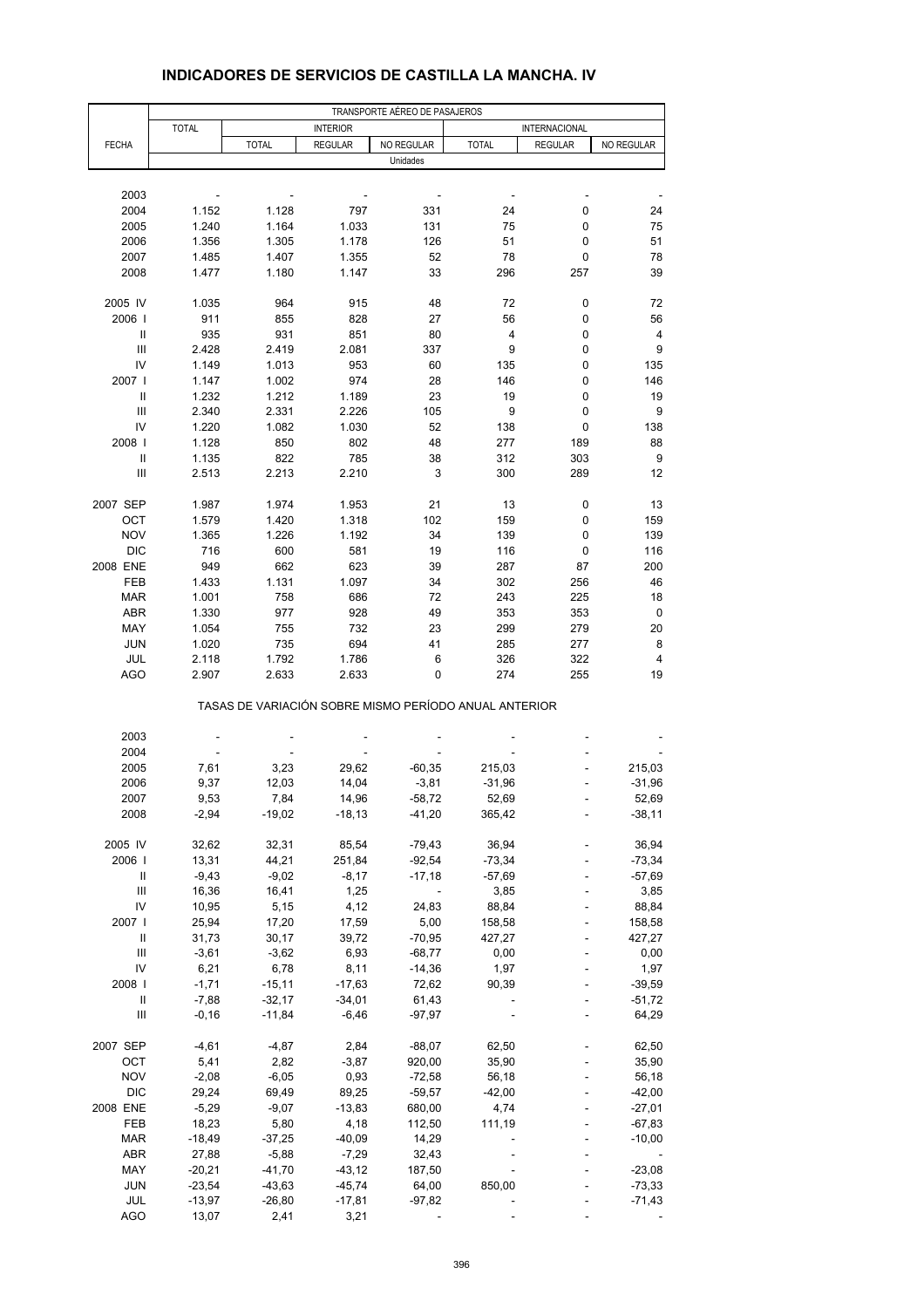|                                    | TRANSPORTE AÉREO DE PASAJEROS |                                                       |                 |                              |              |                |            |  |  |
|------------------------------------|-------------------------------|-------------------------------------------------------|-----------------|------------------------------|--------------|----------------|------------|--|--|
|                                    | <b>TOTAL</b>                  |                                                       | <b>INTERIOR</b> |                              |              | INTERNACIONAL  |            |  |  |
| <b>FECHA</b>                       |                               | <b>TOTAL</b>                                          | <b>REGULAR</b>  | NO REGULAR                   | <b>TOTAL</b> | <b>REGULAR</b> | NO REGULAR |  |  |
|                                    |                               |                                                       |                 | Unidades                     |              |                |            |  |  |
|                                    |                               |                                                       |                 |                              |              |                |            |  |  |
| 2003                               |                               |                                                       |                 |                              |              |                |            |  |  |
| 2004                               | 1.152                         | 1.128                                                 | 797             | 331                          | 24           | 0              | 24         |  |  |
| 2005                               | 1.240                         | 1.164                                                 | 1.033           | 131                          | 75           | 0              | 75         |  |  |
| 2006                               | 1.356                         | 1.305                                                 | 1.178           | 126                          | 51           | 0              | 51         |  |  |
| 2007                               | 1.485                         | 1.407                                                 | 1.355           | 52                           | 78           | 0              | 78         |  |  |
| 2008                               | 1.477                         | 1.180                                                 | 1.147           | 33                           | 296          | 257            | 39         |  |  |
| 2005 IV                            | 1.035                         | 964                                                   | 915             | 48                           | 72           | 0              | 72         |  |  |
| 2006                               | 911                           | 855                                                   | 828             | 27                           | 56           | 0              | 56         |  |  |
| Ш                                  | 935                           | 931                                                   | 851             | 80                           | 4            | 0              | 4          |  |  |
| Ш                                  | 2.428                         | 2.419                                                 | 2.081           | 337                          | 9            | 0              | 9          |  |  |
| IV                                 | 1.149                         | 1.013                                                 | 953             | 60                           | 135          | 0              | 135        |  |  |
| 2007                               | 1.147                         | 1.002                                                 | 974             | 28                           | 146          | 0              | 146        |  |  |
| Ш                                  | 1.232                         | 1.212                                                 | 1.189           | 23                           | 19           | 0              | 19         |  |  |
| Ш                                  | 2.340                         | 2.331                                                 | 2.226           | 105                          | 9            | 0              | 9          |  |  |
| IV                                 | 1.220                         | 1.082                                                 | 1.030           | 52                           | 138          | 0              | 138        |  |  |
| 2008                               | 1.128                         | 850                                                   | 802             | 48                           | 277          | 189            | 88         |  |  |
| Ш                                  | 1.135                         | 822                                                   | 785             | 38                           | 312          | 303            | 9          |  |  |
| Ш                                  | 2.513                         | 2.213                                                 | 2.210           | 3                            | 300          | 289            | 12         |  |  |
|                                    |                               |                                                       |                 |                              |              |                |            |  |  |
| 2007 SEP                           | 1.987                         | 1.974                                                 | 1.953           | 21                           | 13           | 0              | 13         |  |  |
| OCT                                | 1.579                         | 1.420                                                 | 1.318           | 102                          | 159          | 0              | 159        |  |  |
| <b>NOV</b>                         | 1.365                         | 1.226                                                 | 1.192           | 34                           | 139          | 0              | 139        |  |  |
| <b>DIC</b>                         | 716                           | 600                                                   | 581             | 19                           | 116          | 0              | 116        |  |  |
| 2008 ENE                           | 949                           | 662                                                   | 623             | 39                           | 287          | 87             | 200        |  |  |
| FEB                                | 1.433                         | 1.131                                                 | 1.097           | 34                           | 302          | 256            | 46         |  |  |
| <b>MAR</b>                         | 1.001                         | 758                                                   | 686             | 72                           | 243          | 225            | 18         |  |  |
| <b>ABR</b>                         | 1.330                         | 977                                                   | 928             | 49                           | 353          | 353            | 0          |  |  |
| MAY                                | 1.054                         | 755                                                   | 732             | 23                           | 299          | 279            | 20         |  |  |
| <b>JUN</b>                         | 1.020                         | 735                                                   | 694             | 41                           | 285          | 277            | 8          |  |  |
| JUL                                | 2.118                         | 1.792                                                 | 1.786           | 6                            | 326          | 322            | 4          |  |  |
| AGO                                | 2.907                         | 2.633                                                 | 2.633           | 0                            | 274          | 255            | 19         |  |  |
|                                    |                               | TASAS DE VARIACIÓN SOBRE MISMO PERÍODO ANUAL ANTERIOR |                 |                              |              |                |            |  |  |
| 2003                               |                               |                                                       |                 |                              |              |                |            |  |  |
| 2004                               |                               |                                                       |                 |                              |              |                |            |  |  |
| 2005                               | 7,61                          | 3,23                                                  | 29,62           | $-60,35$                     | 215,03       |                | 215,03     |  |  |
| 2006                               | 9,37                          | 12,03                                                 | 14,04           | $-3,81$                      | $-31,96$     |                | $-31,96$   |  |  |
| 2007                               | 9,53                          | 7,84                                                  | 14,96           | $-58,72$                     | 52,69        |                | 52,69      |  |  |
| 2008                               | $-2,94$                       | $-19,02$                                              | $-18,13$        | $-41,20$                     | 365,42       |                | $-38,11$   |  |  |
|                                    |                               |                                                       |                 |                              |              |                |            |  |  |
| 2005 IV                            | 32,62                         | 32,31                                                 | 85,54           | $-79,43$                     | 36,94        |                | 36,94      |  |  |
| 2006                               | 13,31                         | 44,21                                                 | 251,84          | $-92,54$                     | $-73,34$     |                | $-73,34$   |  |  |
| Ш                                  | $-9,43$                       | $-9,02$                                               | $-8,17$         | $-17,18$                     | $-57,69$     |                | -57,69     |  |  |
| $\ensuremath{\mathsf{III}}\xspace$ | 16,36                         | 16,41                                                 | 1,25            | $\qquad \qquad \blacksquare$ | 3,85         |                | 3,85       |  |  |
| IV                                 | 10,95                         | 5,15                                                  | 4,12            | 24,83                        | 88,84        |                | 88,84      |  |  |
| 2007                               | 25,94                         | 17,20                                                 | 17,59           | 5,00                         | 158,58       |                | 158,58     |  |  |
| Ш                                  | 31,73                         | 30,17                                                 | 39,72           | $-70,95$                     | 427,27       |                | 427,27     |  |  |
| $\ensuremath{\mathsf{III}}\xspace$ | $-3,61$                       | $-3,62$                                               | 6,93            | $-68,77$                     | 0,00         |                | 0,00       |  |  |
| IV                                 | 6,21                          | 6,78                                                  | 8,11            | $-14,36$                     | 1,97         |                | 1,97       |  |  |
| 2008                               | $-1,71$                       | $-15,11$                                              | $-17,63$        | 72,62                        | 90,39        |                | $-39,59$   |  |  |
| $\ensuremath{\mathsf{II}}$         | $-7,88$                       | $-32,17$                                              | $-34,01$        | 61,43                        |              |                | $-51,72$   |  |  |
| Ш                                  | $-0,16$                       | $-11,84$                                              | $-6,46$         | $-97,97$                     |              |                | 64,29      |  |  |
| 2007 SEP                           | $-4,61$                       | $-4,87$                                               | 2,84            | $-88,07$                     | 62,50        |                | 62,50      |  |  |
| ОСТ                                | 5,41                          | 2,82                                                  | $-3,87$         | 920,00                       | 35,90        |                | 35,90      |  |  |
| <b>NOV</b>                         | $-2,08$                       | $-6,05$                                               | 0,93            | $-72,58$                     | 56,18        |                | 56,18      |  |  |
| DIC                                | 29,24                         | 69,49                                                 | 89,25           | $-59,57$                     | $-42,00$     |                | $-42,00$   |  |  |
| 2008 ENE                           | $-5,29$                       | $-9,07$                                               | $-13,83$        | 680,00                       | 4,74         |                | $-27,01$   |  |  |
| FEB                                | 18,23                         | 5,80                                                  | 4,18            | 112,50                       | 111,19       |                | $-67,83$   |  |  |
| <b>MAR</b>                         | $-18,49$                      | $-37,25$                                              | $-40,09$        | 14,29                        |              |                | $-10,00$   |  |  |
| ABR                                | 27,88                         | $-5,88$                                               | $-7,29$         | 32,43                        |              |                |            |  |  |
| MAY                                | $-20,21$                      | $-41,70$                                              | $-43, 12$       | 187,50                       |              |                | $-23,08$   |  |  |
| <b>JUN</b>                         | $-23,54$                      | $-43,63$                                              | $-45,74$        | 64,00                        | 850,00       |                | $-73,33$   |  |  |
| JUL                                | $-13,97$                      | $-26,80$                                              | $-17,81$        | $-97,82$                     |              |                | $-71,43$   |  |  |
| <b>AGO</b>                         | 13,07                         | 2,41                                                  | 3,21            |                              |              |                |            |  |  |

## **INDICADORES DE SERVICIOS DE CASTILLA LA MANCHA. IV**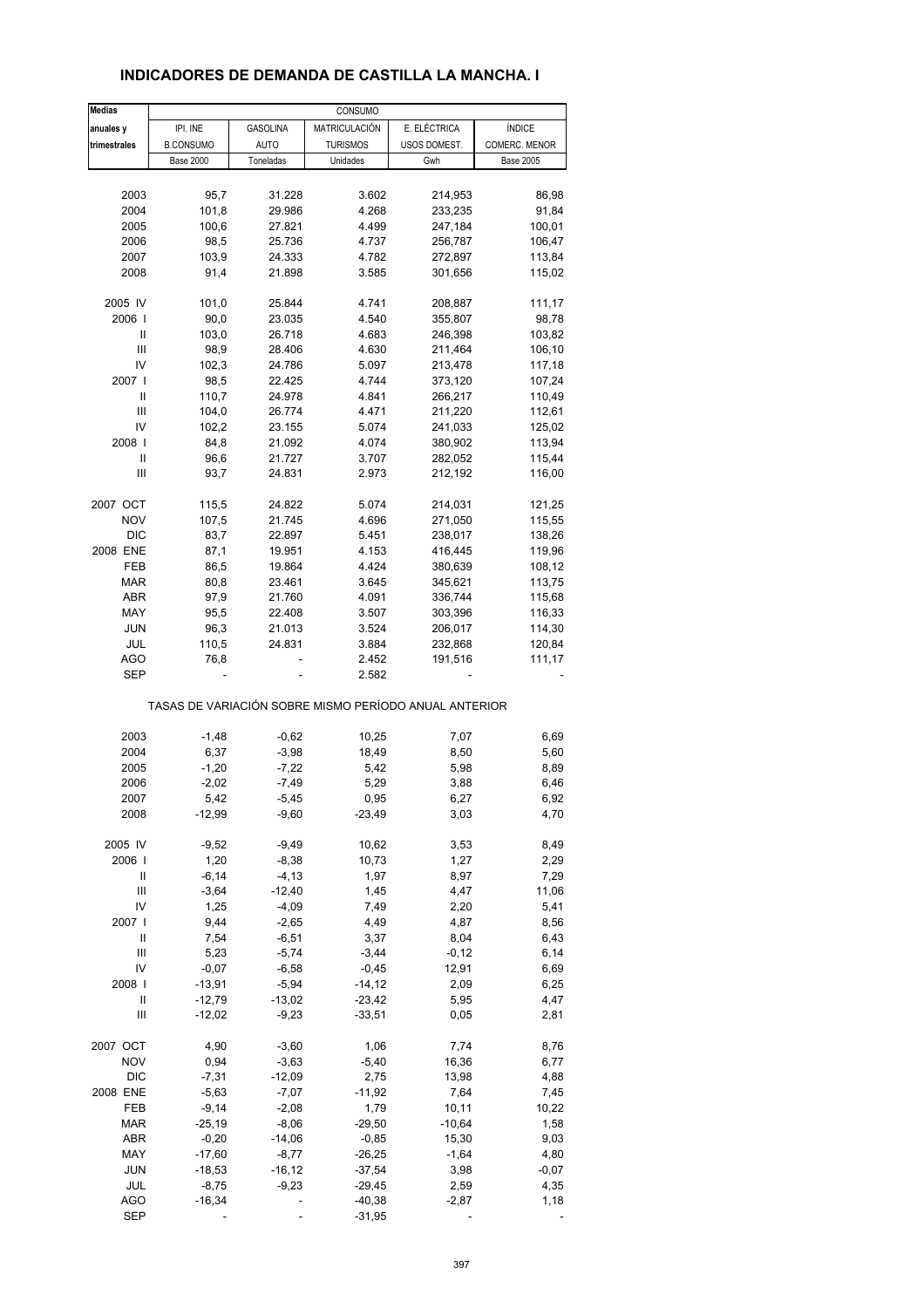| <b>Medias</b> |                  |                 | CONSUMO         |                                                       |                  |
|---------------|------------------|-----------------|-----------------|-------------------------------------------------------|------------------|
| anuales y     | IPI. INE         | <b>GASOLINA</b> | MATRICULACIÓN   | E. ELÉCTRICA                                          | <b>ÍNDICE</b>    |
| trimestrales  | <b>B.CONSUMO</b> | <b>AUTO</b>     | <b>TURISMOS</b> | USOS DOMEST.                                          | COMERC. MENOR    |
|               | <b>Base 2000</b> | Toneladas       | Unidades        | Gwh                                                   | <b>Base 2005</b> |
|               |                  |                 |                 |                                                       |                  |
| 2003          | 95,7             | 31.228          | 3.602           | 214,953                                               | 86,98            |
| 2004          | 101,8            | 29.986          | 4.268           | 233,235                                               | 91,84            |
| 2005          | 100,6            | 27.821          | 4.499           | 247,184                                               | 100,01           |
| 2006          | 98,5             | 25.736          | 4.737           | 256,787                                               | 106,47           |
| 2007          | 103,9            | 24.333          | 4.782           |                                                       |                  |
|               |                  |                 |                 | 272,897                                               | 113,84           |
| 2008          | 91,4             | 21.898          | 3.585           | 301,656                                               | 115,02           |
| 2005 IV       | 101,0            | 25.844          | 4.741           | 208,887                                               | 111,17           |
| 2006          | 90,0             |                 | 4.540           |                                                       |                  |
|               |                  | 23.035          |                 | 355,807                                               | 98,78            |
| Ш             | 103,0            | 26.718          | 4.683           | 246,398                                               | 103,82           |
| Ш             | 98,9             | 28.406          | 4.630           | 211,464                                               | 106,10           |
| IV            | 102,3            | 24.786          | 5.097           | 213,478                                               | 117,18           |
| 2007          | 98,5             | 22.425          | 4.744           | 373,120                                               | 107,24           |
| Ш             | 110,7            | 24.978          | 4.841           | 266,217                                               | 110,49           |
| Ш             | 104,0            | 26.774          | 4.471           | 211,220                                               | 112,61           |
| IV            | 102,2            | 23.155          | 5.074           | 241,033                                               | 125,02           |
| 2008          | 84,8             | 21.092          | 4.074           | 380,902                                               | 113,94           |
| Ш             | 96,6             | 21.727          | 3.707           | 282,052                                               | 115,44           |
| Ш             | 93,7             | 24.831          | 2.973           | 212,192                                               | 116,00           |
|               |                  |                 |                 |                                                       |                  |
| 2007 OCT      | 115,5            | 24.822          | 5.074           | 214,031                                               | 121,25           |
| <b>NOV</b>    | 107,5            | 21.745          | 4.696           | 271,050                                               | 115,55           |
| <b>DIC</b>    | 83,7             | 22.897          | 5.451           | 238,017                                               | 138,26           |
|               |                  |                 |                 |                                                       |                  |
| 2008 ENE      | 87,1             | 19.951          | 4.153           | 416,445                                               | 119,96           |
| FEB           | 86,5             | 19.864          | 4.424           | 380,639                                               | 108,12           |
| MAR           | 80,8             | 23.461          | 3.645           | 345,621                                               | 113,75           |
| <b>ABR</b>    | 97,9             | 21.760          | 4.091           | 336,744                                               | 115,68           |
| MAY           | 95,5             | 22.408          | 3.507           | 303,396                                               | 116,33           |
| <b>JUN</b>    | 96,3             | 21.013          | 3.524           | 206,017                                               | 114,30           |
| JUL           | 110,5            | 24.831          | 3.884           | 232,868                                               | 120,84           |
| AGO           | 76,8             |                 | 2.452           | 191,516                                               | 111,17           |
| <b>SEP</b>    |                  |                 | 2.582           |                                                       |                  |
|               |                  |                 |                 | TASAS DE VARIACIÓN SOBRE MISMO PERÍODO ANUAL ANTERIOR |                  |
|               |                  |                 |                 |                                                       |                  |
| 2003          | $-1,48$          | $-0,62$         | 10,25           | 7,07                                                  | 6,69             |
| 2004          | 6,37             | $-3,98$         | 18,49           | 8,50                                                  | 5,60             |
| 2005          | $-1,20$          | $-7,22$         | 5,42            | 5,98                                                  | 8,89             |
| 2006          | $-2,02$          | $-7,49$         | 5,29            | 3,88                                                  | 6,46             |
| 2007          | 5,42             | $-5,45$         | 0,95            | 6,27                                                  | 6,92             |
| 2008          | $-12,99$         | $-9,60$         | $-23,49$        | 3,03                                                  | 4,70             |
|               |                  |                 |                 |                                                       |                  |
| 2005 IV       | $-9,52$          | $-9,49$         | 10,62           | 3,53                                                  | 8,49             |
| 2006          | 1,20             | $-8,38$         | 10,73           | 1,27                                                  | 2,29             |
| Ш             | $-6, 14$         | $-4, 13$        | 1,97            | 8,97                                                  | 7,29             |
| Ш             | $-3,64$          | $-12,40$        | 1,45            | 4,47                                                  | 11,06            |
| IV            | 1,25             | $-4,09$         | 7,49            | 2,20                                                  | 5,41             |
| 2007          | 9,44             | $-2,65$         | 4,49            | 4,87                                                  | 8,56             |
| Ш             | 7,54             | $-6,51$         | 3,37            | 8,04                                                  | 6,43             |
| Ш             | 5,23             | $-5,74$         | $-3,44$         | $-0,12$                                               | 6,14             |
| IV            | $-0,07$          | $-6,58$         | $-0,45$         | 12,91                                                 | 6,69             |
|               |                  | $-5,94$         |                 |                                                       |                  |
| 2008          | $-13,91$         |                 | $-14,12$        | 2,09                                                  | 6,25             |
| Ш             | $-12,79$         | $-13,02$        | $-23,42$        | 5,95                                                  | 4,47             |
| Ш             | $-12,02$         | $-9,23$         | $-33,51$        | 0,05                                                  | 2,81             |
| 2007 OCT      | 4,90             | $-3,60$         | 1,06            | 7,74                                                  | 8,76             |
| <b>NOV</b>    | 0,94             | $-3,63$         | $-5,40$         | 16,36                                                 | 6,77             |
|               |                  |                 |                 |                                                       |                  |
| <b>DIC</b>    | $-7,31$          | $-12,09$        | 2,75            | 13,98                                                 | 4,88             |
| 2008 ENE      | $-5,63$          | $-7,07$         | $-11,92$        | 7,64                                                  | 7,45             |
| FEB           | $-9,14$          | $-2,08$         | 1,79            | 10, 11                                                | 10,22            |
| <b>MAR</b>    | $-25,19$         | $-8,06$         | $-29,50$        | $-10,64$                                              | 1,58             |
| ABR           | $-0,20$          | $-14,06$        | $-0,85$         | 15,30                                                 | 9,03             |
| MAY           | $-17,60$         | $-8,77$         | $-26,25$        | $-1,64$                                               | 4,80             |
| <b>JUN</b>    | $-18,53$         | $-16, 12$       | $-37,54$        | 3,98                                                  | $-0,07$          |
| JUL           | $-8,75$          |                 |                 |                                                       |                  |
|               |                  | $-9,23$         | $-29,45$        | 2,59                                                  | 4,35             |
| <b>AGO</b>    | $-16,34$         |                 | $-40,38$        | $-2,87$                                               | 1,18             |
| <b>SEP</b>    |                  |                 | $-31,95$        |                                                       |                  |

#### **INDICADORES DE DEMANDA DE CASTILLA LA MANCHA. I**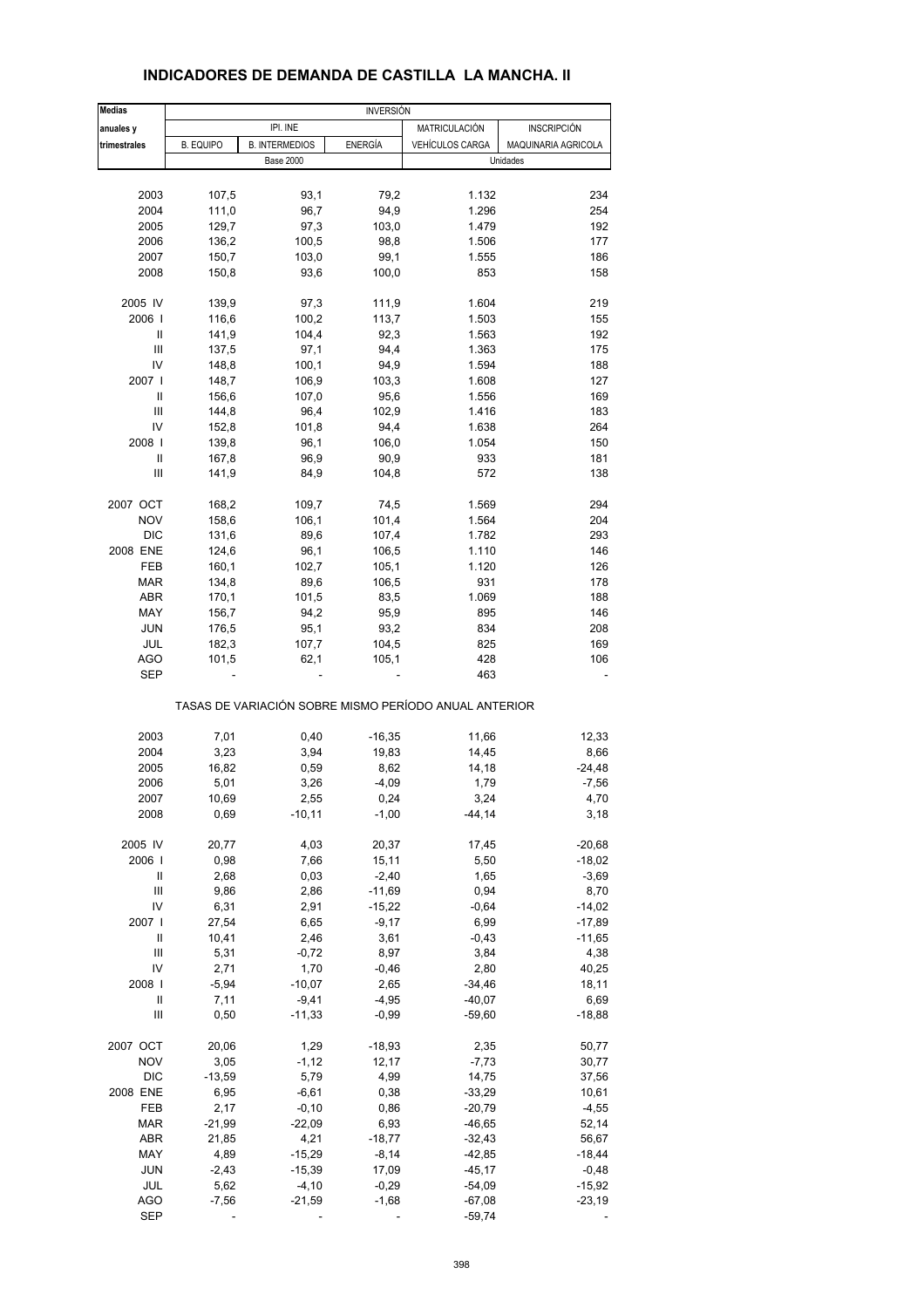| <b>Medias</b>                      | <b>INVERSIÓN</b> |                       |                |                                                       |                     |  |
|------------------------------------|------------------|-----------------------|----------------|-------------------------------------------------------|---------------------|--|
| anuales y                          |                  | IPI. INE              |                | MATRICULACIÓN                                         | <b>INSCRIPCIÓN</b>  |  |
| trimestrales                       | <b>B. EQUIPO</b> | <b>B. INTERMEDIOS</b> | <b>ENERGÍA</b> | <b>VEHÍCULOS CARGA</b>                                | MAQUINARIA AGRICOLA |  |
|                                    |                  | <b>Base 2000</b>      |                |                                                       | Unidades            |  |
|                                    |                  |                       |                |                                                       |                     |  |
| 2003                               | 107,5            | 93,1                  | 79,2           | 1.132                                                 | 234                 |  |
| 2004                               | 111,0            | 96,7                  | 94,9           | 1.296                                                 | 254                 |  |
| 2005                               | 129,7            | 97,3                  | 103,0          | 1.479                                                 | 192                 |  |
|                                    |                  |                       |                |                                                       |                     |  |
| 2006                               | 136,2            | 100,5                 | 98,8           | 1.506                                                 | 177                 |  |
| 2007                               | 150,7            | 103,0                 | 99,1           | 1.555                                                 | 186                 |  |
| 2008                               | 150,8            | 93,6                  | 100,0          | 853                                                   | 158                 |  |
| 2005 IV                            | 139,9            | 97,3                  | 111,9          | 1.604                                                 | 219                 |  |
| 2006                               | 116,6            | 100,2                 | 113,7          | 1.503                                                 | 155                 |  |
| Ш                                  | 141,9            | 104,4                 | 92,3           | 1.563                                                 | 192                 |  |
| Ш                                  | 137,5            | 97,1                  | 94,4           | 1.363                                                 | 175                 |  |
| IV                                 | 148,8            | 100,1                 | 94,9           | 1.594                                                 | 188                 |  |
| 2007                               | 148,7            | 106,9                 | 103,3          | 1.608                                                 | 127                 |  |
| Ш                                  | 156,6            | 107,0                 | 95,6           | 1.556                                                 | 169                 |  |
| Ш                                  | 144,8            | 96,4                  | 102,9          | 1.416                                                 | 183                 |  |
| IV                                 |                  |                       |                | 1.638                                                 |                     |  |
|                                    | 152,8            | 101,8                 | 94,4           |                                                       | 264                 |  |
| 2008                               | 139,8            | 96,1                  | 106,0          | 1.054                                                 | 150                 |  |
| Ш                                  | 167,8            | 96,9                  | 90,9           | 933                                                   | 181                 |  |
| Ш                                  | 141,9            | 84,9                  | 104,8          | 572                                                   | 138                 |  |
| 2007 OCT                           | 168,2            | 109,7                 | 74,5           | 1.569                                                 | 294                 |  |
| <b>NOV</b>                         | 158,6            | 106,1                 | 101,4          | 1.564                                                 | 204                 |  |
| <b>DIC</b>                         | 131,6            | 89,6                  | 107,4          | 1.782                                                 | 293                 |  |
| 2008 ENE                           | 124,6            | 96,1                  | 106,5          | 1.110                                                 | 146                 |  |
| FEB                                | 160,1            | 102,7                 | 105,1          | 1.120                                                 | 126                 |  |
| MAR                                | 134,8            |                       | 106,5          |                                                       | 178                 |  |
|                                    |                  | 89,6                  |                | 931                                                   |                     |  |
| ABR                                | 170,1            | 101,5                 | 83,5           | 1.069                                                 | 188                 |  |
| MAY                                | 156,7            | 94,2                  | 95,9           | 895                                                   | 146                 |  |
| <b>JUN</b>                         | 176,5            | 95,1                  | 93,2           | 834                                                   | 208                 |  |
| JUL                                | 182,3            | 107,7                 | 104,5          | 825                                                   | 169                 |  |
| <b>AGO</b>                         | 101,5            | 62,1                  | 105,1          | 428                                                   | 106                 |  |
| <b>SEP</b>                         |                  |                       |                | 463                                                   |                     |  |
|                                    |                  |                       |                | TASAS DE VARIACIÓN SOBRE MISMO PERÍODO ANUAL ANTERIOR |                     |  |
| 2003                               | 7,01             | 0,40                  | $-16,35$       | 11,66                                                 | 12,33               |  |
| 2004                               | 3,23             | 3,94                  | 19,83          | 14,45                                                 | 8,66                |  |
| 2005                               | 16,82            | 0,59                  | 8,62           | 14,18                                                 | $-24,48$            |  |
| 2006                               |                  |                       |                |                                                       |                     |  |
|                                    | 5,01             | 3,26                  | $-4,09$        | 1,79                                                  | $-7,56$             |  |
| 2007                               | 10,69            | 2,55                  | 0,24           | 3,24                                                  | 4,70                |  |
| 2008                               | 0,69             | $-10,11$              | $-1,00$        | $-44, 14$                                             | 3,18                |  |
| 2005 IV                            | 20,77            | 4,03                  | 20,37          | 17,45                                                 | $-20,68$            |  |
| 2006                               | 0,98             | 7,66                  | 15,11          | 5,50                                                  | $-18,02$            |  |
| Ш                                  | 2,68             | 0,03                  | $-2,40$        | 1,65                                                  | $-3,69$             |  |
| $\ensuremath{\mathsf{III}}\xspace$ | 9,86             | 2,86                  | $-11,69$       | 0,94                                                  | 8,70                |  |
| IV                                 | 6,31             | 2,91                  | $-15,22$       | $-0,64$                                               | $-14,02$            |  |
| 2007                               | 27,54            | 6,65                  | $-9,17$        | 6,99                                                  | $-17,89$            |  |
| Ш                                  | 10,41            | 2,46                  | 3,61           | $-0,43$                                               | $-11,65$            |  |
|                                    |                  |                       |                |                                                       |                     |  |
| Ш                                  | 5,31             | $-0,72$               | 8,97           | 3,84                                                  | 4,38                |  |
| IV                                 | 2,71             | 1,70                  | $-0,46$        | 2,80                                                  | 40,25               |  |
| 2008                               | $-5,94$          | $-10,07$              | 2,65           | $-34,46$                                              | 18,11               |  |
| Ш                                  | 7,11             | $-9,41$               | $-4,95$        | $-40,07$                                              | 6,69                |  |
| Ш                                  | 0,50             | $-11,33$              | $-0,99$        | $-59,60$                                              | $-18,88$            |  |
| 2007 OCT                           | 20,06            | 1,29                  | $-18,93$       | 2,35                                                  | 50,77               |  |
| <b>NOV</b>                         | 3,05             | $-1, 12$              | 12,17          | $-7,73$                                               | 30,77               |  |
| <b>DIC</b>                         | $-13,59$         | 5,79                  | 4,99           | 14,75                                                 | 37,56               |  |
| 2008 ENE                           | 6,95             | $-6,61$               | 0,38           | $-33,29$                                              | 10,61               |  |
|                                    |                  |                       |                |                                                       |                     |  |
| FEB                                | 2,17             | $-0, 10$              | 0,86           | $-20,79$                                              | $-4,55$             |  |
| <b>MAR</b>                         | $-21,99$         | $-22,09$              | 6,93           | $-46,65$                                              | 52,14               |  |
| ABR                                | 21,85            | 4,21                  | $-18,77$       | $-32,43$                                              | 56,67               |  |
| MAY                                | 4,89             | $-15,29$              | $-8,14$        | $-42,85$                                              | $-18,44$            |  |
| <b>JUN</b>                         | $-2,43$          | $-15,39$              | 17,09          | $-45,17$                                              | $-0,48$             |  |
| JUL                                | 5,62             | $-4, 10$              | $-0,29$        | $-54,09$                                              | $-15,92$            |  |
| <b>AGO</b>                         | $-7,56$          | $-21,59$              | $-1,68$        | $-67,08$                                              | $-23,19$            |  |
| <b>SEP</b>                         |                  |                       |                | $-59,74$                                              |                     |  |
|                                    |                  |                       |                |                                                       |                     |  |

#### **INDICADORES DE DEMANDA DE CASTILLA LA MANCHA. II**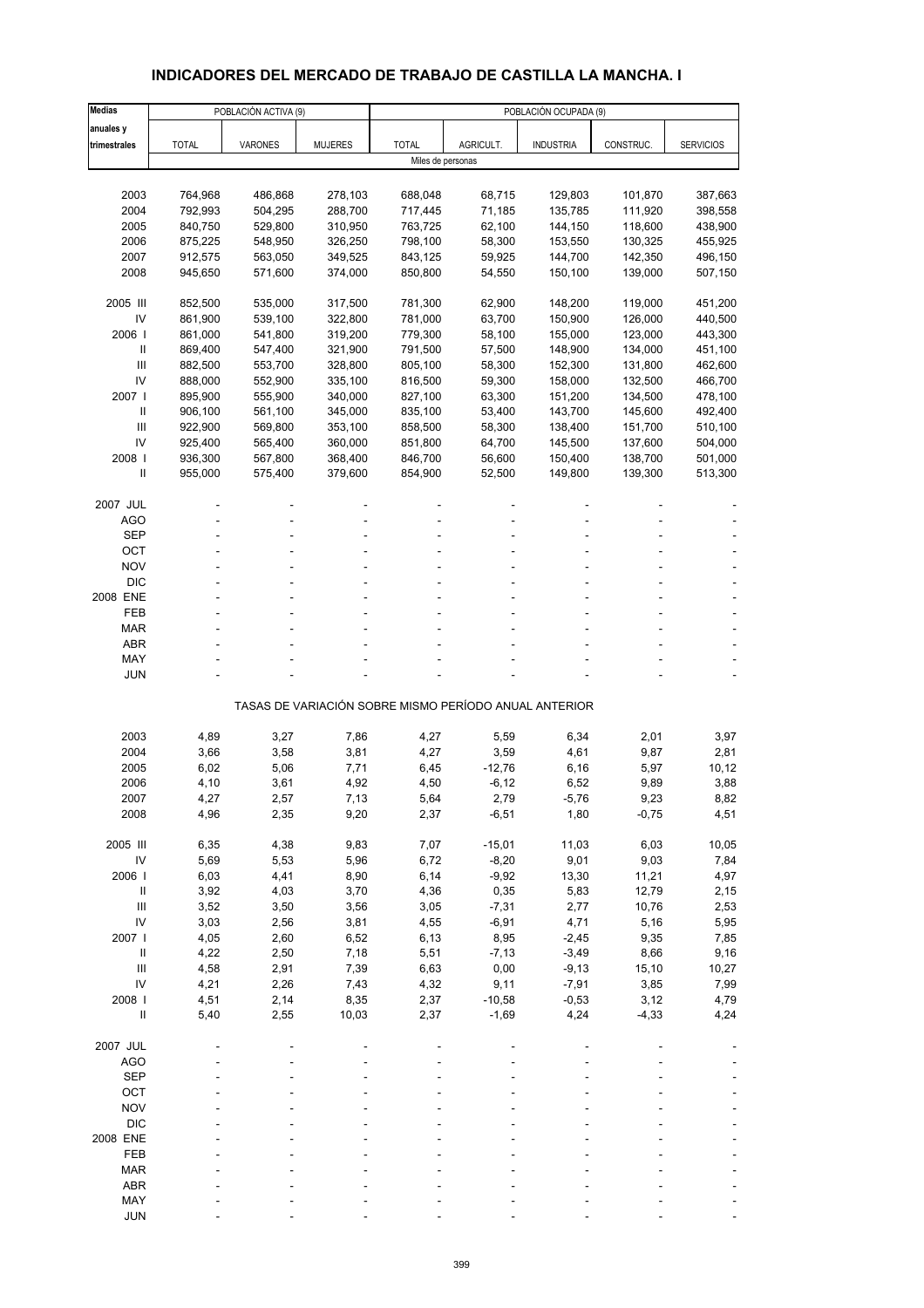# **INDICADORES DEL MERCADO DE TRABAJO DE CASTILLA LA MANCHA. I**

| <b>Medias</b>  |              | POBLACIÓN ACTIVA (9) |                |                                                       |           | POBLACIÓN OCUPADA (9) |           |                  |
|----------------|--------------|----------------------|----------------|-------------------------------------------------------|-----------|-----------------------|-----------|------------------|
| anuales y      |              |                      |                |                                                       |           |                       |           |                  |
| trimestrales   | <b>TOTAL</b> | <b>VARONES</b>       | <b>MUJERES</b> | <b>TOTAL</b>                                          | AGRICULT. | <b>INDUSTRIA</b>      | CONSTRUC. | <b>SERVICIOS</b> |
|                |              |                      |                | Miles de personas                                     |           |                       |           |                  |
|                |              |                      |                |                                                       |           |                       |           |                  |
| 2003           | 764,968      | 486,868              | 278,103        | 688,048                                               | 68,715    | 129,803               | 101,870   | 387,663          |
| 2004           | 792,993      | 504,295              | 288,700        | 717,445                                               | 71,185    | 135,785               | 111,920   | 398,558          |
| 2005           | 840,750      | 529,800              | 310,950        | 763,725                                               | 62,100    | 144,150               | 118,600   | 438,900          |
| 2006           | 875,225      | 548,950              | 326,250        | 798,100                                               | 58,300    | 153,550               | 130,325   | 455,925          |
| 2007           | 912,575      | 563,050              | 349,525        | 843,125                                               | 59,925    | 144,700               | 142,350   | 496,150          |
| 2008           | 945,650      | 571,600              | 374,000        | 850,800                                               | 54,550    | 150,100               | 139,000   | 507,150          |
|                |              |                      |                |                                                       |           |                       |           |                  |
| 2005 III       | 852,500      | 535,000              | 317,500        | 781,300                                               | 62,900    | 148,200               | 119,000   | 451,200          |
| IV             | 861,900      | 539,100              | 322,800        | 781,000                                               | 63,700    | 150,900               | 126,000   | 440,500          |
| 2006           | 861,000      | 541,800              | 319,200        | 779,300                                               | 58,100    | 155,000               | 123,000   | 443,300          |
| $\mathbf{I}$   | 869,400      | 547,400              | 321,900        | 791,500                                               | 57,500    | 148,900               | 134,000   | 451,100          |
| III            | 882,500      | 553,700              | 328,800        | 805,100                                               | 58,300    | 152,300               | 131,800   | 462,600          |
| IV             | 888,000      | 552,900              | 335,100        | 816,500                                               | 59,300    | 158,000               | 132,500   | 466,700          |
| 2007           | 895,900      | 555,900              | 340,000        | 827,100                                               | 63,300    | 151,200               | 134,500   | 478,100          |
| Ш              | 906,100      | 561,100              | 345,000        | 835,100                                               | 53,400    | 143,700               | 145,600   | 492,400          |
| Ш              | 922,900      | 569,800              | 353,100        | 858,500                                               | 58,300    | 138,400               | 151,700   | 510,100          |
| IV             | 925,400      | 565,400              | 360,000        | 851,800                                               | 64,700    | 145,500               | 137,600   | 504,000          |
| 2008           | 936,300      | 567,800              | 368,400        | 846,700                                               | 56,600    | 150,400               | 138,700   | 501,000          |
| $\mathsf{I}$   | 955,000      | 575,400              | 379,600        | 854,900                                               | 52,500    | 149,800               | 139,300   | 513,300          |
|                |              |                      |                |                                                       |           |                       |           |                  |
| 2007 JUL       |              |                      |                |                                                       |           |                       |           |                  |
| <b>AGO</b>     |              |                      |                |                                                       |           |                       |           |                  |
| <b>SEP</b>     |              |                      |                |                                                       |           |                       |           |                  |
| OCT            |              |                      |                |                                                       |           |                       |           |                  |
| <b>NOV</b>     |              |                      |                |                                                       |           |                       |           |                  |
| <b>DIC</b>     |              |                      |                |                                                       |           |                       |           |                  |
| 2008 ENE       |              |                      |                |                                                       |           |                       |           |                  |
| FEB            |              |                      |                |                                                       |           |                       |           |                  |
| <b>MAR</b>     |              |                      |                |                                                       |           |                       |           |                  |
| <b>ABR</b>     |              |                      |                |                                                       |           |                       |           |                  |
| MAY            |              |                      |                |                                                       |           |                       |           |                  |
| <b>JUN</b>     |              |                      |                |                                                       |           |                       |           |                  |
|                |              |                      |                |                                                       |           |                       |           |                  |
|                |              |                      |                | TASAS DE VARIACIÓN SOBRE MISMO PERÍODO ANUAL ANTERIOR |           |                       |           |                  |
|                |              |                      |                |                                                       |           |                       |           |                  |
| 2003           | 4,89         | 3,27                 | 7,86           | 4,27                                                  | 5,59      | 6,34                  | 2,01      | 3,97             |
| 2004           | 3,66         | 3,58                 | 3,81           | 4,27                                                  | 3,59      | 4,61                  | 9,87      | 2,81             |
| 2005           | 6,02         | 5,06                 | 7,71           | 6,45                                                  | $-12,76$  | 6,16                  | 5,97      | 10, 12           |
| 2006           | 4,10         | 3,61                 | 4,92           | 4,50                                                  | $-6, 12$  | 6,52                  | 9,89      | 3,88             |
| 2007           | 4,27         | 2,57                 | 7,13           | 5,64                                                  | 2,79      | -5,76                 | 9,23      | 8,82             |
| 2008           | 4,96         | 2,35                 | 9,20           | 2,37                                                  | $-6,51$   | 1,80                  | $-0,75$   | 4,51             |
|                |              |                      |                |                                                       |           |                       |           |                  |
| 2005 III       | 6,35         | 4,38                 | 9,83           | 7,07                                                  | $-15,01$  | 11,03                 | 6,03      | 10,05            |
| IV             | 5,69         | 5,53                 | 5,96           | 6,72                                                  | $-8,20$   | 9,01                  | 9,03      | 7,84             |
| 2006           | 6,03         | 4,41                 | 8,90           | 6,14                                                  | $-9,92$   | 13,30                 | 11,21     | 4,97             |
| $\, \parallel$ | 3,92         | 4,03                 | 3,70           | 4,36                                                  | 0,35      | 5,83                  | 12,79     | 2,15             |
| Ш              | 3,52         | 3,50                 | 3,56           | 3,05                                                  | $-7,31$   | 2,77                  | 10,76     | 2,53             |
| IV             | 3,03         | 2,56                 | 3,81           | 4,55                                                  | $-6,91$   | 4,71                  | 5,16      | 5,95             |
| 2007 l         | 4,05         | 2,60                 | 6,52           | 6, 13                                                 | 8,95      | $-2,45$               | 9,35      | 7,85             |
| $\, \parallel$ | 4,22         | 2,50                 | 7,18           | 5,51                                                  | $-7, 13$  | $-3,49$               | 8,66      | 9,16             |
| Ш              | 4,58         | 2,91                 | 7,39           | 6,63                                                  | 0,00      | $-9,13$               | 15,10     | 10,27            |
| IV             | 4,21         | 2,26                 | 7,43           | 4,32                                                  | 9,11      | $-7,91$               | 3,85      | 7,99             |
| 2008 l         | 4,51         | 2,14                 | 8,35           | 2,37                                                  | $-10,58$  | $-0,53$               | 3,12      | 4,79             |
| $\sf II$       | 5,40         | 2,55                 | 10,03          | 2,37                                                  | $-1,69$   | 4,24                  | $-4,33$   | 4,24             |
|                |              |                      |                |                                                       |           |                       |           |                  |
| 2007 JUL       |              |                      |                |                                                       |           |                       |           |                  |
| <b>AGO</b>     |              |                      |                |                                                       |           |                       |           |                  |
| <b>SEP</b>     |              |                      |                |                                                       |           |                       |           |                  |
| OCT            |              |                      |                |                                                       |           |                       |           |                  |
| <b>NOV</b>     |              |                      |                |                                                       |           |                       |           |                  |
| <b>DIC</b>     |              |                      |                |                                                       |           |                       |           |                  |
| 2008 ENE       |              |                      |                |                                                       |           |                       |           |                  |
| FEB            |              |                      |                |                                                       |           |                       |           |                  |
| <b>MAR</b>     |              |                      |                |                                                       |           |                       |           |                  |
| ABR            |              |                      |                |                                                       |           |                       |           |                  |
| MAY            |              |                      |                |                                                       |           |                       |           |                  |
| <b>JUN</b>     |              |                      |                |                                                       |           |                       |           |                  |
|                |              |                      |                |                                                       |           |                       |           |                  |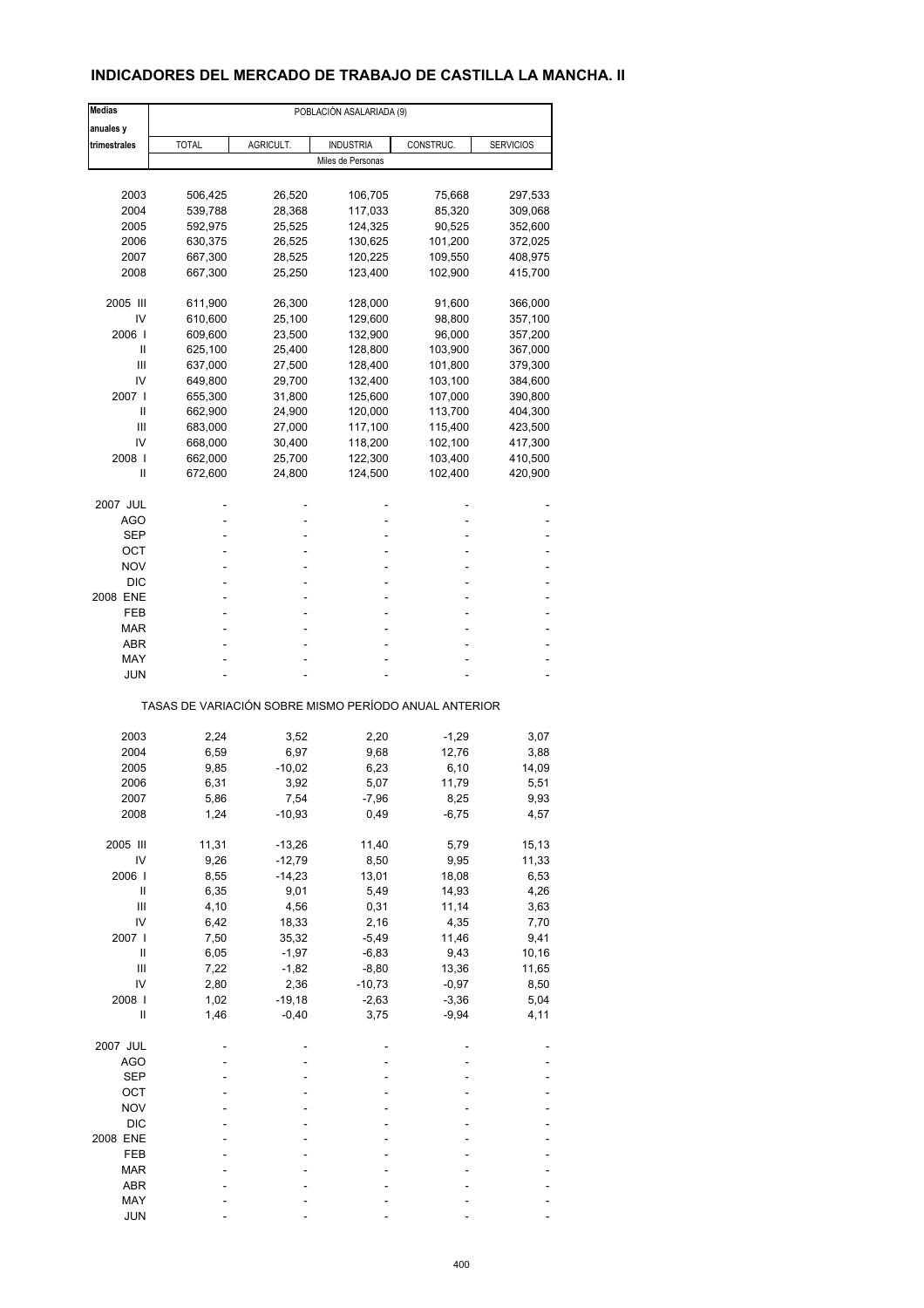## **INDICADORES DEL MERCADO DE TRABAJO DE CASTILLA LA MANCHA. II**

| <b>Medias</b> | POBLACIÓN ASALARIADA (9)                              |                  |                   |                 |                  |  |  |  |
|---------------|-------------------------------------------------------|------------------|-------------------|-----------------|------------------|--|--|--|
| anuales y     |                                                       |                  |                   |                 |                  |  |  |  |
| trimestrales  | <b>TOTAL</b>                                          | AGRICULT.        | <b>INDUSTRIA</b>  | CONSTRUC.       | <b>SERVICIOS</b> |  |  |  |
|               |                                                       |                  | Miles de Personas |                 |                  |  |  |  |
|               |                                                       |                  |                   |                 |                  |  |  |  |
| 2003          | 506,425                                               | 26,520           | 106,705           | 75,668          | 297,533          |  |  |  |
| 2004          | 539,788                                               | 28,368           | 117,033           | 85,320          | 309,068          |  |  |  |
| 2005          | 592,975                                               | 25,525           | 124,325           | 90,525          | 352,600          |  |  |  |
| 2006          | 630,375                                               | 26,525           | 130,625           | 101,200         | 372,025          |  |  |  |
| 2007          | 667,300                                               | 28,525           | 120,225           | 109,550         | 408,975          |  |  |  |
| 2008          | 667,300                                               | 25,250           | 123,400           | 102,900         | 415,700          |  |  |  |
| 2005 III      | 611,900                                               | 26,300           | 128,000           | 91,600          | 366,000          |  |  |  |
| IV            | 610,600                                               | 25,100           | 129,600           | 98,800          | 357,100          |  |  |  |
| 2006 l        | 609,600                                               | 23,500           | 132,900           | 96,000          | 357,200          |  |  |  |
| Ш             | 625,100                                               | 25,400           | 128,800           | 103,900         | 367,000          |  |  |  |
| Ш             | 637,000                                               | 27,500           | 128,400           | 101,800         | 379,300          |  |  |  |
| IV            | 649,800                                               | 29,700           | 132,400           | 103,100         | 384,600          |  |  |  |
| 2007 l        | 655,300                                               | 31,800           | 125,600           | 107,000         | 390,800          |  |  |  |
| Ш             | 662,900                                               | 24,900           | 120,000           | 113,700         | 404,300          |  |  |  |
| Ш             | 683,000                                               | 27,000           | 117,100           | 115,400         | 423,500          |  |  |  |
| IV            | 668,000                                               | 30,400           | 118,200           | 102,100         | 417,300          |  |  |  |
| 2008          | 662,000                                               | 25,700           | 122,300           | 103,400         | 410,500          |  |  |  |
| Ш             | 672,600                                               | 24,800           | 124,500           | 102,400         | 420,900          |  |  |  |
| 2007 JUL      |                                                       |                  |                   |                 |                  |  |  |  |
| <b>AGO</b>    |                                                       |                  | ä,                |                 |                  |  |  |  |
| SEP           |                                                       |                  |                   |                 |                  |  |  |  |
| ОСТ           |                                                       |                  | ä,                |                 |                  |  |  |  |
| <b>NOV</b>    |                                                       |                  |                   |                 |                  |  |  |  |
| <b>DIC</b>    |                                                       |                  |                   |                 |                  |  |  |  |
| 2008 ENE      |                                                       |                  | ä,                |                 |                  |  |  |  |
| FEB           |                                                       |                  |                   |                 |                  |  |  |  |
| MAR           |                                                       |                  |                   |                 |                  |  |  |  |
| <b>ABR</b>    |                                                       |                  |                   |                 |                  |  |  |  |
| MAY           |                                                       |                  |                   |                 |                  |  |  |  |
| JUN           |                                                       |                  |                   |                 |                  |  |  |  |
|               | TASAS DE VARIACIÓN SOBRE MISMO PERÍODO ANUAL ANTERIOR |                  |                   |                 |                  |  |  |  |
| 2003          | 2,24                                                  |                  | 2,20              | $-1,29$         |                  |  |  |  |
| 2004          | 6,59                                                  | 3,52<br>6,97     | 9,68              | 12,76           | 3,07<br>3,88     |  |  |  |
| 2005          | 9,85                                                  | $-10,02$         | 6,23              | 6,10            | 14,09            |  |  |  |
| 2006          | 6,31                                                  | 3,92             | 5,07              | 11,79           | 5,51             |  |  |  |
|               |                                                       |                  |                   |                 |                  |  |  |  |
| 2007<br>2008  | 5,86<br>1,24                                          | 7,54<br>$-10,93$ | -7,96<br>0,49     | 8,25<br>$-6,75$ | 9,93<br>4,57     |  |  |  |
|               |                                                       |                  |                   |                 |                  |  |  |  |
| 2005 III      | 11,31                                                 | $-13,26$         | 11,40             | 5,79            | 15,13            |  |  |  |
| IV            | 9,26                                                  | $-12,79$         | 8,50              | 9,95            | 11,33            |  |  |  |
| 2006          | 8,55                                                  | $-14,23$         | 13,01             | 18,08           | 6,53             |  |  |  |
| Ш             | 6,35                                                  | 9,01             | 5,49              | 14,93           | 4,26             |  |  |  |
| Ш             | 4,10                                                  | 4,56             | 0,31              | 11,14           | 3,63             |  |  |  |
| IV            | 6,42                                                  | 18,33            | 2,16              | 4,35            | 7,70             |  |  |  |
| 2007 l        | 7,50                                                  | 35,32            | $-5,49$           | 11,46           | 9,41             |  |  |  |
| $\sf II$      | 6,05                                                  | $-1,97$          | $-6,83$           | 9,43            | 10,16            |  |  |  |
| Ш             | 7,22                                                  | $-1,82$          | $-8,80$           | 13,36           | 11,65            |  |  |  |
| IV            | 2,80                                                  | 2,36             | $-10,73$          | $-0,97$         | 8,50             |  |  |  |
| 2008          | 1,02                                                  | $-19,18$         | $-2,63$           | $-3,36$         | 5,04             |  |  |  |
| Ш             | 1,46                                                  | $-0,40$          | 3,75              | $-9,94$         | 4,11             |  |  |  |
| 2007 JUL      |                                                       |                  |                   |                 |                  |  |  |  |
| <b>AGO</b>    |                                                       |                  |                   |                 |                  |  |  |  |
| <b>SEP</b>    |                                                       |                  |                   |                 |                  |  |  |  |
| OCT           |                                                       |                  |                   |                 |                  |  |  |  |
| <b>NOV</b>    |                                                       |                  |                   |                 |                  |  |  |  |
| <b>DIC</b>    |                                                       |                  |                   |                 |                  |  |  |  |
| 2008 ENE      |                                                       |                  |                   |                 |                  |  |  |  |
| FEB           |                                                       |                  |                   |                 |                  |  |  |  |
| MAR           |                                                       |                  |                   |                 |                  |  |  |  |
| ABR           |                                                       |                  |                   |                 |                  |  |  |  |
| MAY           |                                                       |                  |                   |                 |                  |  |  |  |
| <b>JUN</b>    |                                                       |                  |                   |                 |                  |  |  |  |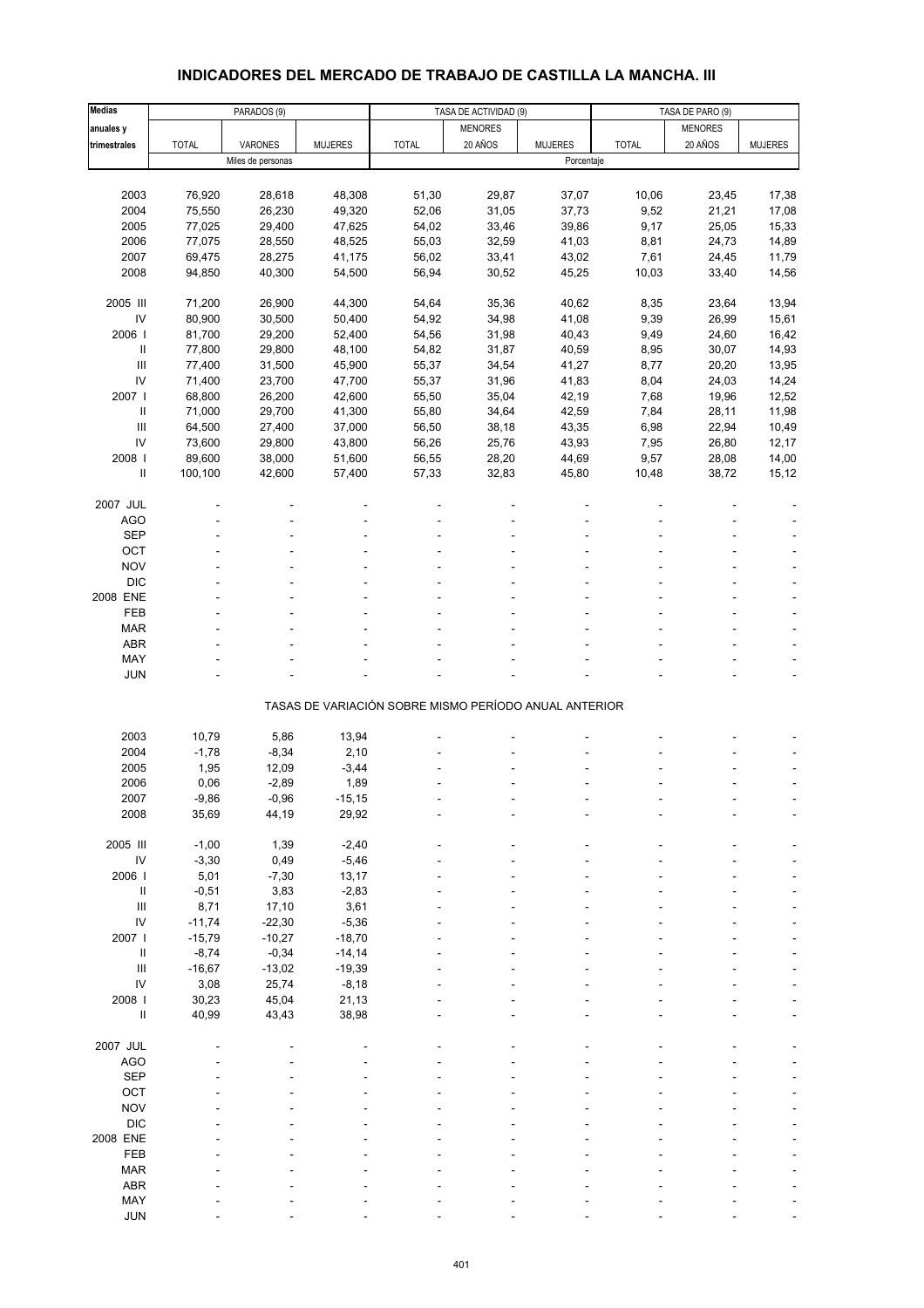# **INDICADORES DEL MERCADO DE TRABAJO DE CASTILLA LA MANCHA. III**

| Medias                           |              | PARADOS (9)       |                |                                                       |                | TASA DE ACTIVIDAD (9)<br>TASA DE PARO (9) |              |                |                |
|----------------------------------|--------------|-------------------|----------------|-------------------------------------------------------|----------------|-------------------------------------------|--------------|----------------|----------------|
| anuales y                        |              |                   |                |                                                       | <b>MENORES</b> |                                           |              | <b>MENORES</b> |                |
| trimestrales                     | <b>TOTAL</b> | VARONES           | <b>MUJERES</b> | <b>TOTAL</b>                                          | 20 AÑOS        | <b>MUJERES</b>                            | <b>TOTAL</b> | 20 AÑOS        | <b>MUJERES</b> |
|                                  |              | Miles de personas |                |                                                       |                | Porcentaje                                |              |                |                |
|                                  |              |                   |                |                                                       |                |                                           |              |                |                |
|                                  |              |                   |                |                                                       |                |                                           |              |                |                |
| 2003                             | 76,920       | 28,618            | 48,308         | 51,30                                                 | 29,87          | 37,07                                     | 10,06        | 23,45          | 17,38          |
| 2004                             | 75,550       | 26,230            | 49,320         | 52,06                                                 | 31,05          | 37,73                                     | 9,52         | 21,21          | 17,08          |
| 2005                             | 77,025       | 29,400            | 47,625         | 54,02                                                 | 33,46          | 39,86                                     | 9,17         | 25,05          | 15,33          |
| 2006                             | 77,075       | 28,550            | 48,525         | 55,03                                                 | 32,59          | 41,03                                     | 8,81         | 24,73          | 14,89          |
| 2007                             | 69,475       | 28,275            | 41,175         | 56,02                                                 | 33,41          | 43,02                                     | 7,61         | 24,45          | 11,79          |
| 2008                             | 94,850       | 40,300            | 54,500         | 56,94                                                 | 30,52          | 45,25                                     | 10,03        | 33,40          | 14,56          |
|                                  |              |                   |                |                                                       |                |                                           |              |                |                |
| 2005 III                         | 71,200       | 26,900            | 44,300         | 54,64                                                 | 35,36          | 40,62                                     | 8,35         | 23,64          | 13,94          |
| IV                               | 80,900       | 30,500            | 50,400         | 54,92                                                 | 34,98          | 41,08                                     | 9,39         | 26,99          | 15,61          |
| 2006                             | 81,700       | 29,200            | 52,400         | 54,56                                                 | 31,98          | 40,43                                     | 9,49         | 24,60          | 16,42          |
| $\sf II$                         | 77,800       | 29,800            | 48,100         | 54,82                                                 | 31,87          | 40,59                                     | 8,95         | 30,07          | 14,93          |
| $\mathop{\mathrm{III}}\nolimits$ | 77,400       | 31,500            | 45,900         | 55,37                                                 | 34,54          | 41,27                                     | 8,77         | 20,20          | 13,95          |
| IV                               | 71,400       | 23,700            | 47,700         | 55,37                                                 | 31,96          | 41,83                                     | 8,04         | 24,03          | 14,24          |
| 2007 l                           | 68,800       | 26,200            | 42,600         | 55,50                                                 | 35,04          | 42,19                                     | 7,68         | 19,96          | 12,52          |
| $\sf II$                         | 71,000       | 29,700            | 41,300         | 55,80                                                 | 34,64          | 42,59                                     | 7,84         | 28,11          | 11,98          |
| Ш                                | 64,500       | 27,400            | 37,000         | 56,50                                                 | 38,18          | 43,35                                     | 6,98         | 22,94          | 10,49          |
| IV                               | 73,600       | 29,800            | 43,800         | 56,26                                                 | 25,76          | 43,93                                     | 7,95         | 26,80          | 12,17          |
| 2008                             | 89,600       | 38,000            | 51,600         | 56,55                                                 | 28,20          | 44,69                                     | 9,57         | 28,08          | 14,00          |
| Ш                                | 100,100      | 42,600            | 57,400         | 57,33                                                 | 32,83          | 45,80                                     | 10,48        | 38,72          | 15,12          |
|                                  |              |                   |                |                                                       |                |                                           |              |                |                |
|                                  |              |                   |                |                                                       |                |                                           |              |                |                |
| 2007 JUL                         |              |                   |                |                                                       |                |                                           |              |                |                |
| <b>AGO</b>                       |              |                   |                |                                                       |                |                                           |              |                |                |
| <b>SEP</b>                       |              |                   |                |                                                       |                |                                           |              |                |                |
| OCT                              |              |                   |                |                                                       |                |                                           |              |                |                |
| <b>NOV</b>                       |              |                   |                |                                                       |                |                                           |              |                |                |
| <b>DIC</b>                       |              |                   |                |                                                       |                |                                           |              |                |                |
| 2008 ENE                         |              |                   |                |                                                       |                |                                           |              |                |                |
| FEB                              |              |                   |                |                                                       |                |                                           |              |                |                |
| <b>MAR</b>                       |              |                   |                |                                                       |                |                                           |              |                |                |
| ABR                              |              |                   |                |                                                       |                |                                           |              |                |                |
| MAY                              |              |                   |                |                                                       |                |                                           |              |                |                |
| <b>JUN</b>                       |              |                   |                |                                                       |                |                                           |              |                |                |
|                                  |              |                   |                |                                                       |                |                                           |              |                |                |
|                                  |              |                   |                | TASAS DE VARIACIÓN SOBRE MISMO PERÍODO ANUAL ANTERIOR |                |                                           |              |                |                |
|                                  |              |                   |                |                                                       |                |                                           |              |                |                |
| 2003                             | 10,79        | 5,86              | 13,94          |                                                       |                |                                           |              |                |                |
| 2004                             | $-1,78$      | $-8,34$           | 2,10           |                                                       |                |                                           |              |                |                |
| 2005                             | 1,95         | 12,09             | $-3,44$        |                                                       |                |                                           |              |                |                |
| 2006                             | 0,06         | $-2,89$           | 1,89           |                                                       |                |                                           |              |                |                |
| 2007                             | $-9,86$      | -0,96             | $-15,15$       |                                                       |                |                                           |              |                |                |
| 2008                             | 35,69        | 44,19             | 29,92          |                                                       |                |                                           |              |                |                |
|                                  |              |                   |                |                                                       |                |                                           |              |                |                |
| 2005 III                         | $-1,00$      | 1,39              | $-2,40$        |                                                       |                |                                           |              |                |                |
| IV                               | $-3,30$      | 0,49              | $-5,46$        |                                                       |                |                                           |              |                |                |
| 2006                             | 5,01         | $-7,30$           | 13,17          |                                                       |                |                                           |              |                |                |
| $\ensuremath{\mathsf{II}}$       | $-0,51$      | 3,83              | $-2,83$        |                                                       |                |                                           |              |                |                |
| $\mathbf{III}$                   | 8,71         | 17,10             | 3,61           |                                                       |                |                                           |              |                |                |
| IV                               | $-11,74$     | $-22,30$          | $-5,36$        |                                                       |                |                                           |              |                |                |
| 2007 l                           | $-15,79$     | $-10,27$          | $-18,70$       |                                                       |                |                                           |              |                |                |
| $\ensuremath{\mathsf{II}}$       | $-8,74$      | $-0,34$           | $-14,14$       |                                                       |                |                                           |              |                |                |
|                                  |              |                   |                |                                                       |                |                                           |              |                |                |
| $\mathbf{III}$                   | $-16,67$     | $-13,02$          | $-19,39$       |                                                       |                |                                           |              |                |                |
| IV                               | 3,08         | 25,74             | $-8,18$        |                                                       |                |                                           |              |                |                |
| 2008 l                           | 30,23        | 45,04             | 21,13          |                                                       |                |                                           |              |                |                |
| $\ensuremath{\mathsf{II}}$       | 40,99        | 43,43             | 38,98          |                                                       |                |                                           |              |                |                |
|                                  |              |                   |                |                                                       |                |                                           |              |                |                |
| 2007 JUL                         |              |                   |                |                                                       |                |                                           |              |                |                |
| <b>AGO</b>                       |              |                   |                |                                                       |                |                                           |              |                |                |
| <b>SEP</b>                       |              |                   |                |                                                       |                |                                           |              |                |                |
| OCT                              |              |                   |                |                                                       |                |                                           |              |                |                |
| <b>NOV</b>                       |              |                   |                |                                                       |                |                                           |              |                |                |
| <b>DIC</b>                       |              |                   |                |                                                       |                |                                           |              |                |                |
| 2008 ENE                         |              |                   |                |                                                       |                |                                           |              |                |                |
| FEB                              |              |                   |                |                                                       |                |                                           |              |                |                |
| <b>MAR</b>                       |              |                   |                |                                                       |                |                                           |              |                |                |
| ABR                              |              |                   |                |                                                       |                |                                           |              |                |                |
| MAY                              |              |                   |                |                                                       |                |                                           |              |                |                |
| <b>JUN</b>                       |              |                   |                |                                                       |                |                                           |              |                |                |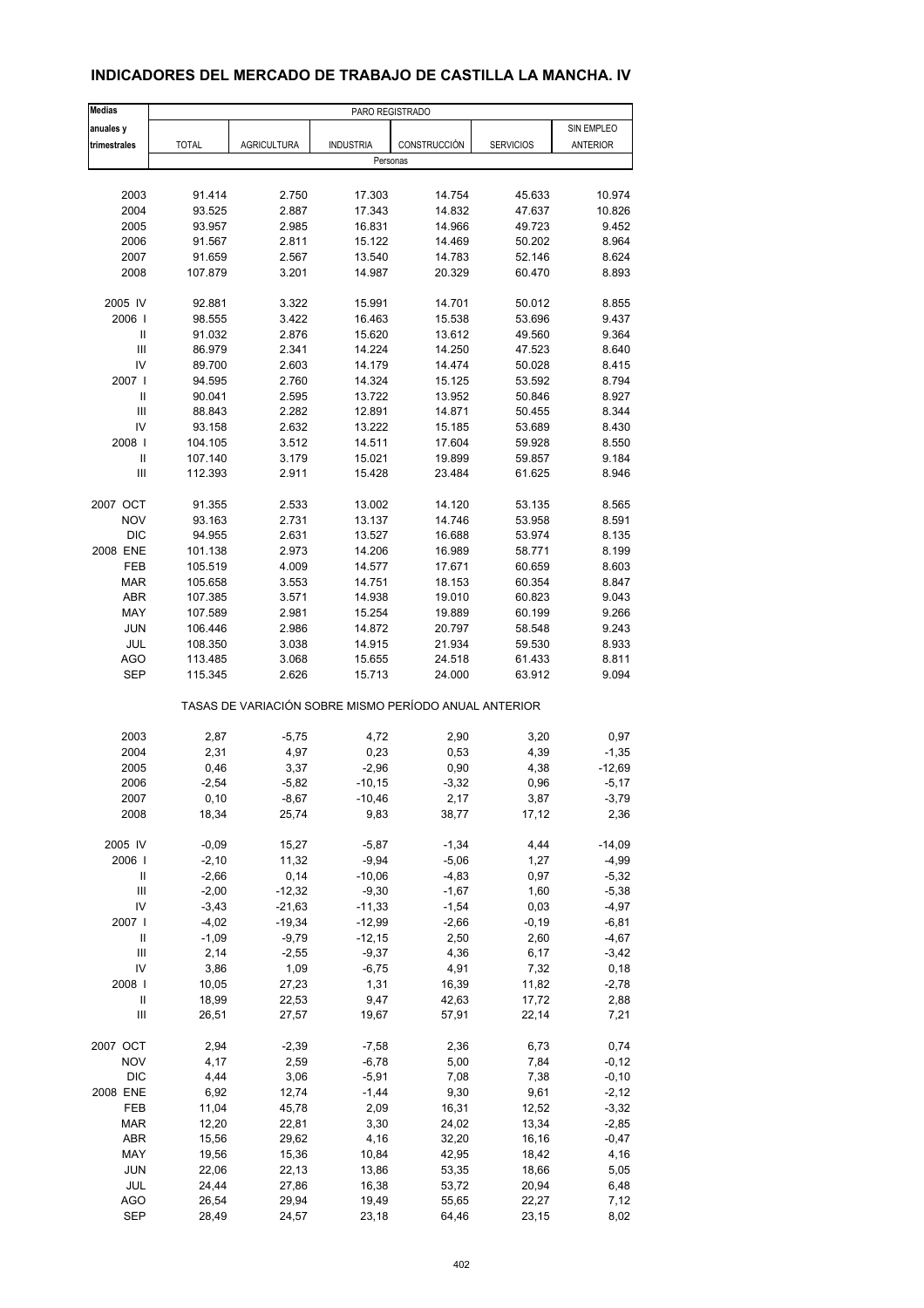| <b>Medias</b>                                         | PARO REGISTRADO |                    |                  |              |                  |                 |  |
|-------------------------------------------------------|-----------------|--------------------|------------------|--------------|------------------|-----------------|--|
| anuales y                                             |                 |                    |                  |              |                  | SIN EMPLEO      |  |
| trimestrales                                          | <b>TOTAL</b>    | <b>AGRICULTURA</b> | <b>INDUSTRIA</b> | CONSTRUCCIÓN | <b>SERVICIOS</b> | <b>ANTERIOR</b> |  |
|                                                       |                 |                    | Personas         |              |                  |                 |  |
|                                                       |                 |                    |                  |              |                  |                 |  |
| 2003                                                  | 91.414          | 2.750              | 17.303           | 14.754       | 45.633           | 10.974          |  |
| 2004                                                  | 93.525          | 2.887              | 17.343           | 14.832       | 47.637           | 10.826          |  |
| 2005                                                  | 93.957          | 2.985              | 16.831           | 14.966       | 49.723           | 9.452           |  |
| 2006                                                  | 91.567          | 2.811              | 15.122           | 14.469       | 50.202           | 8.964           |  |
| 2007                                                  | 91.659          | 2.567              | 13.540           | 14.783       | 52.146           | 8.624           |  |
| 2008                                                  | 107.879         | 3.201              | 14.987           | 20.329       | 60.470           | 8.893           |  |
|                                                       |                 |                    |                  |              |                  |                 |  |
| 2005 IV                                               | 92.881          | 3.322              | 15.991           | 14.701       | 50.012           | 8.855           |  |
| 2006                                                  | 98.555          | 3.422              | 16.463           | 15.538       | 53.696           | 9.437           |  |
| Ш                                                     | 91.032          | 2.876              | 15.620           | 13.612       | 49.560           | 9.364           |  |
| Ш                                                     | 86.979          | 2.341              | 14.224           | 14.250       | 47.523           | 8.640           |  |
| IV                                                    | 89.700          | 2.603              | 14.179           | 14.474       | 50.028           | 8.415           |  |
| 2007                                                  | 94.595          | 2.760              | 14.324           | 15.125       | 53.592           | 8.794           |  |
| Ш                                                     | 90.041          | 2.595              | 13.722           | 13.952       | 50.846           | 8.927           |  |
| Ш                                                     | 88.843          | 2.282              | 12.891           | 14.871       | 50.455           | 8.344           |  |
|                                                       |                 |                    |                  |              |                  |                 |  |
| IV                                                    | 93.158          | 2.632              | 13.222           | 15.185       | 53.689           | 8.430           |  |
| 2008                                                  | 104.105         | 3.512              | 14.511           | 17.604       | 59.928           | 8.550           |  |
| Ш                                                     | 107.140         | 3.179              | 15.021           | 19.899       | 59.857           | 9.184           |  |
| Ш                                                     | 112.393         | 2.911              | 15.428           | 23.484       | 61.625           | 8.946           |  |
| 2007 OCT                                              | 91.355          | 2.533              | 13.002           | 14.120       | 53.135           | 8.565           |  |
| <b>NOV</b>                                            | 93.163          | 2.731              | 13.137           | 14.746       | 53.958           | 8.591           |  |
|                                                       |                 |                    |                  |              |                  |                 |  |
| <b>DIC</b>                                            | 94.955          | 2.631              | 13.527           | 16.688       | 53.974           | 8.135           |  |
| 2008 ENE                                              | 101.138         | 2.973              | 14.206           | 16.989       | 58.771           | 8.199           |  |
| FEB                                                   | 105.519         | 4.009              | 14.577           | 17.671       | 60.659           | 8.603           |  |
| <b>MAR</b>                                            | 105.658         | 3.553              | 14.751           | 18.153       | 60.354           | 8.847           |  |
| ABR                                                   | 107.385         | 3.571              | 14.938           | 19.010       | 60.823           | 9.043           |  |
| MAY                                                   | 107.589         | 2.981              | 15.254           | 19.889       | 60.199           | 9.266           |  |
| <b>JUN</b>                                            | 106.446         | 2.986              | 14.872           | 20.797       | 58.548           | 9.243           |  |
| JUL                                                   | 108.350         | 3.038              | 14.915           | 21.934       | 59.530           | 8.933           |  |
| AGO                                                   | 113.485         | 3.068              | 15.655           | 24.518       | 61.433           | 8.811           |  |
| <b>SEP</b>                                            | 115.345         | 2.626              | 15.713           | 24.000       | 63.912           | 9.094           |  |
| TASAS DE VARIACIÓN SOBRE MISMO PERÍODO ANUAL ANTERIOR |                 |                    |                  |              |                  |                 |  |
| 2003                                                  | 2,87            | $-5,75$            | 4,72             | 2,90         | 3,20             | 0,97            |  |
|                                                       |                 |                    |                  |              |                  |                 |  |
| 2004                                                  | 2,31            | 4,97               | 0,23             | 0,53         | 4,39             | $-1,35$         |  |
| 2005                                                  | 0,46            | 3,37               | $-2,96$          | 0,90         | 4,38             | $-12,69$        |  |
| 2006                                                  | $-2,54$         | $-5,82$            | $-10, 15$        | $-3,32$      | 0,96             | $-5,17$         |  |
| 2007                                                  | 0, 10           | $-8,67$            | $-10,46$         | 2,17         | 3,87             | $-3,79$         |  |
| 2008                                                  | 18,34           | 25,74              | 9,83             | 38,77        | 17,12            | 2,36            |  |
| 2005 IV                                               | $-0,09$         | 15,27              | $-5,87$          | $-1,34$      | 4,44             | $-14,09$        |  |
| 2006                                                  | $-2,10$         | 11,32              | $-9,94$          | $-5,06$      | 1,27             | $-4,99$         |  |
|                                                       | $-2,66$         | 0,14               |                  | $-4,83$      | 0,97             |                 |  |
| Ш                                                     |                 |                    | $-10,06$         |              |                  | $-5,32$         |  |
| Ш                                                     | $-2,00$         | $-12,32$           | $-9,30$          | $-1,67$      | 1,60             | $-5,38$         |  |
| IV                                                    | $-3,43$         | $-21,63$           | $-11,33$         | $-1,54$      | 0,03             | $-4,97$         |  |
| 2007 l                                                | $-4,02$         | $-19,34$           | $-12,99$         | $-2,66$      | $-0,19$          | $-6,81$         |  |
| Ш                                                     | $-1,09$         | $-9,79$            | $-12,15$         | 2,50         | 2,60             | $-4,67$         |  |
| Ш                                                     | 2,14            | $-2,55$            | $-9,37$          | 4,36         | 6,17             | $-3,42$         |  |
| IV                                                    | 3,86            | 1,09               | $-6,75$          | 4,91         | 7,32             | 0, 18           |  |
| 2008                                                  | 10,05           | 27,23              | 1,31             | 16,39        | 11,82            | $-2,78$         |  |
| Ш                                                     | 18,99           | 22,53              | 9,47             | 42,63        | 17,72            | 2,88            |  |
| Ш                                                     | 26,51           | 27,57              | 19,67            | 57,91        | 22,14            | 7,21            |  |
| 2007 OCT                                              | 2,94            |                    |                  |              |                  | 0,74            |  |
|                                                       |                 | $-2,39$            | $-7,58$          | 2,36         | 6,73             |                 |  |
| <b>NOV</b>                                            | 4,17            | 2,59               | $-6,78$          | 5,00         | 7,84             | $-0,12$         |  |
| <b>DIC</b>                                            | 4,44            | 3,06               | $-5,91$          | 7,08         | 7,38             | $-0, 10$        |  |
| 2008 ENE                                              | 6,92            | 12,74              | $-1,44$          | 9,30         | 9,61             | $-2,12$         |  |
| FEB                                                   | 11,04           | 45,78              | 2,09             | 16,31        | 12,52            | $-3,32$         |  |
| <b>MAR</b>                                            | 12,20           | 22,81              | 3,30             | 24,02        | 13,34            | $-2,85$         |  |
| ABR                                                   | 15,56           | 29,62              | 4,16             | 32,20        | 16,16            | $-0,47$         |  |
| MAY                                                   | 19,56           | 15,36              | 10,84            | 42,95        | 18,42            | 4,16            |  |
| JUN                                                   | 22,06           | 22,13              | 13,86            | 53,35        | 18,66            | 5,05            |  |
| JUL                                                   | 24,44           | 27,86              | 16,38            | 53,72        | 20,94            | 6,48            |  |
| AGO                                                   | 26,54           | 29,94              | 19,49            | 55,65        | 22,27            | 7,12            |  |
| <b>SEP</b>                                            | 28,49           | 24,57              | 23,18            | 64,46        | 23,15            | 8,02            |  |
|                                                       |                 |                    |                  |              |                  |                 |  |

## **INDICADORES DEL MERCADO DE TRABAJO DE CASTILLA LA MANCHA. IV**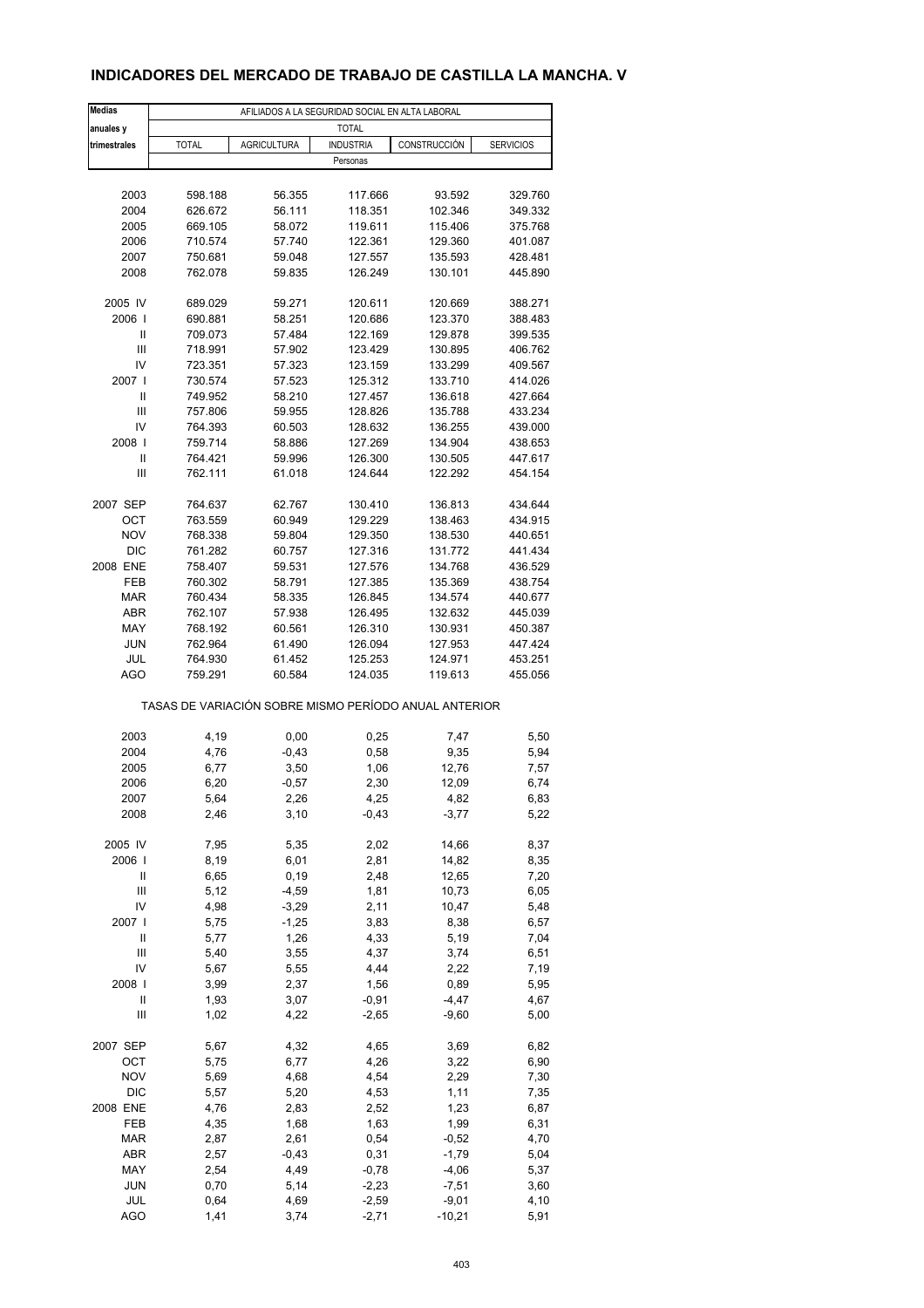## **INDICADORES DEL MERCADO DE TRABAJO DE CASTILLA LA MANCHA. V**

| <b>Medias</b>     | AFILIADOS A LA SEGURIDAD SOCIAL EN ALTA LABORAL       |                    |                  |                |                  |  |  |
|-------------------|-------------------------------------------------------|--------------------|------------------|----------------|------------------|--|--|
| anuales y         |                                                       |                    | <b>TOTAL</b>     |                |                  |  |  |
| trimestrales      | <b>TOTAL</b>                                          | <b>AGRICULTURA</b> | <b>INDUSTRIA</b> | CONSTRUCCIÓN   | <b>SERVICIOS</b> |  |  |
|                   |                                                       |                    | Personas         |                |                  |  |  |
|                   |                                                       |                    |                  |                |                  |  |  |
| 2003              | 598.188                                               | 56.355             | 117.666          | 93.592         | 329.760          |  |  |
| 2004              | 626.672                                               | 56.111             | 118.351          | 102.346        | 349.332          |  |  |
| 2005              | 669.105                                               | 58.072             | 119.611          | 115.406        | 375.768          |  |  |
| 2006              | 710.574                                               | 57.740             | 122.361          | 129.360        | 401.087          |  |  |
| 2007              | 750.681                                               | 59.048             | 127.557          | 135.593        | 428.481          |  |  |
| 2008              | 762.078                                               | 59.835             | 126.249          | 130.101        | 445.890          |  |  |
|                   |                                                       |                    |                  |                |                  |  |  |
| 2005 IV           | 689.029                                               | 59.271             | 120.611          | 120.669        | 388.271          |  |  |
| 2006              | 690.881                                               | 58.251             | 120.686          | 123.370        | 388.483          |  |  |
| Ш                 | 709.073                                               | 57.484             | 122.169          | 129.878        | 399.535          |  |  |
| Ш                 | 718.991                                               | 57.902             | 123.429          | 130.895        | 406.762          |  |  |
| IV                | 723.351                                               | 57.323             | 123.159          | 133.299        | 409.567          |  |  |
| 2007 l            | 730.574                                               | 57.523             | 125.312          | 133.710        | 414.026          |  |  |
| $\mathbf{I}$      | 749.952                                               | 58.210             | 127.457          | 136.618        | 427.664          |  |  |
| Ш                 | 757.806                                               | 59.955             | 128.826          | 135.788        | 433.234          |  |  |
| IV                | 764.393                                               | 60.503             | 128.632          | 136.255        | 439.000          |  |  |
| 2008              | 759.714                                               | 58.886             | 127.269          | 134.904        | 438.653          |  |  |
| Ш                 | 764.421                                               | 59.996             | 126.300          | 130.505        | 447.617          |  |  |
| Ш                 | 762.111                                               | 61.018             | 124.644          | 122.292        | 454.154          |  |  |
|                   |                                                       |                    |                  |                |                  |  |  |
| 2007 SEP          | 764.637                                               | 62.767             | 130.410          | 136.813        | 434.644          |  |  |
|                   | 763.559                                               |                    |                  |                |                  |  |  |
| ОСТ<br><b>NOV</b> |                                                       | 60.949<br>59.804   | 129.229          | 138.463        | 434.915          |  |  |
|                   | 768.338                                               |                    | 129.350          | 138.530        | 440.651          |  |  |
| <b>DIC</b>        | 761.282                                               | 60.757             | 127.316          | 131.772        | 441.434          |  |  |
| 2008 ENE          | 758.407                                               | 59.531             | 127.576          | 134.768        | 436.529          |  |  |
| FEB               | 760.302                                               | 58.791             | 127.385          | 135.369        | 438.754          |  |  |
| <b>MAR</b>        | 760.434                                               | 58.335             | 126.845          | 134.574        | 440.677          |  |  |
| <b>ABR</b>        | 762.107                                               | 57.938             | 126.495          | 132.632        | 445.039          |  |  |
| MAY               | 768.192                                               | 60.561             | 126.310          | 130.931        | 450.387          |  |  |
| <b>JUN</b>        | 762.964                                               | 61.490             | 126.094          | 127.953        | 447.424          |  |  |
| JUL<br><b>AGO</b> | 764.930                                               | 61.452             | 125.253          | 124.971        | 453.251          |  |  |
|                   | 759.291                                               | 60.584             | 124.035          | 119.613        | 455.056          |  |  |
|                   | TASAS DE VARIACIÓN SOBRE MISMO PERÍODO ANUAL ANTERIOR |                    |                  |                |                  |  |  |
|                   |                                                       |                    |                  |                |                  |  |  |
| 2003              | 4,19                                                  | 0,00               | 0,25             | 7,47           | 5,50             |  |  |
| 2004              | 4,76                                                  | $-0,43$            | 0,58             | 9,35           | 5,94             |  |  |
| 2005              | 6,77                                                  | 3,50               | 1,06             | 12,76          | 7,57             |  |  |
| 2006              | 6,20                                                  | $-0,57$            | 2,30             | 12,09          | 6,74             |  |  |
| 2007              | 5,64                                                  | 2,26               | 4,25             | 4,82           | 6,83             |  |  |
| 2008              | 2,46                                                  | 3,10               | $-0,43$          | $-3,77$        | 5,22             |  |  |
| 2005 IV           | 7,95                                                  | 5,35               | 2,02             | 14,66          | 8,37             |  |  |
|                   |                                                       |                    |                  |                |                  |  |  |
| 2006  <br>Ш       | 8,19<br>6,65                                          | 6,01<br>0, 19      | 2,81<br>2,48     | 14,82<br>12,65 | 8,35             |  |  |
|                   |                                                       |                    |                  |                | 7,20             |  |  |
| Ш<br>IV           | 5,12<br>4,98                                          | $-4,59$<br>$-3,29$ | 1,81<br>2,11     | 10,73<br>10,47 | 6,05<br>5,48     |  |  |
| 2007 l            |                                                       |                    |                  |                |                  |  |  |
| $\mathsf{I}$      | 5,75                                                  | $-1,25$            | 3,83             | 8,38<br>5,19   | 6,57             |  |  |
|                   | 5,77                                                  | 1,26               | 4,33             |                | 7,04             |  |  |
| Ш                 | 5,40                                                  | 3,55               | 4,37             | 3,74           | 6,51             |  |  |
| IV                | 5,67                                                  | 5,55               | 4,44             | 2,22           | 7,19             |  |  |
| 2008              | 3,99                                                  | 2,37               | 1,56             | 0,89           | 5,95             |  |  |
| $\mathsf{I}$      | 1,93                                                  | 3,07               | $-0,91$          | $-4,47$        | 4,67             |  |  |
| Ш                 | 1,02                                                  | 4,22               | $-2,65$          | $-9,60$        | 5,00             |  |  |
| 2007 SEP          | 5,67                                                  | 4,32               | 4,65             | 3,69           | 6,82             |  |  |
| OCT               | 5,75                                                  | 6,77               | 4,26             | 3,22           | 6,90             |  |  |
| <b>NOV</b>        | 5,69                                                  | 4,68               | 4,54             | 2,29           | 7,30             |  |  |
| DIC               | 5,57                                                  | 5,20               | 4,53             | 1,11           | 7,35             |  |  |
| 2008 ENE          | 4,76                                                  | 2,83               | 2,52             | 1,23           | 6,87             |  |  |
| FEB               | 4,35                                                  | 1,68               | 1,63             | 1,99           | 6,31             |  |  |
| <b>MAR</b>        | 2,87                                                  | 2,61               | 0,54             | $-0,52$        | 4,70             |  |  |
| ABR               | 2,57                                                  | $-0,43$            | 0,31             | $-1,79$        | 5,04             |  |  |
| MAY               | 2,54                                                  | 4,49               | $-0,78$          | $-4,06$        | 5,37             |  |  |
| <b>JUN</b>        | 0,70                                                  | 5,14               | $-2,23$          | $-7,51$        | 3,60             |  |  |
| JUL               | 0,64                                                  | 4,69               | $-2,59$          | $-9,01$        | 4,10             |  |  |
| <b>AGO</b>        | 1,41                                                  | 3,74               | $-2,71$          | $-10,21$       | 5,91             |  |  |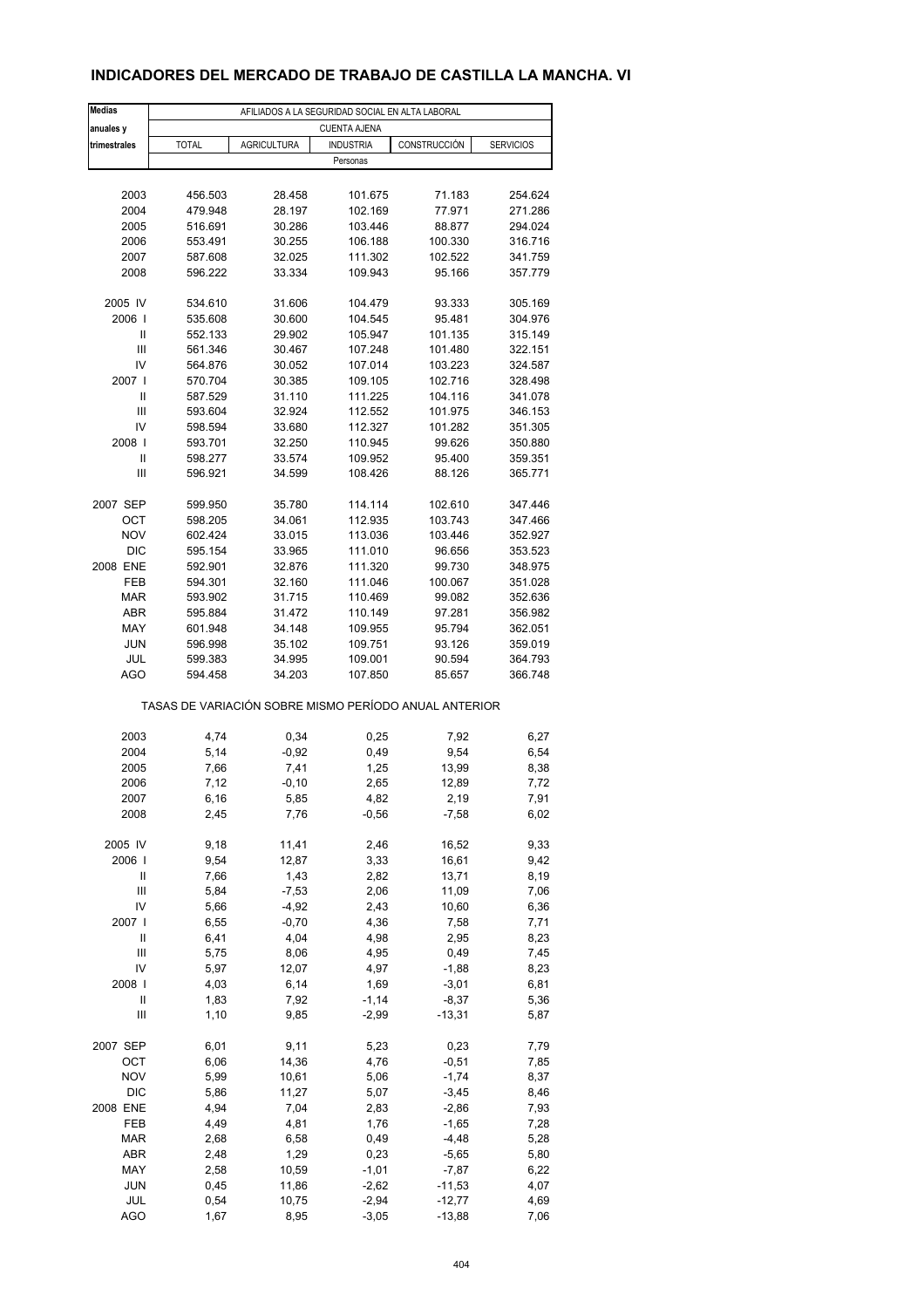## **INDICADORES DEL MERCADO DE TRABAJO DE CASTILLA LA MANCHA. VI**

| <b>Medias</b>            | AFILIADOS A LA SEGURIDAD SOCIAL EN ALTA LABORAL       |                    |                     |                    |                    |  |  |  |
|--------------------------|-------------------------------------------------------|--------------------|---------------------|--------------------|--------------------|--|--|--|
| anuales y                |                                                       |                    | <b>CUENTA AJENA</b> |                    |                    |  |  |  |
| trimestrales             | <b>TOTAL</b>                                          | <b>AGRICULTURA</b> | <b>INDUSTRIA</b>    | CONSTRUCCIÓN       | <b>SERVICIOS</b>   |  |  |  |
|                          |                                                       |                    | Personas            |                    |                    |  |  |  |
|                          |                                                       |                    |                     |                    |                    |  |  |  |
| 2003                     | 456.503                                               | 28.458             | 101.675             | 71.183             | 254.624            |  |  |  |
| 2004                     | 479.948                                               | 28.197             | 102.169             | 77.971             | 271.286            |  |  |  |
| 2005                     | 516.691                                               | 30.286             | 103.446             | 88.877             | 294.024            |  |  |  |
| 2006                     | 553.491                                               | 30.255             | 106.188             | 100.330            | 316.716            |  |  |  |
| 2007                     | 587.608                                               | 32.025             | 111.302             | 102.522            | 341.759            |  |  |  |
| 2008                     | 596.222                                               | 33.334             | 109.943             | 95.166             | 357.779            |  |  |  |
| 2005 IV                  | 534.610                                               | 31.606             | 104.479             | 93.333             | 305.169            |  |  |  |
| 2006                     | 535.608                                               | 30.600             | 104.545             | 95.481             | 304.976            |  |  |  |
| Ш                        | 552.133                                               | 29.902             | 105.947             | 101.135            | 315.149            |  |  |  |
| Ш                        | 561.346                                               | 30.467             | 107.248             | 101.480            | 322.151            |  |  |  |
| IV                       | 564.876                                               | 30.052             | 107.014             | 103.223            | 324.587            |  |  |  |
| 2007 l                   | 570.704                                               | 30.385             | 109.105             | 102.716            | 328.498            |  |  |  |
| Ш                        | 587.529                                               | 31.110             | 111.225             | 104.116            | 341.078            |  |  |  |
| Ш                        | 593.604                                               | 32.924             | 112.552             | 101.975            | 346.153            |  |  |  |
| IV                       | 598.594                                               | 33.680             | 112.327             | 101.282            | 351.305            |  |  |  |
| 2008                     | 593.701                                               | 32.250             | 110.945             | 99.626             | 350.880            |  |  |  |
| Ш                        | 598.277                                               | 33.574             | 109.952             | 95.400             | 359.351            |  |  |  |
| Ш                        | 596.921                                               | 34.599             | 108.426             | 88.126             | 365.771            |  |  |  |
|                          |                                                       |                    |                     |                    |                    |  |  |  |
| 2007 SEP                 | 599.950                                               | 35.780             | 114.114             | 102.610            | 347.446            |  |  |  |
| ОСТ                      | 598.205                                               | 34.061             | 112.935             | 103.743            | 347.466            |  |  |  |
| <b>NOV</b><br><b>DIC</b> | 602.424                                               | 33.015             | 113.036<br>111.010  | 103.446<br>96.656  | 352.927<br>353.523 |  |  |  |
| 2008 ENE                 | 595.154<br>592.901                                    | 33.965<br>32.876   | 111.320             | 99.730             | 348.975            |  |  |  |
| FEB                      | 594.301                                               | 32.160             | 111.046             | 100.067            | 351.028            |  |  |  |
| <b>MAR</b>               | 593.902                                               | 31.715             | 110.469             | 99.082             | 352.636            |  |  |  |
| <b>ABR</b>               | 595.884                                               | 31.472             | 110.149             | 97.281             | 356.982            |  |  |  |
| MAY                      | 601.948                                               | 34.148             | 109.955             | 95.794             | 362.051            |  |  |  |
| <b>JUN</b>               | 596.998                                               | 35.102             | 109.751             | 93.126             | 359.019            |  |  |  |
| JUL                      | 599.383                                               | 34.995             | 109.001             | 90.594             | 364.793            |  |  |  |
| <b>AGO</b>               | 594.458                                               | 34.203             | 107.850             | 85.657             | 366.748            |  |  |  |
|                          | TASAS DE VARIACIÓN SOBRE MISMO PERÍODO ANUAL ANTERIOR |                    |                     |                    |                    |  |  |  |
| 2003                     | 4,74                                                  | 0,34               | 0,25                | 7,92               | 6,27               |  |  |  |
| 2004                     | 5,14                                                  | $-0,92$            | 0,49                | 9,54               | 6,54               |  |  |  |
| 2005                     | 7,66                                                  | 7,41               | 1,25                | 13,99              | 8,38               |  |  |  |
| 2006                     | 7,12                                                  | $-0, 10$           | 2,65                | 12,89              | 7,72               |  |  |  |
| 2007                     | 6,16                                                  | 5,85               | 4,82                | 2,19               | 7,91               |  |  |  |
| 2008                     | 2,45                                                  | 7,76               | $-0,56$             | $-7,58$            | 6,02               |  |  |  |
|                          |                                                       |                    |                     |                    |                    |  |  |  |
| 2005 IV                  | 9,18                                                  | 11,41              | 2,46                | 16,52              | 9,33               |  |  |  |
| 2006                     | 9,54                                                  | 12,87              | 3,33                | 16,61              | 9,42               |  |  |  |
| Ш                        | 7,66                                                  | 1,43               | 2,82                | 13,71              | 8,19               |  |  |  |
| Ш                        | 5,84                                                  | $-7,53$            | 2,06                | 11,09              | 7,06               |  |  |  |
| IV                       | 5,66                                                  | $-4,92$            | 2,43                | 10,60              | 6,36               |  |  |  |
| 2007 l                   | 6,55                                                  | $-0,70$            | 4,36                | 7,58               | 7,71               |  |  |  |
| Ш                        | 6,41                                                  | 4,04               | 4,98                | 2,95               | 8,23               |  |  |  |
| Ш                        | 5,75                                                  | 8,06               | 4,95                | 0,49               | 7,45               |  |  |  |
| IV<br>2008               | 5,97<br>4,03                                          | 12,07<br>6,14      | 4,97<br>1,69        | $-1,88$<br>$-3,01$ | 8,23<br>6,81       |  |  |  |
| $\mathsf{I}$             | 1,83                                                  | 7,92               | $-1,14$             | $-8,37$            | 5,36               |  |  |  |
| Ш                        | 1,10                                                  | 9,85               | $-2,99$             | $-13,31$           | 5,87               |  |  |  |
|                          |                                                       |                    |                     |                    |                    |  |  |  |
| 2007 SEP                 | 6,01                                                  | 9,11               | 5,23                | 0,23               | 7,79               |  |  |  |
| OCT                      | 6,06                                                  | 14,36              | 4,76                | $-0,51$            | 7,85               |  |  |  |
| <b>NOV</b>               | 5,99                                                  | 10,61              | 5,06                | $-1,74$            | 8,37               |  |  |  |
| DIC                      | 5,86                                                  | 11,27              | 5,07                | $-3,45$            | 8,46               |  |  |  |
| 2008 ENE                 | 4,94                                                  | 7,04               | 2,83                | $-2,86$            | 7,93               |  |  |  |
| FEB                      | 4,49                                                  | 4,81               | 1,76                | $-1,65$            | 7,28               |  |  |  |
| <b>MAR</b>               | 2,68                                                  | 6,58               | 0,49                | $-4,48$            | 5,28               |  |  |  |
| ABR                      | 2,48                                                  | 1,29               | 0,23                | $-5,65$            | 5,80               |  |  |  |
| MAY                      | 2,58                                                  | 10,59              | $-1,01$             | $-7,87$            | 6,22               |  |  |  |
| <b>JUN</b>               | 0,45                                                  | 11,86              | $-2,62$             | $-11,53$           | 4,07               |  |  |  |
| JUL                      | 0,54                                                  | 10,75              | $-2,94$             | $-12,77$           | 4,69               |  |  |  |
| <b>AGO</b>               | 1,67                                                  | 8,95               | $-3,05$             | $-13,88$           | 7,06               |  |  |  |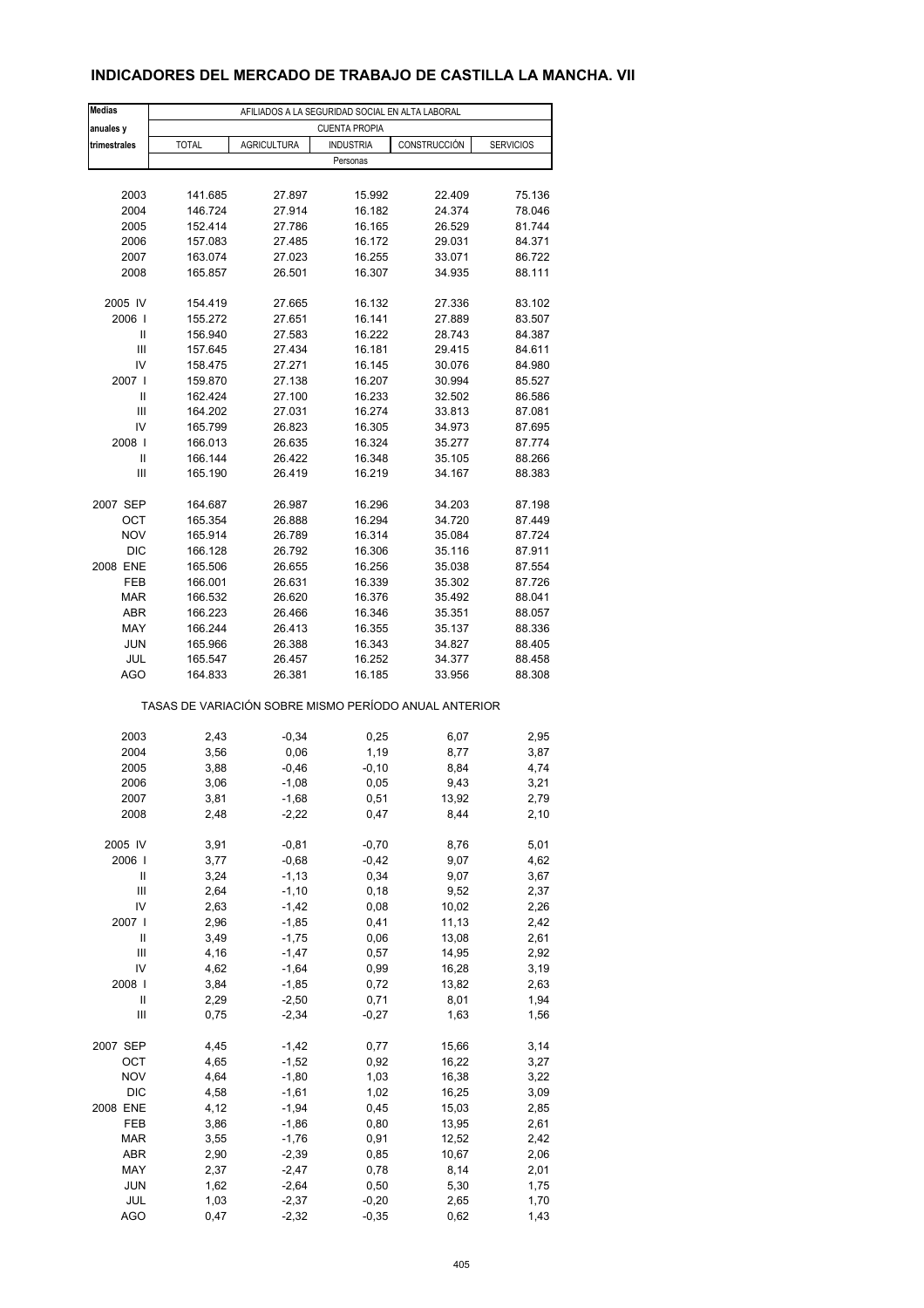## **INDICADORES DEL MERCADO DE TRABAJO DE CASTILLA LA MANCHA. VII**

| <b>Medias</b>                                         | AFILIADOS A LA SEGURIDAD SOCIAL EN ALTA LABORAL |                    |                  |               |                  |  |  |  |
|-------------------------------------------------------|-------------------------------------------------|--------------------|------------------|---------------|------------------|--|--|--|
| anuales y                                             | <b>CUENTA PROPIA</b>                            |                    |                  |               |                  |  |  |  |
| trimestrales                                          | <b>TOTAL</b>                                    | <b>AGRICULTURA</b> | <b>INDUSTRIA</b> | CONSTRUCCIÓN  | <b>SERVICIOS</b> |  |  |  |
|                                                       |                                                 |                    | Personas         |               |                  |  |  |  |
|                                                       |                                                 |                    |                  |               |                  |  |  |  |
| 2003                                                  | 141.685                                         | 27.897             | 15.992           | 22.409        | 75.136           |  |  |  |
| 2004                                                  | 146.724                                         | 27.914             | 16.182           | 24.374        | 78.046           |  |  |  |
| 2005                                                  | 152.414                                         | 27.786             | 16.165           | 26.529        | 81.744           |  |  |  |
| 2006                                                  | 157.083                                         | 27.485             | 16.172           | 29.031        | 84.371           |  |  |  |
| 2007                                                  | 163.074                                         | 27.023             | 16.255           | 33.071        | 86.722           |  |  |  |
| 2008                                                  | 165.857                                         | 26.501             | 16.307           | 34.935        | 88.111           |  |  |  |
|                                                       |                                                 |                    |                  |               |                  |  |  |  |
| 2005 IV                                               | 154.419                                         | 27.665             | 16.132           | 27.336        | 83.102           |  |  |  |
| 2006                                                  | 155.272                                         | 27.651             | 16.141           | 27.889        | 83.507           |  |  |  |
| Ш                                                     | 156.940                                         | 27.583             | 16.222           | 28.743        | 84.387           |  |  |  |
| Ш                                                     | 157.645                                         | 27.434             | 16.181           | 29.415        | 84.611           |  |  |  |
| IV                                                    | 158.475                                         | 27.271             | 16.145           | 30.076        | 84.980           |  |  |  |
| 2007 l                                                | 159.870                                         | 27.138             | 16.207           | 30.994        | 85.527           |  |  |  |
| Ш                                                     | 162.424                                         | 27.100             | 16.233           | 32.502        | 86.586           |  |  |  |
| Ш                                                     | 164.202                                         | 27.031             | 16.274           | 33.813        | 87.081           |  |  |  |
| IV                                                    | 165.799                                         | 26.823             | 16.305           | 34.973        | 87.695           |  |  |  |
| 2008                                                  | 166.013                                         | 26.635             | 16.324           | 35.277        | 87.774           |  |  |  |
| Ш                                                     | 166.144                                         | 26.422             | 16.348           | 35.105        | 88.266           |  |  |  |
| Ш                                                     | 165.190                                         | 26.419             | 16.219           | 34.167        | 88.383           |  |  |  |
|                                                       |                                                 |                    |                  |               |                  |  |  |  |
| 2007 SEP                                              | 164.687                                         | 26.987             | 16.296           | 34.203        | 87.198           |  |  |  |
| <b>OCT</b>                                            | 165.354                                         | 26.888             | 16.294           | 34.720        | 87.449           |  |  |  |
| <b>NOV</b>                                            | 165.914                                         | 26.789             | 16.314           | 35.084        | 87.724           |  |  |  |
| <b>DIC</b>                                            | 166.128                                         | 26.792             | 16.306           | 35.116        | 87.911           |  |  |  |
| 2008 ENE                                              | 165.506                                         | 26.655             | 16.256           | 35.038        | 87.554           |  |  |  |
| FEB                                                   | 166.001                                         | 26.631             | 16.339           | 35.302        | 87.726           |  |  |  |
| <b>MAR</b>                                            | 166.532                                         | 26.620             | 16.376           | 35.492        | 88.041           |  |  |  |
| ABR                                                   | 166.223                                         | 26.466             | 16.346           | 35.351        | 88.057           |  |  |  |
| MAY                                                   | 166.244                                         | 26.413             | 16.355           | 35.137        | 88.336           |  |  |  |
| <b>JUN</b>                                            | 165.966                                         | 26.388             | 16.343           | 34.827        | 88.405           |  |  |  |
| JUL                                                   | 165.547                                         | 26.457             | 16.252           | 34.377        | 88.458           |  |  |  |
| <b>AGO</b>                                            | 164.833                                         | 26.381             | 16.185           | 33.956        | 88.308           |  |  |  |
| TASAS DE VARIACIÓN SOBRE MISMO PERÍODO ANUAL ANTERIOR |                                                 |                    |                  |               |                  |  |  |  |
| 2003                                                  | 2,43                                            | $-0,34$            |                  |               | 2,95             |  |  |  |
|                                                       |                                                 |                    | 0,25<br>1,19     | 6,07<br>8,77  |                  |  |  |  |
| 2004<br>2005                                          | 3,56                                            | 0,06               |                  |               | 3,87             |  |  |  |
| 2006                                                  | 3,88<br>3,06                                    | $-0,46$<br>$-1,08$ | $-0, 10$<br>0,05 | 8,84<br>9,43  | 4,74<br>3,21     |  |  |  |
|                                                       | 3,81                                            |                    |                  |               |                  |  |  |  |
| 2007<br>2008                                          | 2,48                                            | -1,68<br>$-2,22$   | 0,51<br>0,47     | 13,92<br>8,44 | 2,79<br>2,10     |  |  |  |
|                                                       |                                                 |                    |                  |               |                  |  |  |  |
| 2005 IV                                               | 3,91                                            | $-0,81$            | $-0,70$          | 8,76          | 5,01             |  |  |  |
| 2006                                                  | 3,77                                            | $-0,68$            | $-0,42$          | 9,07          | 4,62             |  |  |  |
| Ш                                                     | 3,24                                            | $-1, 13$           | 0,34             | 9,07          | 3,67             |  |  |  |
| Ш                                                     | 2,64                                            | $-1, 10$           | 0, 18            | 9,52          | 2,37             |  |  |  |
| IV                                                    | 2,63                                            | $-1,42$            | 0,08             | 10,02         | 2,26             |  |  |  |
| 2007 l                                                | 2,96                                            | $-1,85$            | 0,41             | 11,13         | 2,42             |  |  |  |
| Ш                                                     | 3,49                                            | $-1,75$            | 0,06             | 13,08         | 2,61             |  |  |  |
| Ш                                                     | 4,16                                            | $-1,47$            | 0,57             | 14,95         | 2,92             |  |  |  |
| IV                                                    | 4,62                                            | $-1,64$            | 0,99             | 16,28         | 3,19             |  |  |  |
| 2008                                                  | 3,84                                            | $-1,85$            | 0,72             | 13,82         | 2,63             |  |  |  |
| Ш                                                     | 2,29                                            | $-2,50$            | 0,71             | 8,01          | 1,94             |  |  |  |
| Ш                                                     | 0,75                                            | $-2,34$            | $-0,27$          | 1,63          | 1,56             |  |  |  |
|                                                       |                                                 |                    |                  |               |                  |  |  |  |
| 2007 SEP                                              | 4,45                                            | $-1,42$            | 0,77             | 15,66         | 3,14             |  |  |  |
| OCT                                                   | 4,65                                            | $-1,52$            | 0,92             | 16,22         | 3,27             |  |  |  |
| <b>NOV</b>                                            | 4,64                                            | $-1,80$            | 1,03             | 16,38         | 3,22             |  |  |  |
| DIC                                                   | 4,58                                            | $-1,61$            | 1,02             | 16,25         | 3,09             |  |  |  |
| 2008 ENE                                              | 4,12                                            | $-1,94$            | 0,45             | 15,03         | 2,85             |  |  |  |
| FEB                                                   | 3,86                                            | $-1,86$            | 0,80             | 13,95         | 2,61             |  |  |  |
| MAR                                                   | 3,55                                            | $-1,76$            | 0,91             | 12,52         | 2,42             |  |  |  |
| ABR                                                   | 2,90                                            | $-2,39$            | 0,85             | 10,67         | 2,06             |  |  |  |
| MAY                                                   | 2,37                                            | $-2,47$            | 0,78             | 8,14          | 2,01             |  |  |  |
| <b>JUN</b>                                            | 1,62                                            | $-2,64$            | 0,50             | 5,30          | 1,75             |  |  |  |
| JUL                                                   | 1,03                                            | $-2,37$            | $-0,20$          | 2,65          | 1,70             |  |  |  |
| <b>AGO</b>                                            | 0,47                                            | $-2,32$            | $-0,35$          | 0,62          | 1,43             |  |  |  |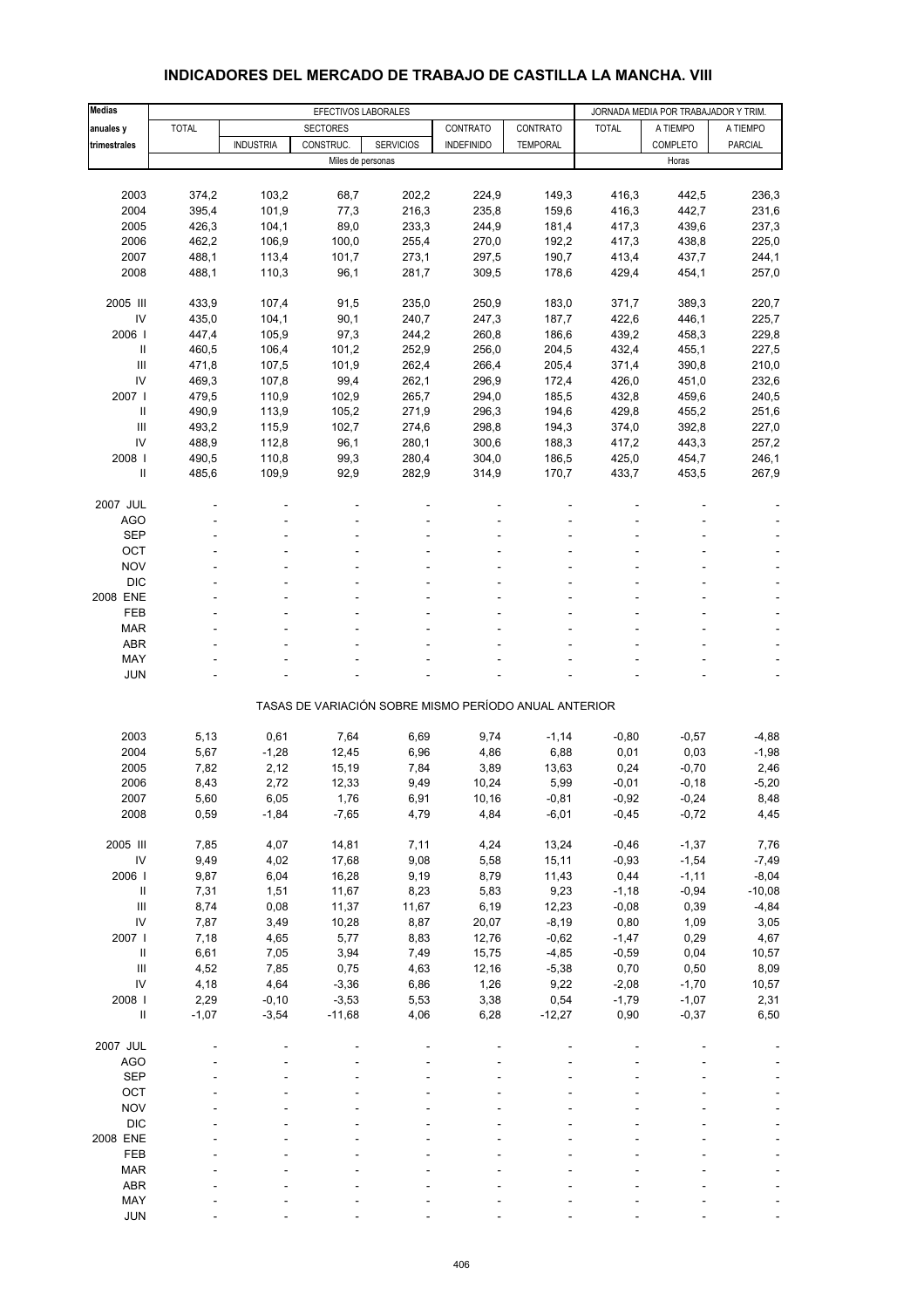| <b>Medias</b>                      | EFECTIVOS LABORALES |                  |                 |                   |                                                       |                 | JORNADA MEDIA POR TRABAJADOR Y TRIM. |                 |                |
|------------------------------------|---------------------|------------------|-----------------|-------------------|-------------------------------------------------------|-----------------|--------------------------------------|-----------------|----------------|
| anuales y                          | <b>TOTAL</b>        |                  | <b>SECTORES</b> |                   | CONTRATO                                              | CONTRATO        | <b>TOTAL</b>                         | A TIEMPO        | A TIEMPO       |
| trimestrales                       |                     | <b>INDUSTRIA</b> | CONSTRUC.       | <b>SERVICIOS</b>  | <b>INDEFINIDO</b>                                     | <b>TEMPORAL</b> |                                      | <b>COMPLETO</b> | <b>PARCIAL</b> |
|                                    |                     |                  |                 | Miles de personas |                                                       |                 |                                      | Horas           |                |
|                                    |                     |                  |                 |                   |                                                       |                 |                                      |                 |                |
| 2003                               | 374,2               | 103,2            | 68,7            | 202,2             | 224,9                                                 | 149,3           | 416,3                                | 442,5           | 236,3          |
| 2004                               | 395,4               | 101,9            | 77,3            | 216,3             | 235,8                                                 | 159,6           | 416,3                                | 442,7           | 231,6          |
| 2005                               | 426,3               | 104,1            | 89,0            | 233,3             | 244,9                                                 | 181,4           | 417,3                                | 439,6           | 237,3          |
| 2006                               | 462,2               | 106,9            | 100,0           | 255,4             | 270,0                                                 | 192,2           | 417,3                                | 438,8           | 225,0          |
| 2007                               | 488,1               | 113,4            | 101,7           | 273,1             | 297,5                                                 | 190,7           | 413,4                                | 437,7           | 244,1          |
| 2008                               | 488,1               | 110,3            | 96,1            | 281,7             | 309,5                                                 | 178,6           | 429,4                                | 454,1           | 257,0          |
| 2005 III                           | 433,9               | 107,4            | 91,5            | 235,0             | 250,9                                                 | 183,0           | 371,7                                | 389,3           | 220,7          |
| IV                                 | 435,0               | 104,1            | 90,1            | 240,7             | 247,3                                                 | 187,7           | 422,6                                | 446,1           | 225,7          |
| 2006                               | 447,4               | 105,9            | 97,3            | 244,2             | 260,8                                                 | 186,6           | 439,2                                | 458,3           | 229,8          |
| Ш                                  | 460,5               | 106,4            | 101,2           | 252,9             | 256,0                                                 | 204,5           | 432,4                                | 455,1           | 227,5          |
| III                                | 471,8               | 107,5            | 101,9           | 262,4             | 266,4                                                 | 205,4           | 371,4                                | 390,8           | 210,0          |
| IV                                 | 469,3               | 107,8            | 99,4            | 262,1             | 296,9                                                 | 172,4           | 426,0                                | 451,0           | 232,6          |
| 2007 l                             | 479,5               | 110,9            | 102,9           | 265,7             | 294,0                                                 | 185,5           | 432,8                                | 459,6           | 240,5          |
| $\mathbf{II}$                      | 490,9               | 113,9            | 105,2           | 271,9             | 296,3                                                 | 194,6           | 429,8                                | 455,2           | 251,6          |
| Ш                                  | 493,2               | 115,9            | 102,7           | 274,6             | 298,8                                                 | 194,3           | 374,0                                | 392,8           | 227,0          |
| IV                                 | 488,9               | 112,8            | 96,1            | 280,1             | 300,6                                                 | 188,3           | 417,2                                | 443,3           | 257,2          |
| 2008                               | 490,5               | 110,8            | 99,3            | 280,4             | 304,0                                                 | 186,5           | 425,0                                | 454,7           | 246,1          |
| Ш                                  | 485,6               | 109,9            | 92,9            | 282,9             | 314,9                                                 | 170,7           | 433,7                                | 453,5           | 267,9          |
| 2007 JUL                           |                     |                  |                 |                   |                                                       |                 |                                      |                 |                |
| AGO                                |                     |                  |                 | ÷                 |                                                       |                 |                                      |                 |                |
| <b>SEP</b>                         |                     |                  |                 |                   |                                                       |                 |                                      |                 |                |
| OCT                                |                     |                  |                 |                   |                                                       |                 |                                      |                 |                |
| <b>NOV</b>                         |                     |                  |                 |                   |                                                       |                 |                                      |                 |                |
| <b>DIC</b>                         |                     |                  |                 |                   |                                                       |                 |                                      |                 |                |
| 2008 ENE                           |                     |                  |                 |                   |                                                       |                 |                                      |                 |                |
| <b>FEB</b>                         |                     |                  |                 |                   |                                                       |                 |                                      |                 |                |
| <b>MAR</b>                         |                     |                  |                 |                   |                                                       |                 |                                      |                 |                |
| <b>ABR</b>                         |                     |                  |                 |                   |                                                       |                 |                                      |                 |                |
| MAY                                |                     |                  |                 |                   |                                                       |                 |                                      |                 |                |
| <b>JUN</b>                         |                     |                  |                 |                   |                                                       |                 |                                      |                 |                |
|                                    |                     |                  |                 |                   | TASAS DE VARIACIÓN SOBRE MISMO PERÍODO ANUAL ANTERIOR |                 |                                      |                 |                |
|                                    |                     |                  |                 |                   |                                                       |                 |                                      |                 |                |
| 2003                               | 5,13                | 0,61             | 7,64            | 6,69              | 9,74                                                  | $-1,14$         | $-0,80$                              | $-0,57$         | $-4,88$        |
| 2004                               | 5,67                | $-1,28$          | 12,45           | 6,96              | 4,86                                                  | 6,88            | 0,01                                 | 0,03            | $-1,98$        |
| 2005                               | 7,82                | 2,12             | 15,19           | 7,84              | 3,89                                                  | 13,63           | 0,24                                 | $-0,70$         | 2,46           |
| 2006                               | 8,43                | 2,72             | 12,33           | 9,49              | 10,24                                                 | 5,99            | $-0,01$                              | $-0,18$         | $-5,20$        |
| 2007                               | 5,60                | 6,05             | 1,76            | 6,91              | 10,16                                                 | $-0,81$         | $-0,92$                              | $-0,24$         | 8,48           |
| 2008                               | 0,59                | $-1,84$          | $-7,65$         | 4,79              | 4,84                                                  | $-6,01$         | $-0,45$                              | $-0,72$         | 4,45           |
| 2005 III                           | 7,85                | 4,07             | 14,81           | 7,11              | 4,24                                                  | 13,24           | $-0,46$                              | $-1,37$         | 7,76           |
| $\mathsf{IV}$                      | 9,49                | 4,02             | 17,68           | 9,08              | 5,58                                                  | 15,11           | $-0,93$                              | $-1,54$         | $-7,49$        |
| 2006                               | 9,87                | 6,04             | 16,28           | 9,19              | 8,79                                                  | 11,43           | 0,44                                 | $-1,11$         | $-8,04$        |
| Ш                                  | 7,31                | 1,51             | 11,67           | 8,23              | 5,83                                                  | 9,23            | $-1,18$                              | $-0,94$         | $-10,08$       |
| $\ensuremath{\mathsf{III}}\xspace$ | 8,74                | 0,08             | 11,37           | 11,67             | 6,19                                                  | 12,23           | $-0,08$                              | 0,39            | $-4,84$        |
| IV                                 | 7,87                | 3,49             | 10,28           | 8,87              | 20,07                                                 | $-8,19$         | 0,80                                 | 1,09            | 3,05           |
| 2007 l                             | 7,18                | 4,65             | 5,77            | 8,83              | 12,76                                                 | $-0,62$         | $-1,47$                              | 0,29            | 4,67           |
| $\sf II$                           | 6,61                | 7,05             | 3,94            | 7,49              | 15,75                                                 | $-4,85$         | $-0,59$                              | 0,04            | 10,57          |
| $\mathbf{III}$                     | 4,52                | 7,85             | 0,75            | 4,63              | 12,16                                                 | $-5,38$         | 0,70                                 | 0,50            | 8,09           |
| IV                                 | 4,18                | 4,64             | $-3,36$         | 6,86              | 1,26                                                  | 9,22            | $-2,08$                              | $-1,70$         | 10,57          |
| 2008 l                             | 2,29                | $-0, 10$         | $-3,53$         | 5,53              | 3,38                                                  | 0,54            | $-1,79$                              | $-1,07$         | 2,31           |
| $\ensuremath{\mathsf{II}}$         | $-1,07$             | $-3,54$          | $-11,68$        | 4,06              | 6,28                                                  | $-12,27$        | 0,90                                 | $-0,37$         | 6,50           |
| 2007 JUL                           |                     |                  |                 |                   |                                                       |                 |                                      |                 |                |
| <b>AGO</b>                         |                     |                  |                 |                   |                                                       |                 |                                      |                 |                |
| <b>SEP</b>                         |                     |                  |                 |                   |                                                       |                 |                                      |                 |                |
| OCT                                |                     |                  |                 |                   |                                                       |                 |                                      |                 |                |
| <b>NOV</b>                         |                     |                  |                 |                   |                                                       |                 |                                      |                 |                |
| <b>DIC</b>                         |                     |                  |                 |                   |                                                       |                 |                                      |                 |                |
| 2008 ENE                           |                     |                  |                 |                   |                                                       |                 |                                      |                 |                |
| FEB                                |                     |                  |                 |                   |                                                       |                 |                                      |                 |                |
| <b>MAR</b>                         |                     |                  |                 |                   |                                                       |                 |                                      |                 |                |
| <b>ABR</b>                         |                     |                  |                 |                   |                                                       |                 |                                      |                 |                |
| MAY                                |                     |                  |                 |                   |                                                       |                 |                                      |                 |                |

#### **INDICADORES DEL MERCADO DE TRABAJO DE CASTILLA LA MANCHA. VIII**

JUN - - - - - - - - -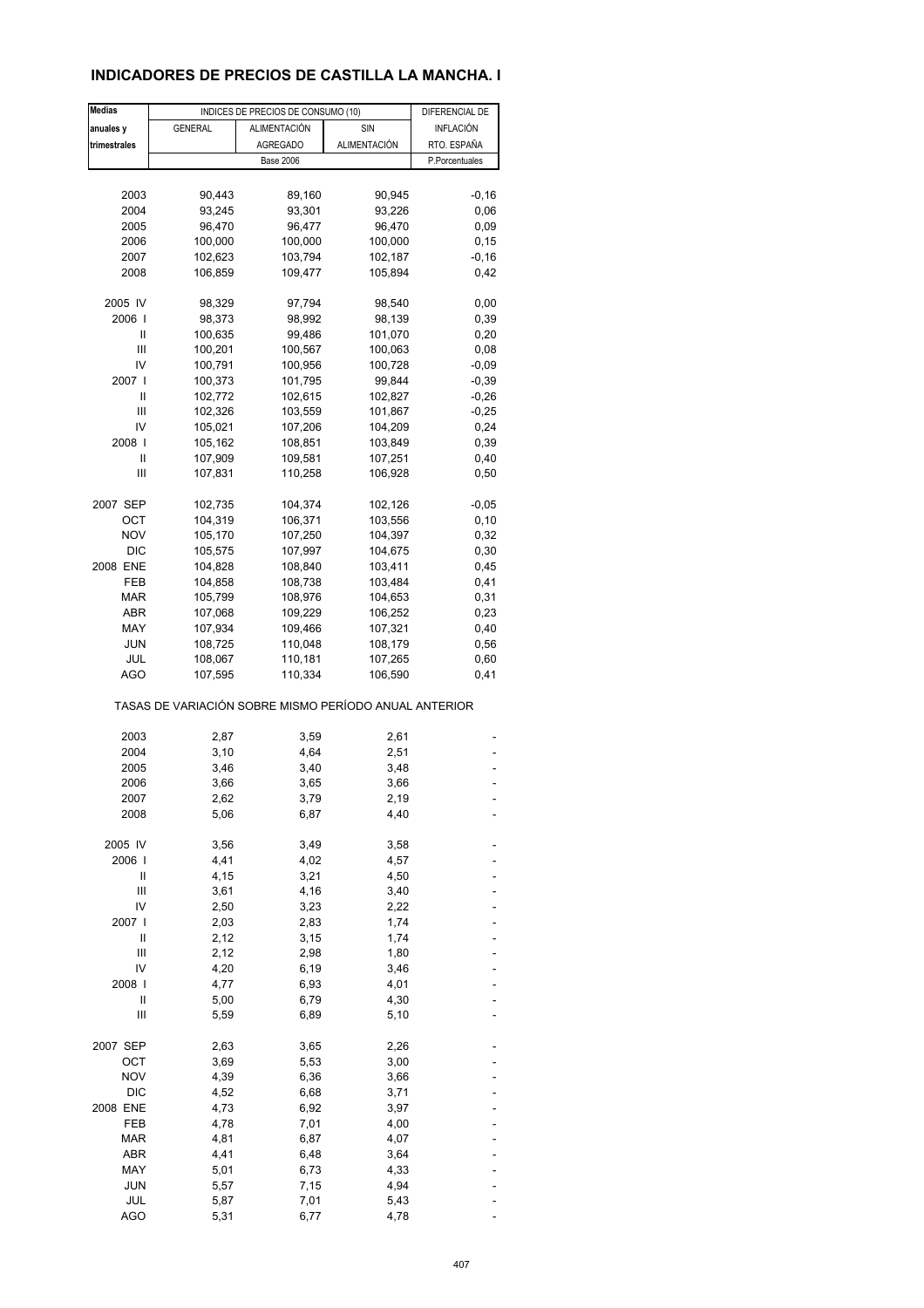## **INDICADORES DE PRECIOS DE CASTILLA LA MANCHA. I**

| <b>Medias</b> |                                                       | INDICES DE PRECIOS DE CONSUMO (10) |                    | DIFERENCIAL DE   |
|---------------|-------------------------------------------------------|------------------------------------|--------------------|------------------|
| anuales y     | <b>GENERAL</b>                                        | <b>ALIMENTACIÓN</b>                | <b>SIN</b>         | <b>INFLACIÓN</b> |
| trimestrales  |                                                       | <b>AGREGADO</b>                    | ALIMENTACIÓN       | RTO. ESPAÑA      |
|               |                                                       | <b>Base 2006</b>                   |                    | P.Porcentuales   |
|               |                                                       |                                    |                    |                  |
|               |                                                       |                                    |                    |                  |
| 2003          | 90,443                                                | 89,160                             | 90,945             | $-0,16$          |
| 2004          | 93,245                                                | 93,301                             | 93,226             | 0,06             |
| 2005          | 96,470                                                | 96,477                             | 96,470             | 0,09             |
| 2006          | 100,000                                               | 100,000                            | 100,000            | 0,15             |
| 2007          | 102,623                                               | 103,794                            | 102,187            | $-0,16$          |
| 2008          | 106,859                                               | 109,477                            | 105,894            | 0,42             |
| 2005 IV       | 98,329                                                | 97,794                             | 98,540             | 0,00             |
| 2006          | 98,373                                                | 98,992                             | 98,139             | 0,39             |
| Ш             | 100,635                                               | 99,486                             | 101,070            | 0,20             |
| Ш             | 100,201                                               | 100,567                            | 100,063            | 0,08             |
| IV            | 100,791                                               | 100,956                            | 100,728            | $-0,09$          |
| 2007 l        | 100,373                                               | 101,795                            | 99,844             | $-0,39$          |
| Ш             | 102,772                                               | 102,615                            | 102,827            | $-0,26$          |
|               |                                                       |                                    |                    |                  |
| Ш             | 102,326                                               | 103,559                            | 101,867            | $-0,25$          |
| IV            | 105,021                                               | 107,206                            | 104,209            | 0,24             |
| 2008          | 105,162                                               | 108,851                            | 103,849            | 0,39             |
| Ш             | 107,909                                               | 109,581                            | 107,251            | 0,40             |
| Ш             | 107,831                                               | 110,258                            | 106,928            | 0,50             |
| 2007 SEP      | 102,735                                               | 104,374                            | 102,126            | $-0,05$          |
| OCT           | 104,319                                               | 106,371                            | 103,556            | 0, 10            |
| <b>NOV</b>    | 105,170                                               | 107,250                            | 104,397            | 0,32             |
| <b>DIC</b>    | 105,575                                               | 107,997                            | 104,675            | 0,30             |
| 2008 ENE      | 104,828                                               | 108,840                            | 103,411            | 0,45             |
| FEB           | 104,858                                               | 108,738                            | 103,484            | 0,41             |
| <b>MAR</b>    | 105,799                                               | 108,976                            | 104,653            | 0,31             |
| ABR           | 107,068                                               | 109,229                            |                    |                  |
|               |                                                       |                                    | 106,252            | 0,23             |
| MAY           | 107,934                                               | 109,466                            | 107,321            | 0,40             |
| <b>JUN</b>    | 108,725                                               | 110,048                            | 108,179            | 0,56             |
| JUL<br>AGO    | 108,067<br>107,595                                    | 110,181<br>110,334                 | 107,265<br>106,590 | 0,60<br>0,41     |
|               | TASAS DE VARIACIÓN SOBRE MISMO PERÍODO ANUAL ANTERIOR |                                    |                    |                  |
|               |                                                       |                                    |                    |                  |
| 2003          | 2,87                                                  | 3,59                               | 2,61               |                  |
| 2004          | 3,10                                                  | 4,64                               | 2,51               |                  |
| 2005          | 3,46                                                  | 3,40                               | 3,48               |                  |
| 2006          | 3,66                                                  | 3,65                               | 3,66               |                  |
| 2007          | 2,62                                                  | 3,79                               | 2,19               |                  |
| 2008          | 5,06                                                  | 6,87                               | 4,40               |                  |
| 2005 IV       | 3,56                                                  | 3,49                               | 3,58               |                  |
| 2006          | 4,41                                                  | 4,02                               | 4,57               |                  |
| Ш             | 4,15                                                  | 3,21                               | 4,50               |                  |
| Ш             | 3,61                                                  | 4,16                               | 3,40               |                  |
| IV            | 2,50                                                  | 3,23                               | 2,22               |                  |
| 2007          | 2,03                                                  | 2,83                               | 1,74               |                  |
| Ш             | 2,12                                                  | 3,15                               | 1,74               |                  |
| Ш             | 2,12                                                  | 2,98                               | 1,80               |                  |
|               |                                                       |                                    |                    |                  |
| IV            | 4,20                                                  | 6,19                               | 3,46               |                  |
| 2008          | 4,77                                                  | 6,93                               | 4,01               |                  |
| Ш             | 5,00                                                  | 6,79                               | 4,30               |                  |
| Ш             | 5,59                                                  | 6,89                               | 5,10               |                  |
| 2007 SEP      | 2,63                                                  | 3,65                               | 2,26               |                  |
| OCT           | 3,69                                                  | 5,53                               | 3,00               |                  |
| <b>NOV</b>    | 4,39                                                  | 6,36                               | 3,66               |                  |
| <b>DIC</b>    | 4,52                                                  | 6,68                               | 3,71               |                  |
| 2008 ENE      | 4,73                                                  | 6,92                               | 3,97               |                  |
| FEB           | 4,78                                                  | 7,01                               | 4,00               |                  |
| <b>MAR</b>    | 4,81                                                  | 6,87                               | 4,07               |                  |
| ABR           | 4,41                                                  | 6,48                               | 3,64               |                  |
| MAY           | 5,01                                                  | 6,73                               | 4,33               |                  |
| <b>JUN</b>    | 5,57                                                  | 7,15                               | 4,94               |                  |
| JUL           | 5,87                                                  | 7,01                               | 5,43               |                  |
| <b>AGO</b>    | 5,31                                                  | 6,77                               | 4,78               |                  |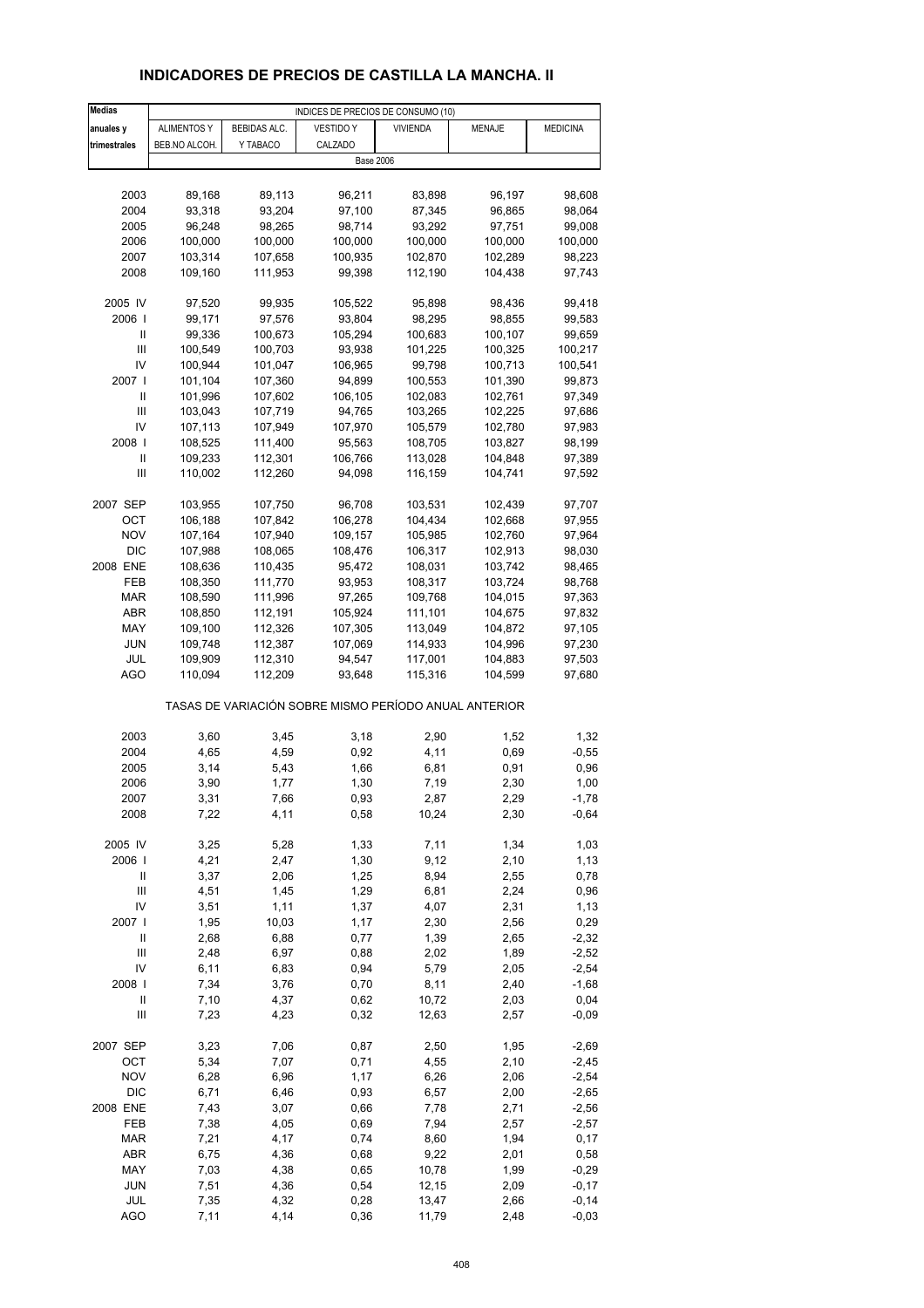# **INDICADORES DE PRECIOS DE CASTILLA LA MANCHA. II**

| <b>Medias</b> | INDICES DE PRECIOS DE CONSUMO (10) |              |                                                       |                 |               |                 |
|---------------|------------------------------------|--------------|-------------------------------------------------------|-----------------|---------------|-----------------|
| anuales y     | <b>ALIMENTOS Y</b>                 | BEBIDAS ALC. | <b>VESTIDO Y</b>                                      | <b>VIVIENDA</b> | <b>MENAJE</b> | <b>MEDICINA</b> |
| trimestrales  | BEB.NO ALCOH.                      | Y TABACO     | CALZADO                                               |                 |               |                 |
|               |                                    |              | <b>Base 2006</b>                                      |                 |               |                 |
|               |                                    |              |                                                       |                 |               |                 |
|               |                                    |              |                                                       |                 |               |                 |
| 2003          | 89,168                             | 89,113       | 96,211                                                | 83,898          | 96,197        | 98,608          |
| 2004          | 93,318                             | 93,204       | 97,100                                                | 87,345          | 96,865        | 98,064          |
| 2005          | 96,248                             | 98,265       | 98,714                                                | 93,292          | 97,751        | 99,008          |
| 2006          | 100,000                            | 100,000      | 100,000                                               | 100,000         | 100,000       | 100,000         |
| 2007          | 103,314                            | 107,658      | 100,935                                               | 102,870         | 102,289       | 98,223          |
| 2008          | 109,160                            | 111,953      | 99,398                                                | 112,190         | 104,438       | 97,743          |
|               |                                    |              |                                                       |                 |               |                 |
| 2005 IV       | 97,520                             | 99,935       | 105,522                                               | 95,898          | 98,436        | 99,418          |
| 2006          | 99,171                             | 97,576       | 93,804                                                | 98,295          | 98,855        |                 |
|               |                                    |              |                                                       |                 |               | 99,583          |
| Ш             | 99,336                             | 100,673      | 105,294                                               | 100,683         | 100,107       | 99,659          |
| Ш             | 100,549                            | 100,703      | 93,938                                                | 101,225         | 100,325       | 100,217         |
| IV            | 100,944                            | 101,047      | 106,965                                               | 99,798          | 100,713       | 100,541         |
| 2007          | 101,104                            | 107,360      | 94,899                                                | 100,553         | 101,390       | 99,873          |
| Ш             | 101,996                            | 107,602      | 106,105                                               | 102,083         | 102,761       | 97,349          |
| Ш             | 103,043                            | 107,719      | 94,765                                                | 103,265         | 102,225       | 97,686          |
| IV            | 107,113                            | 107,949      | 107,970                                               | 105,579         | 102,780       | 97,983          |
| 2008          | 108,525                            | 111,400      | 95,563                                                | 108,705         | 103,827       |                 |
|               |                                    |              |                                                       |                 |               | 98,199          |
| Ш             | 109,233                            | 112,301      | 106,766                                               | 113,028         | 104,848       | 97,389          |
| Ш             | 110,002                            | 112,260      | 94,098                                                | 116,159         | 104,741       | 97,592          |
|               |                                    |              |                                                       |                 |               |                 |
| 2007 SEP      | 103,955                            | 107,750      | 96,708                                                | 103,531         | 102,439       | 97,707          |
| OCT           | 106,188                            | 107,842      | 106,278                                               | 104,434         | 102,668       | 97,955          |
| <b>NOV</b>    | 107,164                            | 107,940      | 109,157                                               | 105,985         | 102,760       | 97,964          |
| <b>DIC</b>    | 107,988                            | 108,065      | 108,476                                               | 106,317         | 102,913       | 98,030          |
| 2008 ENE      | 108,636                            | 110,435      | 95,472                                                | 108,031         | 103,742       | 98,465          |
| FEB           | 108,350                            | 111,770      | 93,953                                                | 108,317         | 103,724       | 98,768          |
|               |                                    |              |                                                       |                 |               |                 |
| MAR           | 108,590                            | 111,996      | 97,265                                                | 109,768         | 104,015       | 97,363          |
| ABR           | 108,850                            | 112,191      | 105,924                                               | 111,101         | 104,675       | 97,832          |
| MAY           | 109,100                            | 112,326      | 107,305                                               | 113,049         | 104,872       | 97,105          |
| JUN           | 109,748                            | 112,387      | 107,069                                               | 114,933         | 104,996       | 97,230          |
| JUL           | 109,909                            | 112,310      | 94,547                                                | 117,001         | 104,883       | 97,503          |
| AGO           | 110,094                            | 112,209      | 93,648                                                | 115,316         | 104,599       | 97,680          |
|               |                                    |              | TASAS DE VARIACIÓN SOBRE MISMO PERÍODO ANUAL ANTERIOR |                 |               |                 |
|               |                                    |              |                                                       |                 |               |                 |
| 2003          | 3,60                               | 3,45         | 3,18                                                  | 2,90            | 1,52          | 1,32            |
| 2004          | 4,65                               | 4,59         | 0,92                                                  | 4,11            | 0,69          | $-0,55$         |
| 2005          | 3,14                               |              | 1,66                                                  | 6,81            | 0,91          | 0,96            |
|               |                                    | 5,43         |                                                       |                 |               |                 |
| 2006          | 3,90                               | 1,77         | 1,30                                                  | 7,19            | 2,30          | 1,00            |
| 2007          | 3,31                               | 7,66         | 0,93                                                  | 2,87            | 2,29          | $-1,78$         |
| 2008          | 7,22                               | 4,11         | 0,58                                                  | 10,24           | 2,30          | $-0,64$         |
|               |                                    |              |                                                       |                 |               |                 |
| 2005 IV       | 3,25                               | 5,28         | 1,33                                                  | 7,11            | 1,34          | 1,03            |
| 2006          | 4,21                               | 2,47         | 1,30                                                  | 9,12            | 2,10          | 1,13            |
| Ш             | 3,37                               | 2,06         | 1,25                                                  | 8,94            | 2,55          | 0,78            |
| Ш             | 4,51                               | 1,45         | 1,29                                                  | 6,81            | 2,24          | 0,96            |
| IV            | 3,51                               | 1,11         | 1,37                                                  | 4,07            | 2,31          | 1,13            |
| 2007 l        | 1,95                               | 10,03        | 1,17                                                  | 2,30            | 2,56          | 0,29            |
| Ш             | 2,68                               | 6,88         | 0,77                                                  | 1,39            | 2,65          | $-2,32$         |
|               |                                    |              |                                                       |                 |               |                 |
| Ш             | 2,48                               | 6,97         | 0,88                                                  | 2,02            | 1,89          | $-2,52$         |
| IV            | 6,11                               | 6,83         | 0,94                                                  | 5,79            | 2,05          | $-2,54$         |
| 2008          | 7,34                               | 3,76         | 0,70                                                  | 8,11            | 2,40          | $-1,68$         |
| Ш             | 7,10                               | 4,37         | 0,62                                                  | 10,72           | 2,03          | 0,04            |
| Ш             | 7,23                               | 4,23         | 0,32                                                  | 12,63           | 2,57          | $-0,09$         |
| 2007 SEP      | 3,23                               | 7,06         | 0,87                                                  |                 |               |                 |
|               |                                    |              |                                                       | 2,50            | 1,95          | $-2,69$         |
| OCT           | 5,34                               | 7,07         | 0,71                                                  | 4,55            | 2,10          | $-2,45$         |
| <b>NOV</b>    | 6,28                               | 6,96         | 1,17                                                  | 6,26            | 2,06          | $-2,54$         |
| <b>DIC</b>    | 6,71                               | 6,46         | 0,93                                                  | 6,57            | 2,00          | $-2,65$         |
| 2008 ENE      | 7,43                               | 3,07         | 0,66                                                  | 7,78            | 2,71          | $-2,56$         |
| FEB           | 7,38                               | 4,05         | 0,69                                                  | 7,94            | 2,57          | $-2,57$         |
| <b>MAR</b>    | 7,21                               | 4,17         | 0,74                                                  | 8,60            | 1,94          | 0,17            |
| ABR           | 6,75                               | 4,36         | 0,68                                                  | 9,22            | 2,01          | 0,58            |
| MAY           | 7,03                               | 4,38         | 0,65                                                  | 10,78           | 1,99          | $-0,29$         |
| <b>JUN</b>    | 7,51                               | 4,36         | 0,54                                                  | 12,15           | 2,09          | $-0,17$         |
|               |                                    |              |                                                       |                 |               |                 |
| JUL           | 7,35                               | 4,32         | 0,28                                                  | 13,47           | 2,66          | $-0,14$         |
| AGO           | 7,11                               | 4,14         | 0,36                                                  | 11,79           | 2,48          | $-0,03$         |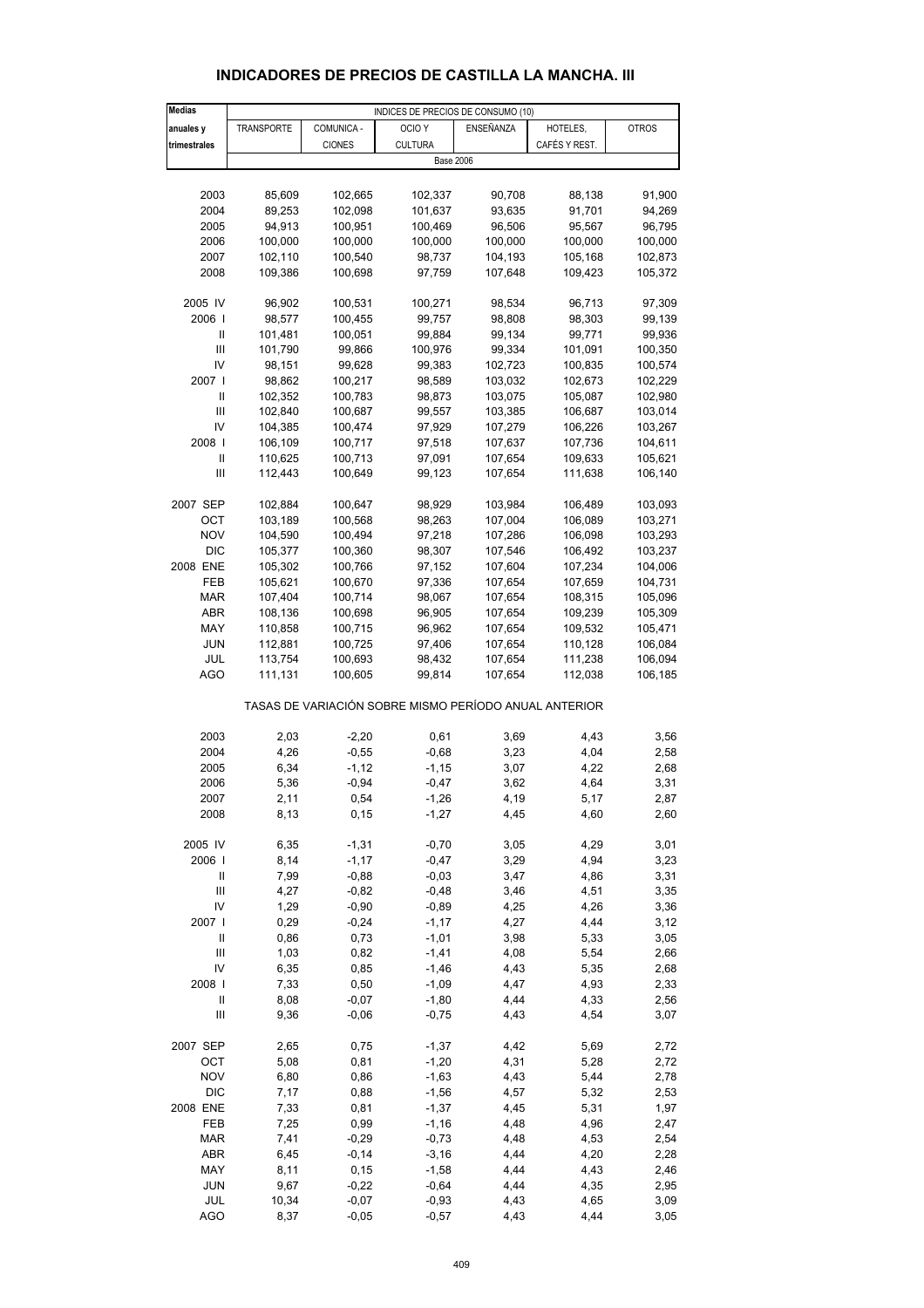| <b>Medias</b>              |                   |               | INDICES DE PRECIOS DE CONSUMO (10)                    |              |               |              |
|----------------------------|-------------------|---------------|-------------------------------------------------------|--------------|---------------|--------------|
| anuales y                  | <b>TRANSPORTE</b> | COMUNICA -    | OCIO <sub>Y</sub>                                     | ENSEÑANZA    | HOTELES,      | <b>OTROS</b> |
| trimestrales               |                   | <b>CIONES</b> | <b>CULTURA</b>                                        |              | CAFÉS Y REST. |              |
|                            |                   |               | <b>Base 2006</b>                                      |              |               |              |
|                            |                   |               |                                                       |              |               |              |
| 2003                       | 85,609            | 102,665       | 102,337                                               | 90,708       | 88,138        | 91,900       |
| 2004                       | 89,253            | 102,098       | 101,637                                               | 93,635       | 91,701        | 94,269       |
| 2005                       | 94,913            | 100,951       | 100,469                                               | 96,506       | 95,567        | 96,795       |
| 2006                       | 100,000           | 100,000       | 100,000                                               | 100,000      | 100,000       | 100,000      |
| 2007                       | 102,110           | 100,540       | 98,737                                                | 104,193      | 105,168       | 102,873      |
|                            |                   |               | 97,759                                                |              |               |              |
| 2008                       | 109,386           | 100,698       |                                                       | 107,648      | 109,423       | 105,372      |
| 2005 IV                    | 96,902            | 100,531       | 100,271                                               | 98,534       | 96,713        | 97,309       |
| 2006                       | 98,577            | 100,455       | 99,757                                                | 98,808       | 98,303        | 99,139       |
| Ш                          | 101,481           | 100,051       | 99,884                                                | 99,134       | 99,771        | 99,936       |
| Ш                          | 101,790           | 99,866        | 100,976                                               | 99,334       | 101,091       | 100,350      |
| IV                         | 98,151            | 99,628        | 99,383                                                | 102,723      | 100,835       | 100,574      |
| 2007                       | 98,862            | 100,217       | 98,589                                                | 103,032      | 102,673       | 102,229      |
| Ш                          | 102,352           | 100,783       | 98,873                                                | 103,075      | 105,087       | 102,980      |
| Ш                          | 102,840           | 100,687       | 99,557                                                | 103,385      | 106,687       | 103,014      |
| IV                         | 104,385           | 100,474       | 97,929                                                | 107,279      | 106,226       | 103,267      |
| 2008                       |                   |               | 97,518                                                | 107,637      | 107,736       | 104,611      |
|                            | 106,109           | 100,717       |                                                       |              |               |              |
| Ш                          | 110,625           | 100,713       | 97,091                                                | 107,654      | 109,633       | 105,621      |
| Ш                          | 112,443           | 100,649       | 99,123                                                | 107,654      | 111,638       | 106,140      |
| 2007 SEP                   | 102,884           | 100,647       | 98,929                                                | 103,984      | 106,489       | 103,093      |
| OCT                        | 103,189           | 100,568       | 98,263                                                | 107,004      | 106,089       | 103,271      |
| <b>NOV</b>                 | 104,590           | 100,494       | 97,218                                                | 107,286      | 106,098       | 103,293      |
| DIC                        |                   |               | 98,307                                                | 107,546      |               | 103,237      |
|                            | 105,377           | 100,360       |                                                       |              | 106,492       |              |
| 2008 ENE                   | 105,302           | 100,766       | 97,152                                                | 107,604      | 107,234       | 104,006      |
| FEB                        | 105,621           | 100,670       | 97,336                                                | 107,654      | 107,659       | 104,731      |
| MAR                        | 107,404           | 100,714       | 98,067                                                | 107,654      | 108,315       | 105,096      |
| ABR                        | 108,136           | 100,698       | 96,905                                                | 107,654      | 109,239       | 105,309      |
| MAY                        | 110,858           | 100,715       | 96,962                                                | 107,654      | 109,532       | 105,471      |
| <b>JUN</b>                 | 112,881           | 100,725       | 97,406                                                | 107,654      | 110,128       | 106,084      |
| JUL                        | 113,754           | 100,693       | 98,432                                                | 107,654      | 111,238       | 106,094      |
| <b>AGO</b>                 | 111,131           | 100,605       | 99,814                                                | 107,654      | 112,038       | 106,185      |
|                            |                   |               | TASAS DE VARIACIÓN SOBRE MISMO PERÍODO ANUAL ANTERIOR |              |               |              |
| 2003                       | 2,03              | $-2,20$       | 0,61                                                  | 3,69         | 4,43          | 3,56         |
| 2004                       | 4,26              | $-0,55$       | $-0,68$                                               | 3,23         | 4,04          | 2,58         |
| 2005                       | 6,34              | $-1,12$       | $-1,15$                                               | 3,07         | 4,22          | 2,68         |
|                            | 5,36              |               |                                                       |              |               |              |
| 2006<br>2007               |                   | $-0,94$       | $-0,47$                                               | 3,62<br>4,19 | 4,64<br>5,17  | 3,31         |
|                            | 2,11              | 0,54          | $-1,26$                                               |              |               | 2,87         |
| 2008                       | 8,13              | 0, 15         | $-1,27$                                               | 4,45         | 4,60          | 2,60         |
| 2005 IV                    | 6,35              | $-1,31$       | $-0,70$                                               | 3,05         | 4,29          | 3,01         |
| 2006                       | 8,14              | $-1,17$       | $-0,47$                                               | 3,29         | 4,94          | 3,23         |
| Ш                          | 7,99              | $-0,88$       | $-0,03$                                               | 3,47         | 4,86          | 3,31         |
| Ш                          | 4,27              | $-0,82$       | $-0,48$                                               | 3,46         | 4,51          | 3,35         |
| IV                         | 1,29              | $-0,90$       | $-0,89$                                               | 4,25         | 4,26          | 3,36         |
| 2007 l                     | 0,29              | $-0,24$       | $-1,17$                                               | 4,27         | 4,44          | 3,12         |
| Ш                          | 0,86              | 0,73          | $-1,01$                                               | 3,98         | 5,33          | 3,05         |
| Ш                          | 1,03              | 0,82          | $-1,41$                                               | 4,08         | 5,54          | 2,66         |
| IV                         |                   |               |                                                       |              |               |              |
|                            | 6,35              | 0,85          | $-1,46$                                               | 4,43         | 5,35          | 2,68         |
| 2008                       | 7,33              | 0,50          | $-1,09$                                               | 4,47         | 4,93          | 2,33         |
| $\ensuremath{\mathsf{II}}$ | 8,08              | $-0,07$       | $-1,80$                                               | 4,44         | 4,33          | 2,56         |
| Ш                          | 9,36              | $-0,06$       | $-0,75$                                               | 4,43         | 4,54          | 3,07         |
| 2007 SEP                   | 2,65              | 0,75          | $-1,37$                                               | 4,42         | 5,69          | 2,72         |
| OCT                        | 5,08              | 0,81          | $-1,20$                                               | 4,31         | 5,28          | 2,72         |
| <b>NOV</b>                 | 6,80              | 0,86          | $-1,63$                                               | 4,43         | 5,44          | 2,78         |
| <b>DIC</b>                 | 7,17              | 0,88          | $-1,56$                                               | 4,57         | 5,32          | 2,53         |
| 2008 ENE                   | 7,33              | 0,81          | $-1,37$                                               | 4,45         | 5,31          | 1,97         |
| FEB                        | 7,25              | 0,99          | $-1,16$                                               | 4,48         | 4,96          | 2,47         |
| MAR                        | 7,41              | $-0,29$       | $-0,73$                                               | 4,48         | 4,53          | 2,54         |
| ABR                        | 6,45              | $-0,14$       | $-3,16$                                               | 4,44         | 4,20          | 2,28         |
| MAY                        | 8,11              | 0, 15         | $-1,58$                                               | 4,44         | 4,43          | 2,46         |
| <b>JUN</b>                 | 9,67              | $-0,22$       | $-0,64$                                               | 4,44         | 4,35          | 2,95         |
| JUL                        | 10,34             | $-0,07$       | $-0,93$                                               | 4,43         | 4,65          | 3,09         |
| <b>AGO</b>                 | 8,37              | $-0,05$       | $-0,57$                                               | 4,43         | 4,44          | 3,05         |
|                            |                   |               |                                                       |              |               |              |

#### **INDICADORES DE PRECIOS DE CASTILLA LA MANCHA. III**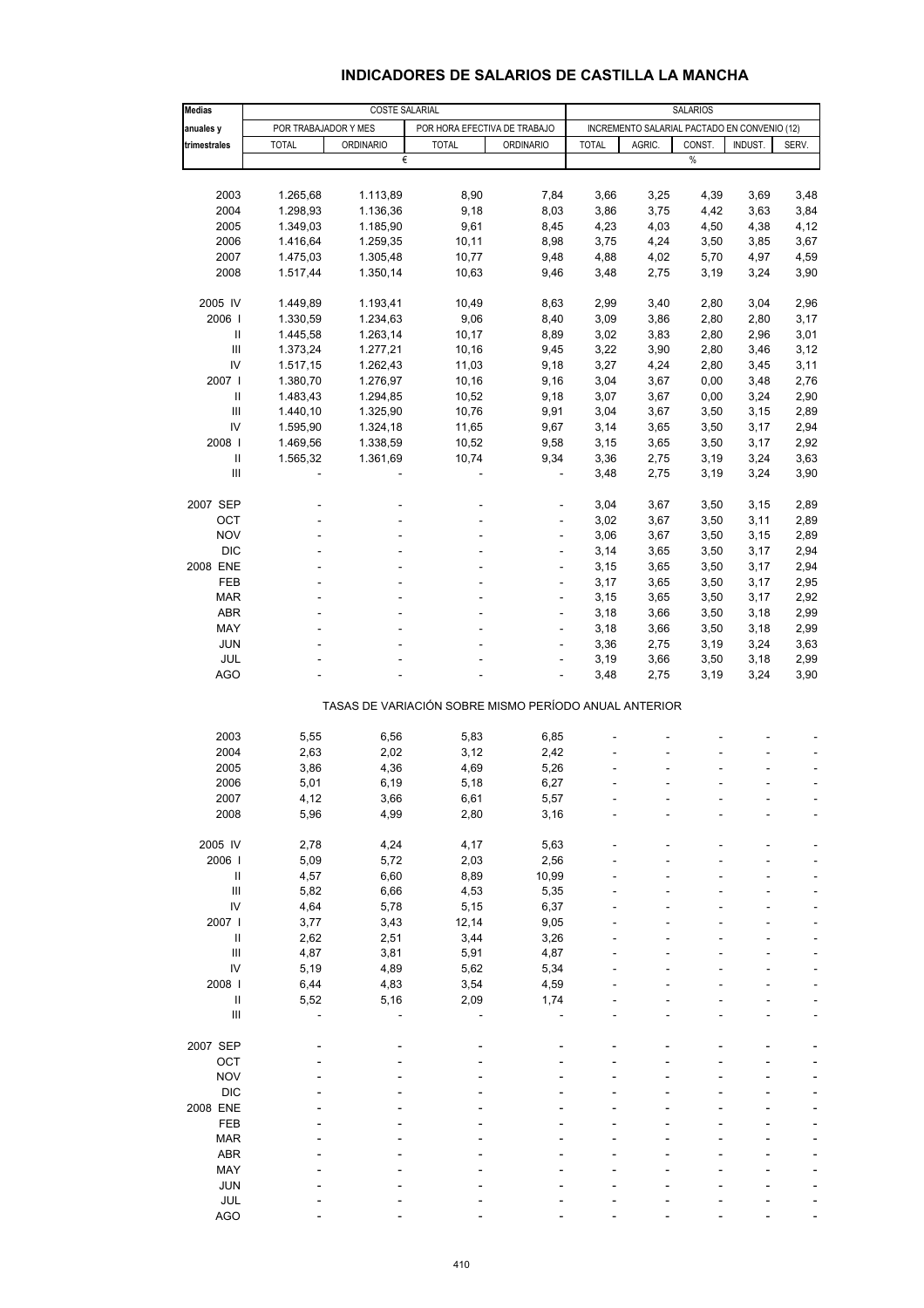#### **INDICADORES DE SALARIOS DE CASTILLA LA MANCHA**

| <b>Medias</b>                      | COSTE SALARIAL       |                  |                                                       |                  |                                              | <b>SALARIOS</b> |        |         |       |  |  |
|------------------------------------|----------------------|------------------|-------------------------------------------------------|------------------|----------------------------------------------|-----------------|--------|---------|-------|--|--|
| anuales y                          | POR TRABAJADOR Y MES |                  | POR HORA EFECTIVA DE TRABAJO                          |                  | INCREMENTO SALARIAL PACTADO EN CONVENIO (12) |                 |        |         |       |  |  |
| trimestrales                       | <b>TOTAL</b>         | <b>ORDINARIO</b> | <b>TOTAL</b>                                          | <b>ORDINARIO</b> | <b>TOTAL</b>                                 | AGRIC.          | CONST. | INDUST. | SERV. |  |  |
|                                    |                      | €                |                                                       |                  |                                              |                 | $\%$   |         |       |  |  |
|                                    |                      |                  |                                                       |                  |                                              |                 |        |         |       |  |  |
| 2003                               | 1.265,68             | 1.113,89         | 8,90                                                  | 7,84             | 3,66                                         | 3,25            | 4,39   | 3,69    | 3,48  |  |  |
| 2004                               | 1.298,93             | 1.136,36         | 9,18                                                  | 8,03             | 3,86                                         | 3,75            | 4,42   | 3,63    | 3,84  |  |  |
| 2005                               | 1.349,03             | 1.185,90         | 9,61                                                  | 8,45             | 4,23                                         | 4,03            | 4,50   | 4,38    | 4,12  |  |  |
| 2006                               | 1.416,64             | 1.259,35         | 10,11                                                 | 8,98             | 3,75                                         | 4,24            | 3,50   | 3,85    | 3,67  |  |  |
| 2007                               | 1.475,03             | 1.305,48         | 10,77                                                 | 9,48             | 4,88                                         | 4,02            | 5,70   | 4,97    | 4,59  |  |  |
| 2008                               | 1.517,44             | 1.350,14         | 10,63                                                 | 9,46             | 3,48                                         | 2,75            | 3,19   | 3,24    | 3,90  |  |  |
| 2005 IV                            | 1.449,89             | 1.193,41         | 10,49                                                 | 8,63             | 2,99                                         | 3,40            | 2,80   | 3,04    | 2,96  |  |  |
| 2006                               | 1.330,59             | 1.234,63         | 9,06                                                  | 8,40             | 3,09                                         | 3,86            | 2,80   | 2,80    | 3,17  |  |  |
| Ш                                  | 1.445,58             | 1.263,14         | 10, 17                                                | 8,89             | 3,02                                         | 3,83            | 2,80   | 2,96    | 3,01  |  |  |
| $\ensuremath{\mathsf{III}}\xspace$ | 1.373,24             | 1.277,21         | 10,16                                                 | 9,45             | 3,22                                         | 3,90            | 2,80   | 3,46    | 3,12  |  |  |
| IV                                 | 1.517,15             | 1.262,43         | 11,03                                                 | 9,18             | 3,27                                         | 4,24            | 2,80   | 3,45    | 3,11  |  |  |
| 2007                               | 1.380,70             | 1.276,97         | 10,16                                                 | 9,16             | 3,04                                         | 3,67            | 0,00   | 3,48    | 2,76  |  |  |
| Ш                                  | 1.483,43             | 1.294,85         | 10,52                                                 | 9,18             | 3,07                                         | 3,67            | 0,00   | 3,24    | 2,90  |  |  |
| Ш                                  | 1.440,10             | 1.325,90         | 10,76                                                 | 9,91             | 3,04                                         | 3,67            | 3,50   | 3,15    | 2,89  |  |  |
| IV                                 | 1.595,90             | 1.324,18         | 11,65                                                 | 9,67             | 3,14                                         | 3,65            | 3,50   | 3,17    | 2,94  |  |  |
| 2008                               | 1.469,56             | 1.338,59         | 10,52                                                 | 9,58             | 3,15                                         | 3,65            | 3,50   | 3,17    | 2,92  |  |  |
| $\sf II$                           | 1.565,32             | 1.361,69         | 10,74                                                 | 9,34             | 3,36                                         | 2,75            | 3,19   | 3,24    | 3,63  |  |  |
| $\mathbf{III}$                     |                      |                  |                                                       | ä,               | 3,48                                         | 2,75            | 3,19   | 3,24    | 3,90  |  |  |
| 2007 SEP                           |                      |                  |                                                       |                  | 3,04                                         | 3,67            | 3,50   | 3,15    | 2,89  |  |  |
| OCT                                |                      |                  |                                                       | ÷,               | 3,02                                         | 3,67            | 3,50   | 3,11    | 2,89  |  |  |
| <b>NOV</b>                         |                      |                  |                                                       |                  |                                              |                 |        |         |       |  |  |
|                                    |                      |                  |                                                       | ÷,               | 3,06                                         | 3,67            | 3,50   | 3,15    | 2,89  |  |  |
| <b>DIC</b>                         |                      |                  |                                                       | ÷,               | 3,14                                         | 3,65            | 3,50   | 3,17    | 2,94  |  |  |
| 2008 ENE                           |                      |                  |                                                       | ÷,               | 3,15                                         | 3,65            | 3,50   | 3,17    | 2,94  |  |  |
| FEB                                |                      |                  |                                                       |                  | 3,17                                         | 3,65            | 3,50   | 3,17    | 2,95  |  |  |
| <b>MAR</b>                         | ÷.                   |                  | ٠                                                     | ÷,               | 3,15                                         | 3,65            | 3,50   | 3,17    | 2,92  |  |  |
| ABR                                |                      |                  |                                                       | ÷,               | 3,18                                         | 3,66            | 3,50   | 3,18    | 2,99  |  |  |
| MAY                                |                      |                  |                                                       |                  | 3,18                                         | 3,66            | 3,50   | 3,18    | 2,99  |  |  |
| <b>JUN</b>                         |                      |                  |                                                       | ÷,               | 3,36                                         | 2,75            | 3,19   | 3,24    | 3,63  |  |  |
| JUL                                |                      |                  |                                                       | ä,               | 3,19                                         | 3,66            | 3,50   | 3,18    | 2,99  |  |  |
| <b>AGO</b>                         |                      |                  |                                                       |                  | 3,48                                         | 2,75            | 3,19   | 3,24    | 3,90  |  |  |
|                                    |                      |                  | TASAS DE VARIACIÓN SOBRE MISMO PERÍODO ANUAL ANTERIOR |                  |                                              |                 |        |         |       |  |  |
|                                    |                      |                  |                                                       |                  |                                              |                 |        |         |       |  |  |
| 2003                               | 5,55                 | 6,56             | 5,83                                                  | 6,85             |                                              |                 |        |         |       |  |  |
| 2004                               | 2,63                 | 2,02             | 3,12                                                  | 2,42             |                                              |                 |        |         |       |  |  |
| 2005                               | 3,86                 | 4,36             | 4,69                                                  | 5,26             |                                              |                 |        |         |       |  |  |
| 2006                               | 5,01                 | 6,19             | 5,18                                                  | 6,27             |                                              |                 |        |         | ÷     |  |  |
| 2007                               | 4,12                 | 3,66             | 6,61                                                  | 5,57             |                                              |                 |        |         |       |  |  |
| 2008                               | 5,96                 | 4,99             | 2,80                                                  | 3,16             |                                              |                 |        |         |       |  |  |
| 2005 IV                            | 2,78                 | 4,24             | 4,17                                                  | 5,63             |                                              |                 |        |         |       |  |  |
| 2006                               | 5,09                 | 5,72             | 2,03                                                  | 2,56             |                                              |                 |        |         |       |  |  |
| Ш                                  | 4,57                 | 6,60             | 8,89                                                  | 10,99            |                                              |                 |        |         |       |  |  |
| $\ensuremath{\mathsf{III}}\xspace$ | 5,82                 | 6,66             | 4,53                                                  | 5,35             |                                              |                 |        |         |       |  |  |
| IV                                 | 4,64                 | 5,78             | 5,15                                                  | 6,37             |                                              |                 |        |         |       |  |  |
| 2007                               | 3,77                 | 3,43             | 12,14                                                 | 9,05             |                                              |                 |        |         |       |  |  |
| $\mathsf{I}$                       | 2,62                 | 2,51             | 3,44                                                  | 3,26             |                                              |                 |        |         |       |  |  |
| Ш                                  | 4,87                 | 3,81             | 5,91                                                  | 4,87             |                                              |                 |        |         |       |  |  |
| IV                                 | 5,19                 | 4,89             | 5,62                                                  | 5,34             |                                              |                 |        |         |       |  |  |
| 2008                               | 6,44                 | 4,83             | 3,54                                                  | 4,59             |                                              |                 |        |         |       |  |  |
| $\ensuremath{\mathsf{II}}$         | 5,52                 | 5,16             | 2,09                                                  | 1,74             |                                              |                 |        |         |       |  |  |
| Ш                                  |                      |                  |                                                       |                  |                                              |                 |        |         |       |  |  |
|                                    |                      |                  |                                                       |                  |                                              |                 |        |         |       |  |  |
| 2007 SEP                           |                      |                  |                                                       |                  |                                              |                 |        |         |       |  |  |
| OCT                                |                      |                  |                                                       |                  |                                              |                 |        |         |       |  |  |
| <b>NOV</b>                         |                      |                  |                                                       |                  |                                              |                 |        |         |       |  |  |
| <b>DIC</b>                         |                      |                  |                                                       |                  |                                              |                 |        |         |       |  |  |
| 2008 ENE                           |                      |                  |                                                       |                  |                                              |                 |        |         |       |  |  |
| FEB                                |                      |                  |                                                       |                  |                                              |                 |        |         |       |  |  |
| <b>MAR</b>                         |                      |                  |                                                       |                  |                                              |                 |        |         |       |  |  |
| <b>ABR</b>                         |                      |                  |                                                       |                  |                                              |                 |        |         |       |  |  |
| MAY                                |                      |                  |                                                       |                  |                                              |                 |        |         |       |  |  |
| <b>JUN</b>                         |                      |                  |                                                       |                  |                                              |                 |        |         |       |  |  |
| JUL                                |                      |                  |                                                       |                  |                                              |                 |        |         |       |  |  |
| <b>AGO</b>                         |                      |                  |                                                       |                  |                                              |                 |        |         |       |  |  |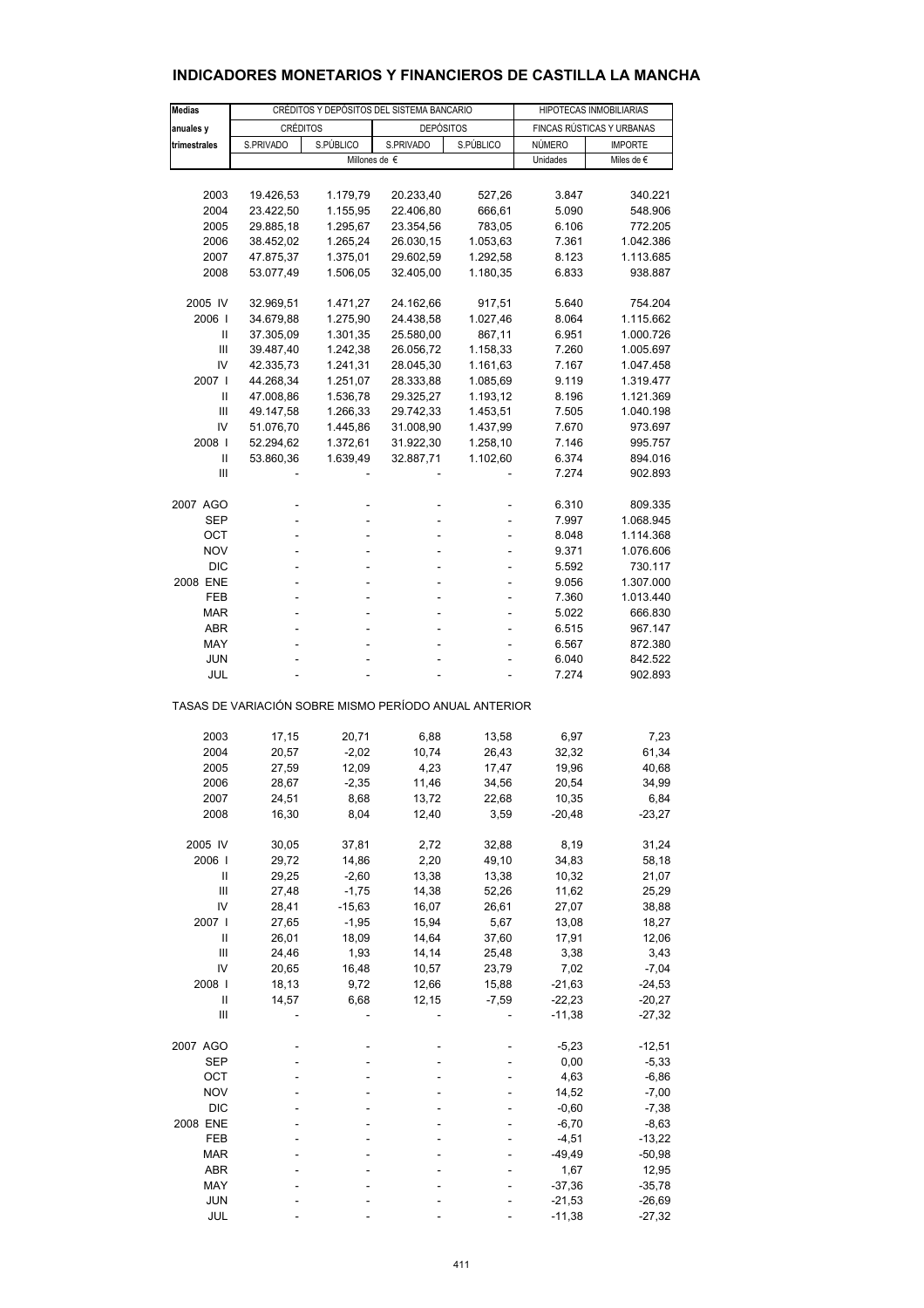| Medias                                                |                 |           | CRÉDITOS Y DEPÓSITOS DEL SISTEMA BANCARIO |           | HIPOTECAS INMOBILIARIAS   |                |  |  |
|-------------------------------------------------------|-----------------|-----------|-------------------------------------------|-----------|---------------------------|----------------|--|--|
| anuales y                                             | <b>CRÉDITOS</b> |           | <b>DEPÓSITOS</b>                          |           | FINCAS RÚSTICAS Y URBANAS |                |  |  |
| trimestrales                                          | S.PRIVADO       | S.PÚBLICO | S.PRIVADO                                 | S.PÚBLICO | NÚMERO                    | <b>IMPORTE</b> |  |  |
|                                                       |                 |           | Millones de $\epsilon$                    |           | Unidades                  | Miles de €     |  |  |
|                                                       |                 |           |                                           |           |                           |                |  |  |
|                                                       |                 |           | 20.233,40                                 |           | 3.847                     |                |  |  |
| 2003                                                  | 19.426,53       | 1.179,79  |                                           | 527,26    |                           | 340.221        |  |  |
| 2004                                                  | 23.422,50       | 1.155,95  | 22.406,80                                 | 666,61    | 5.090                     | 548.906        |  |  |
| 2005                                                  | 29.885,18       | 1.295,67  | 23.354,56                                 | 783,05    | 6.106                     | 772.205        |  |  |
| 2006                                                  | 38.452,02       | 1.265,24  | 26.030,15                                 | 1.053,63  | 7.361                     | 1.042.386      |  |  |
| 2007                                                  | 47.875,37       | 1.375,01  | 29.602,59                                 | 1.292,58  | 8.123                     | 1.113.685      |  |  |
| 2008                                                  | 53.077,49       | 1.506,05  | 32.405,00                                 | 1.180,35  | 6.833                     | 938.887        |  |  |
| 2005 IV                                               | 32.969,51       | 1.471,27  | 24.162,66                                 | 917,51    | 5.640                     | 754.204        |  |  |
| 2006                                                  | 34.679,88       | 1.275,90  | 24.438,58                                 | 1.027,46  | 8.064                     | 1.115.662      |  |  |
| Ш                                                     | 37.305,09       | 1.301,35  | 25.580,00                                 | 867,11    | 6.951                     | 1.000.726      |  |  |
| Ш                                                     | 39.487,40       | 1.242,38  | 26.056,72                                 | 1.158,33  | 7.260                     | 1.005.697      |  |  |
| IV                                                    | 42.335,73       | 1.241,31  | 28.045,30                                 | 1.161,63  | 7.167                     | 1.047.458      |  |  |
| 2007 l                                                | 44.268,34       | 1.251,07  | 28.333,88                                 | 1.085,69  | 9.119                     | 1.319.477      |  |  |
| Ш                                                     | 47.008,86       | 1.536,78  | 29.325,27                                 | 1.193,12  | 8.196                     | 1.121.369      |  |  |
| Ш                                                     | 49.147,58       | 1.266,33  | 29.742,33                                 | 1.453,51  | 7.505                     | 1.040.198      |  |  |
| IV                                                    | 51.076,70       | 1.445,86  | 31.008,90                                 | 1.437,99  | 7.670                     | 973.697        |  |  |
| 2008                                                  | 52.294,62       | 1.372,61  | 31.922,30                                 | 1.258,10  | 7.146                     | 995.757        |  |  |
| Ш                                                     | 53.860,36       | 1.639,49  | 32.887,71                                 | 1.102,60  | 6.374                     | 894.016        |  |  |
| Ш                                                     |                 |           |                                           |           | 7.274                     | 902.893        |  |  |
|                                                       |                 |           |                                           |           |                           |                |  |  |
| 2007 AGO                                              |                 |           |                                           |           | 6.310                     | 809.335        |  |  |
| SEP                                                   |                 |           |                                           |           | 7.997                     | 1.068.945      |  |  |
| OCT                                                   |                 |           |                                           |           | 8.048                     | 1.114.368      |  |  |
| <b>NOV</b>                                            |                 |           |                                           |           | 9.371                     | 1.076.606      |  |  |
| <b>DIC</b>                                            |                 |           |                                           |           | 5.592                     | 730.117        |  |  |
| 2008 ENE                                              | ÷.              |           | ä,                                        | ÷         | 9.056                     | 1.307.000      |  |  |
| FEB                                                   |                 |           |                                           |           | 7.360                     | 1.013.440      |  |  |
| MAR                                                   |                 |           |                                           |           | 5.022                     | 666.830        |  |  |
| ABR                                                   |                 |           |                                           |           | 6.515                     | 967.147        |  |  |
| MAY                                                   |                 |           |                                           |           | 6.567                     | 872.380        |  |  |
| JUN                                                   |                 |           |                                           |           | 6.040                     | 842.522        |  |  |
| JUL                                                   |                 |           |                                           |           | 7.274                     | 902.893        |  |  |
| TASAS DE VARIACIÓN SOBRE MISMO PERÍODO ANUAL ANTERIOR |                 |           |                                           |           |                           |                |  |  |
|                                                       |                 |           |                                           |           |                           |                |  |  |
| 2003                                                  | 17,15           | 20,71     | 6,88                                      | 13,58     | 6,97                      | 7,23           |  |  |
| 2004                                                  | 20,57           | $-2,02$   | 10,74                                     | 26,43     | 32,32                     | 61,34          |  |  |
| 2005                                                  | 27,59           | 12,09     | 4,23                                      | 17,47     | 19,96                     | 40,68          |  |  |
| 2006                                                  | 28,67           | $-2,35$   | 11,46                                     | 34,56     | 20,54                     | 34,99          |  |  |
| 2007                                                  | 24,51           | 8,68      | 13,72                                     | 22,68     | 10,35                     | 6,84           |  |  |
| 2008                                                  | 16,30           | 8,04      | 12,40                                     | 3,59      | $-20,48$                  | $-23,27$       |  |  |
| 2005 IV                                               | 30,05           | 37,81     | 2,72                                      | 32,88     | 8,19                      | 31,24          |  |  |
| 2006                                                  | 29,72           | 14,86     | 2,20                                      | 49,10     | 34,83                     | 58,18          |  |  |
| Ш                                                     | 29,25           | $-2,60$   | 13,38                                     | 13,38     | 10,32                     | 21,07          |  |  |
| Ш                                                     | 27,48           | $-1,75$   | 14,38                                     | 52,26     | 11,62                     | 25,29          |  |  |
| IV                                                    | 28,41           | $-15,63$  | 16,07                                     | 26,61     | 27,07                     | 38,88          |  |  |
| 2007 l                                                | 27,65           | $-1,95$   | 15,94                                     | 5,67      | 13,08                     | 18,27          |  |  |
| Ш                                                     | 26,01           | 18,09     | 14,64                                     | 37,60     | 17,91                     | 12,06          |  |  |
| $\mathbf{III}$                                        | 24,46           | 1,93      | 14,14                                     | 25,48     | 3,38                      | 3,43           |  |  |
| IV                                                    | 20,65           | 16,48     | 10,57                                     | 23,79     | 7,02                      | $-7,04$        |  |  |
| 2008                                                  | 18,13           | 9,72      | 12,66                                     | 15,88     | $-21,63$                  | $-24,53$       |  |  |
| Ш                                                     | 14,57           | 6,68      | 12,15                                     | $-7,59$   | $-22,23$                  | $-20,27$       |  |  |
| Ш                                                     |                 |           |                                           |           | $-11,38$                  | -27,32         |  |  |
| 2007 AGO                                              |                 |           |                                           |           | $-5,23$                   | $-12,51$       |  |  |
| <b>SEP</b>                                            |                 |           |                                           |           | 0,00                      | $-5,33$        |  |  |
| OCT                                                   |                 |           |                                           |           | 4,63                      | $-6,86$        |  |  |
| <b>NOV</b>                                            |                 |           |                                           |           | 14,52                     | $-7,00$        |  |  |
| <b>DIC</b>                                            |                 |           |                                           |           | $-0,60$                   | $-7,38$        |  |  |
| 2008 ENE                                              |                 |           |                                           |           | $-6,70$                   | $-8,63$        |  |  |
| FEB                                                   |                 |           |                                           |           | $-4,51$                   | $-13,22$       |  |  |
| <b>MAR</b>                                            |                 |           |                                           |           | $-49,49$                  | $-50,98$       |  |  |
| ABR                                                   |                 |           |                                           |           | 1,67                      | 12,95          |  |  |
| MAY                                                   |                 |           |                                           |           | $-37,36$                  | $-35,78$       |  |  |
| <b>JUN</b>                                            |                 |           |                                           |           | $-21,53$                  | $-26,69$       |  |  |
|                                                       |                 |           |                                           |           |                           |                |  |  |

## **INDICADORES MONETARIOS Y FINANCIEROS DE CASTILLA LA MANCHA**

JUL - - - - -11,38 -27,32